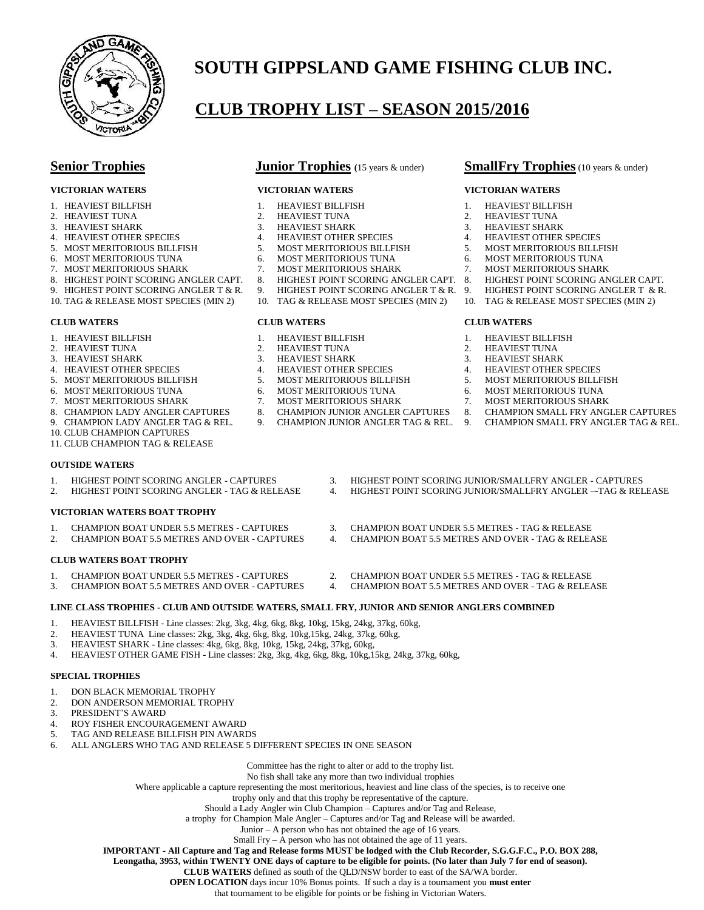

#### **CLUB TROPHY LIST – SEASON 2015/2016**

- 
- 
- 
- 3. HEAVIEST SHARK 3. HEAVIEST SHARK 3. HEAVIEST SHARK 3. HEAVIEST SHARK 3. HEAVIEST SHARK 3. HEAVIEST OTHER SPECIES 4. HEAVIEST OTHER SPECIES 4. HEAVIEST OTHER SPECIES 4. HEAVIEST OTHER SPECIES
- 
- 6. MOST MERITORIOUS TUNA 6. MOST MERITORIOUS TUNA 6. MOST MERITORIOUS TUNA
- 
- 7. MOST MERITORIOUS SHARK 7. MOST MERITORIOUS SHARK 7. MOST MERITORIOUS SHARK 7. MOST MERITORIOUS SHARK 7. MOST MERITORIOUS SHARK 7. MOST MEGHEST POINT SCORING ANGLER CAPT.
- 9. HIGHEST POINT SCORING ANGLER T & R. 9. HIGHEST POINT SCORING ANGLER T & R. 9. HIGHEST POINT SCORING ANGLER T & R.
- 10. TAG & RELEASE MOST SPECIES (MIN 2) 10. TAG & RELEASE MOST SPECIES (MIN 2) 10. TAG & RELEASE MOST SPECIES (MIN 2)

#### **CLUB WATERS CLUB WATERS CLUB WATERS**

- 
- 
- 3. HEAVIEST SHARK 3. HEAVIEST SHARK 3. HEAVIEST SHARK
- 
- 4. HEAVIEST OTHER SPECIES 4. HEAVIEST OTHER SPECIES 4. HEAVIEST OTHER SPECIES
- 
- 7. MOST MERITORIOUS SHARK 7. MOST MERITORIOUS SHARK 7. MOST MERITORIOUS SHARK
- 
- 
- 10. CLUB CHAMPION CAPTURES
- 11. CLUB CHAMPION TAG & RELEASE

#### **OUTSIDE WATERS**

#### **VICTORIAN WATERS BOAT TROPHY**

- 1. CHAMPION BOAT UNDER 5.5 METRES CAPTURES 3. CHAMPION BOAT UNDER 5.5 METRES TAG & RELEASE
- 

#### **CLUB WATERS BOAT TROPHY**

- 
- 

#### **LINE CLASS TROPHIES - CLUB AND OUTSIDE WATERS, SMALL FRY, JUNIOR AND SENIOR ANGLERS COMBINED**

- 1. HEAVIEST BILLFISH Line classes: 2kg, 3kg, 4kg, 6kg, 8kg, 10kg, 15kg, 24kg, 37kg, 60kg,
- 
- 2. HEAVIEST TUNA Line classes: 2kg, 3kg, 4kg, 6kg, 8kg, 10kg,15kg, 24kg, 37kg, 60kg,<br>3. HEAVIEST SHARK Line classes: 4kg, 6kg, 8kg, 10kg, 15kg, 24kg, 37kg, 60kg HEAVIEST SHARK - Line classes: 4kg, 6kg, 8kg, 10kg, 15kg, 24kg, 37kg, 60kg,
- 4. HEAVIEST OTHER GAME FISH Line classes: 2kg, 3kg, 4kg, 6kg, 8kg, 10kg,15kg, 24kg, 37kg, 60kg,

#### **SPECIAL TROPHIES**

- 1. DON BLACK MEMORIAL TROPHY
- 2. DON ANDERSON MEMORIAL TROPHY<br>3. PRESIDENT'S AWARD
- PRESIDENT'S AWARD
- 4. ROY FISHER ENCOURAGEMENT AWARD
- 5. TAG AND RELEASE BILLFISH PIN AWARDS
- 6. ALL ANGLERS WHO TAG AND RELEASE 5 DIFFERENT SPECIES IN ONE SEASON

Committee has the right to alter or add to the trophy list.

No fish shall take any more than two individual trophies

Where applicable a capture representing the most meritorious, heaviest and line class of the species, is to receive one

trophy only and that this trophy be representative of the capture.

Should a Lady Angler win Club Champion – Captures and/or Tag and Release,

a trophy for Champion Male Angler – Captures and/or Tag and Release will be awarded.

- Junior A person who has not obtained the age of 16 years.
- Small Fry  $\overline{A}$  person who has not obtained the age of 11 years.

**IMPORTANT - All Capture and Tag and Release forms MUST be lodged with the Club Recorder, S.G.G.F.C., P.O. BOX 288,**

**Leongatha, 3953, within TWENTY ONE days of capture to be eligible for points. (No later than July 7 for end of season).**

**CLUB WATERS** defined as south of the QLD/NSW border to east of the SA/WA border.

**OPEN LOCATION** days incur 10% Bonus points. If such a day is a tournament you **must enter**

that tournament to be eligible for points or be fishing in Victorian Waters.

#### **Senior Trophies Junior Trophies** (15 years & under) **SmallFry Trophies** (10 years & under)

#### **VICTORIAN WATERS VICTORIAN WATERS VICTORIAN WATERS**

- 1. HEAVIEST BILLFISH 1. HEAVIEST BILLFISH 1. HEAVIEST BILLFISH
- 2. HEAVIEST TUNA 2. HEAVIEST TUNA 2. HEAVIEST TUNA 2. HEAVIEST TUNA 3. HEAVIEST SHARK 3. HEAVIEST SHARK
	-
	-
- 5. MOST MERITORIOUS BILLFISH 5. MOST MERITORIOUS BILLFISH 5. MOST MERITORIOUS BILLFISH
	-
	-
	- HIGHEST POINT SCORING ANGLER CAPT. 8.
		-
		-

- 
- 1. HEAVIEST BILLFISH 1. HEAVIEST BILLFISH 1. HEAVIEST BILLFISH 2. HEAVIEST TUNA 2. HEAVIEST TUNA
- 2. HEAVIEST TUNA 2. HEAVIEST TUNA 2. HEAVIEST TUNA 2. HEAVIEST TUNA 2. HEAVIEST TUNA 3. HEAVIEST SHARK 3. HEAVIEST SHARK
	-
	-
- 5. MOST MERITORIOUS BILLFISH 5. MOST MERITORIOUS BILLFISH 5. MOST MERITORIOUS BILLFISH 5. MOST MERITORIOUS TUNA<br>5. MOST MERITORIOUS TUNA 5. MOST MERITORIOUS TUNA 5. MOST MERITORIOUS TUNA
- 6. MOST MERITORIOUS TUNA 6. MOST MERITORIOUS TUNA 6. MOST MERITORIOUS TUNA
	-
- 8. CHAMPION LADY ANGLER CAPTURES 8. CHAMPION JUNIOR ANGLER CAPTURES 8. CHAMPION SMALL FRY ANGLER CAPTURES 8. CHAMPION LADY ANGLER TAG & REL. 9. CHAMPION LADY ANGLER TAG & REL. 9. CHAMPION SMALL FRY ANGLER TAG & REL CHAMPION SMALL FRY ANGLER TAG & REL.
	-
- 2. HIGHEST POINT SCORING ANGLER TAG & RELEASE 4. HIGHEST POINT SCORING JUNIOR/SMALLFRY ANGLER –-TAG & RELEASE
	-
- 2. CHAMPION BOAT 5.5 METRES AND OVER CAPTURES 4. CHAMPION BOAT 5.5 METRES AND OVER TAG & RELEASE
	-
- 1. CHAMPION BOAT UNDER 5.5 METRES CAPTURES 2. CHAMPION BOAT UNDER 5.5 METRES TAG & RELEASE<br>3. CHAMPION BOAT 5.5 METRES AND OVER CAPTURES 4. CHAMPION BOAT 5.5 METRES AND OVER TAG & RELEA 3. CHAMPION BOAT 5.5 METRES AND OVER - CAPTURES 4. CHAMPION BOAT 5.5 METRES AND OVER - TAG & RELEASE
- 
- 
- 1. HIGHEST POINT SCORING ANGLER CAPTURES 3. HIGHEST POINT SCORING JUNIOR/SMALLFRY ANGLER CAPTURES<br>2. HIGHEST POINT SCORING ANGLER TAG & RELEASE 4. HIGHEST POINT SCORING JUNIOR/SMALLFRY ANGLER --TAG & REL
	-
	-
	-
	-
- -
	-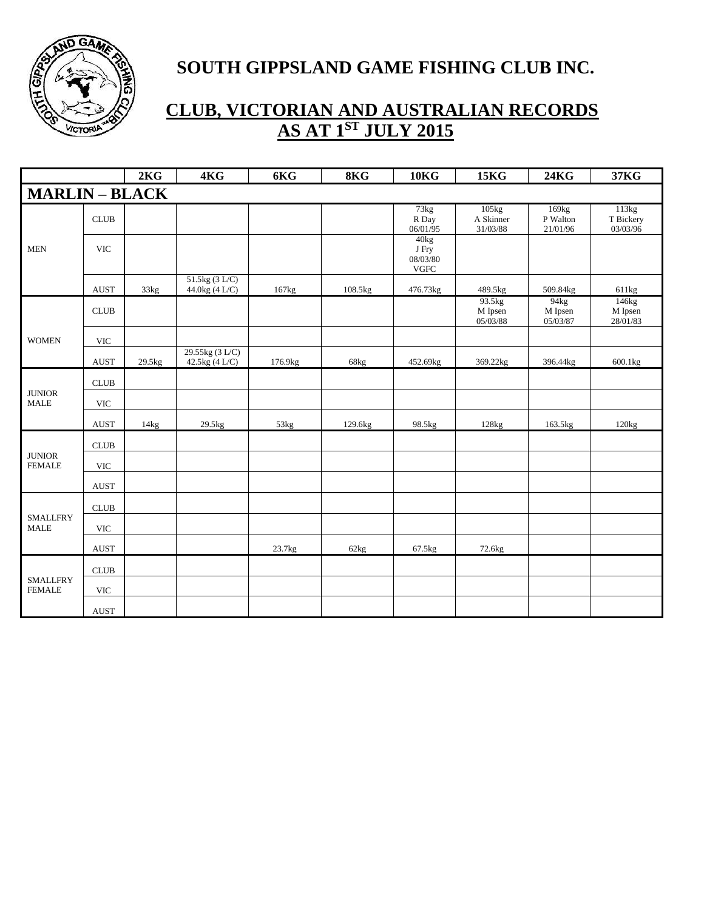

|                                  |                           | 2KG    | 4KG                               | 6KG             | 8KG     | 10 <sub>K</sub>                                       | <b>15KG</b>                    | <b>24KG</b>                   | 37KG                           |
|----------------------------------|---------------------------|--------|-----------------------------------|-----------------|---------|-------------------------------------------------------|--------------------------------|-------------------------------|--------------------------------|
| <b>MARLIN-BLACK</b>              |                           |        |                                   |                 |         |                                                       |                                |                               |                                |
|                                  | <b>CLUB</b>               |        |                                   |                 |         | 73kg<br>R Day<br>06/01/95                             | 105kg<br>A Skinner<br>31/03/88 | 169kg<br>P Walton<br>21/01/96 | 113kg<br>T Bickery<br>03/03/96 |
| <b>MEN</b>                       | <b>VIC</b>                |        |                                   |                 |         | 40 <sub>kg</sub><br>J Fry<br>08/03/80<br>${\rm VGFC}$ |                                |                               |                                |
|                                  | <b>AUST</b>               | 33kg   | 51.5kg (3 L/C)<br>44.0kg (4 L/C)  | 167kg           | 108.5kg | 476.73kg                                              | 489.5kg                        | 509.84kg                      | 611kg                          |
|                                  | <b>CLUB</b>               |        |                                   |                 |         |                                                       | 93.5kg<br>M Ipsen<br>05/03/88  | 94kg<br>M Ipsen<br>05/03/87   | 146kg<br>M Ipsen<br>28/01/83   |
| <b>WOMEN</b>                     | <b>VIC</b>                |        |                                   |                 |         |                                                       |                                |                               |                                |
|                                  | <b>AUST</b>               | 29.5kg | 29.55kg (3 L/C)<br>42.5kg (4 L/C) | 176.9kg         | 68kg    | 452.69kg                                              | 369.22kg                       | 396.44kg                      | 600.1kg                        |
|                                  | CLUB                      |        |                                   |                 |         |                                                       |                                |                               |                                |
| <b>JUNIOR</b><br><b>MALE</b>     | <b>VIC</b>                |        |                                   |                 |         |                                                       |                                |                               |                                |
|                                  | <b>AUST</b>               | 14kg   | 29.5kg                            | $53\mathrm{kg}$ | 129.6kg | 98.5kg                                                | 128kg                          | 163.5kg                       | $120\mathrm{kg}$               |
|                                  | <b>CLUB</b>               |        |                                   |                 |         |                                                       |                                |                               |                                |
| <b>JUNIOR</b><br><b>FEMALE</b>   | <b>VIC</b>                |        |                                   |                 |         |                                                       |                                |                               |                                |
|                                  | <b>AUST</b>               |        |                                   |                 |         |                                                       |                                |                               |                                |
|                                  | <b>CLUB</b>               |        |                                   |                 |         |                                                       |                                |                               |                                |
| <b>SMALLFRY</b><br><b>MALE</b>   | <b>VIC</b>                |        |                                   |                 |         |                                                       |                                |                               |                                |
|                                  | <b>AUST</b>               |        |                                   | 23.7kg          | 62kg    | 67.5kg                                                | 72.6kg                         |                               |                                |
|                                  | CLUB                      |        |                                   |                 |         |                                                       |                                |                               |                                |
| <b>SMALLFRY</b><br><b>FEMALE</b> | $\ensuremath{\text{VIC}}$ |        |                                   |                 |         |                                                       |                                |                               |                                |
|                                  | <b>AUST</b>               |        |                                   |                 |         |                                                       |                                |                               |                                |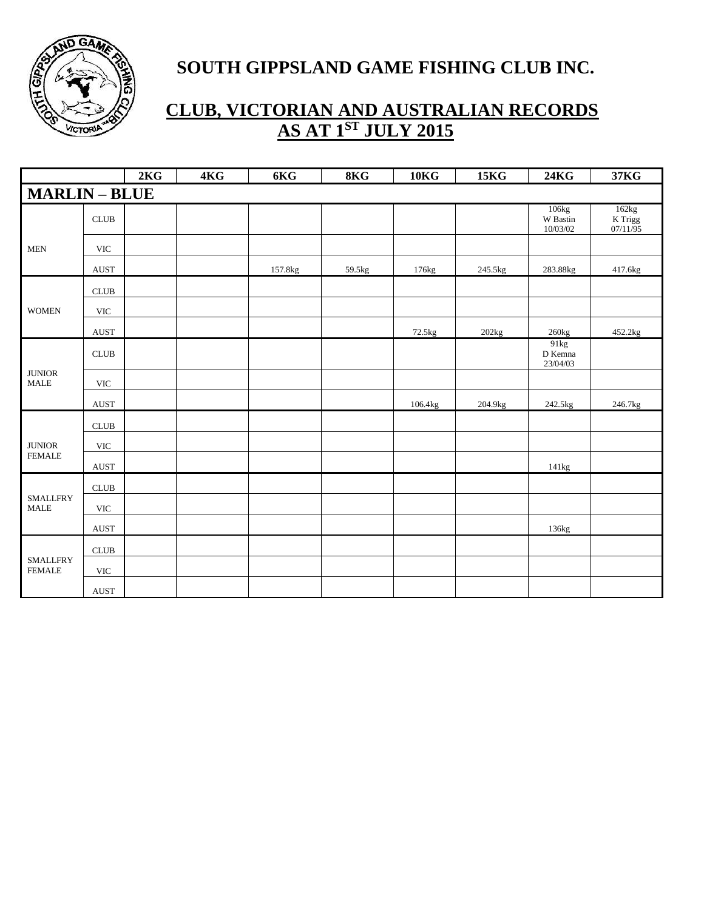

|                                        |                              | 2KG | 4KG | 6KG     | 8KG    | 10 <sub>K</sub> | 15 <sub>K</sub> | <b>24KG</b>                   | <b>37KG</b>                  |
|----------------------------------------|------------------------------|-----|-----|---------|--------|-----------------|-----------------|-------------------------------|------------------------------|
| <b>MARLIN-BLUE</b>                     |                              |     |     |         |        |                 |                 |                               |                              |
|                                        | <b>CLUB</b>                  |     |     |         |        |                 |                 | 106kg<br>W Bastin<br>10/03/02 | 162kg<br>K Trigg<br>07/11/95 |
| <b>MEN</b>                             | <b>VIC</b>                   |     |     |         |        |                 |                 |                               |                              |
|                                        | <b>AUST</b>                  |     |     | 157.8kg | 59.5kg | 176kg           | 245.5kg         | 283.88kg                      | 417.6kg                      |
|                                        | CLUB                         |     |     |         |        |                 |                 |                               |                              |
| <b>WOMEN</b>                           | $\ensuremath{\text{VIC}}$    |     |     |         |        |                 |                 |                               |                              |
|                                        | $\operatorname{AUST}$        |     |     |         |        | 72.5kg          | 202kg           | $260\mathrm{kg}$              | 452.2kg                      |
|                                        | CLUB                         |     |     |         |        |                 |                 | 91kg<br>D Kemna<br>23/04/03   |                              |
| <b>JUNIOR</b><br>$\operatorname{MALE}$ | $\ensuremath{\text{VIC}}$    |     |     |         |        |                 |                 |                               |                              |
|                                        | $\operatorname{AUST}$        |     |     |         |        | 106.4kg         | 204.9kg         | 242.5kg                       | 246.7kg                      |
|                                        | $\ensuremath{\mathsf{CLUB}}$ |     |     |         |        |                 |                 |                               |                              |
| <b>JUNIOR</b>                          | $\ensuremath{\text{VIC}}$    |     |     |         |        |                 |                 |                               |                              |
| <b>FEMALE</b>                          | AUST                         |     |     |         |        |                 |                 | 141kg                         |                              |
|                                        | $\ensuremath{\mathsf{CLUB}}$ |     |     |         |        |                 |                 |                               |                              |
| <b>SMALLFRY</b><br><b>MALE</b>         | <b>VIC</b>                   |     |     |         |        |                 |                 |                               |                              |
|                                        | AUST                         |     |     |         |        |                 |                 | 136kg                         |                              |
|                                        | $\ensuremath{\mathsf{CLUB}}$ |     |     |         |        |                 |                 |                               |                              |
| <b>SMALLFRY</b><br><b>FEMALE</b>       | <b>VIC</b>                   |     |     |         |        |                 |                 |                               |                              |
|                                        | AUST                         |     |     |         |        |                 |                 |                               |                              |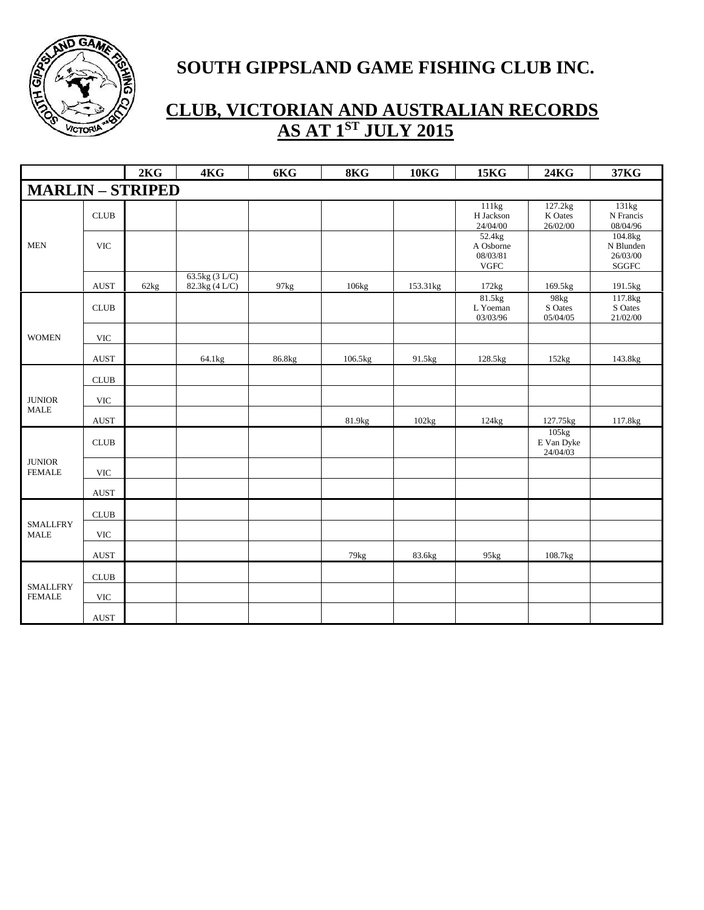

|                                  |             | 2KG  | 4KG                              | 6KG    | 8KG     | <b>10KG</b> | <b>15KG</b>                                     | <b>24KG</b>                     | 37KG                                              |
|----------------------------------|-------------|------|----------------------------------|--------|---------|-------------|-------------------------------------------------|---------------------------------|---------------------------------------------------|
| <b>MARLIN-STRIPED</b>            |             |      |                                  |        |         |             |                                                 |                                 |                                                   |
|                                  | CLUB        |      |                                  |        |         |             | 111kg<br>H Jackson<br>24/04/00                  | 127.2kg<br>K Oates<br>26/02/00  | 131kg<br>N Francis<br>08/04/96                    |
| <b>MEN</b>                       | <b>VIC</b>  |      |                                  |        |         |             | 52.4kg<br>A Osborne<br>08/03/81<br>${\rm VGFC}$ |                                 | 104.8kg<br>N Blunden<br>26/03/00<br>${\bf SGGFC}$ |
|                                  | <b>AUST</b> | 62kg | 63.5kg (3 L/C)<br>82.3kg (4 L/C) | 97kg   | 106kg   | 153.31kg    | 172kg                                           | 169.5kg                         | 191.5kg                                           |
|                                  | CLUB        |      |                                  |        |         |             | 81.5kg<br>L Yoeman<br>03/03/96                  | 98kg<br>S Oates<br>05/04/05     | 117.8kg<br>S Oates<br>21/02/00                    |
| <b>WOMEN</b>                     | <b>VIC</b>  |      |                                  |        |         |             |                                                 |                                 |                                                   |
|                                  | AUST        |      | 64.1kg                           | 86.8kg | 106.5kg | 91.5kg      | 128.5kg                                         | 152kg                           | 143.8kg                                           |
|                                  | CLUB        |      |                                  |        |         |             |                                                 |                                 |                                                   |
| <b>JUNIOR</b>                    | <b>VIC</b>  |      |                                  |        |         |             |                                                 |                                 |                                                   |
| <b>MALE</b>                      | <b>AUST</b> |      |                                  |        | 81.9kg  | 102kg       | 124kg                                           | 127.75kg                        | 117.8kg                                           |
|                                  | <b>CLUB</b> |      |                                  |        |         |             |                                                 | 105kg<br>E Van Dyke<br>24/04/03 |                                                   |
| <b>JUNIOR</b><br><b>FEMALE</b>   | <b>VIC</b>  |      |                                  |        |         |             |                                                 |                                 |                                                   |
|                                  | <b>AUST</b> |      |                                  |        |         |             |                                                 |                                 |                                                   |
|                                  | CLUB        |      |                                  |        |         |             |                                                 |                                 |                                                   |
| <b>SMALLFRY</b><br><b>MALE</b>   | <b>VIC</b>  |      |                                  |        |         |             |                                                 |                                 |                                                   |
|                                  | AUST        |      |                                  |        | 79kg    | 83.6kg      | 95kg                                            | 108.7kg                         |                                                   |
|                                  | <b>CLUB</b> |      |                                  |        |         |             |                                                 |                                 |                                                   |
| <b>SMALLFRY</b><br><b>FEMALE</b> | <b>VIC</b>  |      |                                  |        |         |             |                                                 |                                 |                                                   |
|                                  | <b>AUST</b> |      |                                  |        |         |             |                                                 |                                 |                                                   |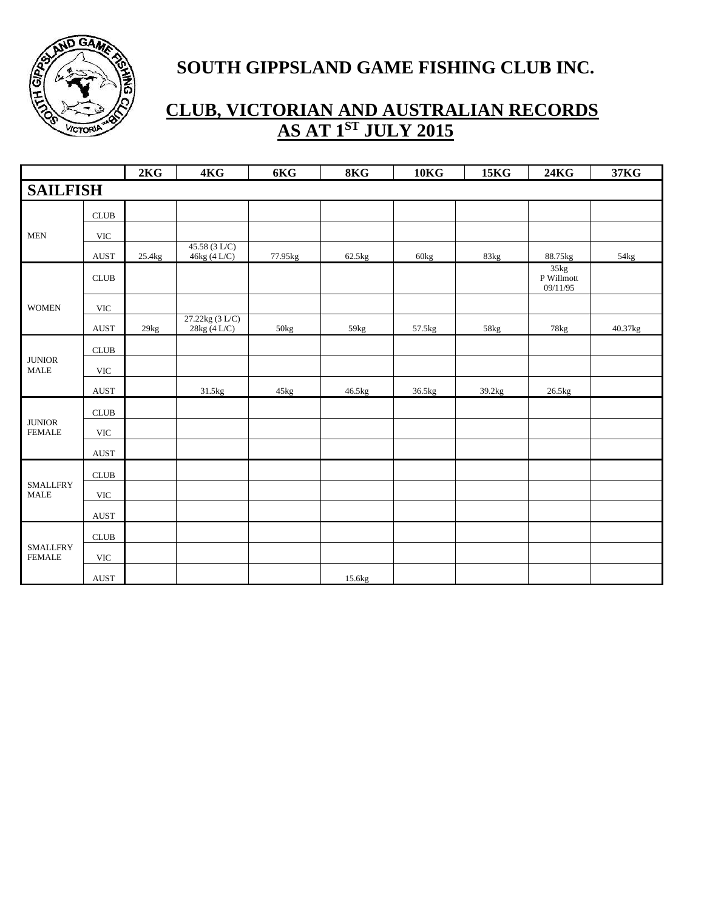

|                                          |                              | 2KG    | 4KG                            | 6KG     | 8KG    | <b>10KG</b> | <b>15KG</b> | <b>24KG</b>                    | 37KG    |
|------------------------------------------|------------------------------|--------|--------------------------------|---------|--------|-------------|-------------|--------------------------------|---------|
| <b>SAILFISH</b>                          |                              |        |                                |         |        |             |             |                                |         |
|                                          | CLUB                         |        |                                |         |        |             |             |                                |         |
| $\operatorname{\mathsf{MEN}}$            | $\ensuremath{\text{VIC}}$    |        |                                |         |        |             |             |                                |         |
|                                          | $\operatorname{AUST}$        | 25.4kg | 45.58(3 LC)<br>46kg (4L/C)     | 77.95kg | 62.5kg | 60kg        | 83kg        | 88.75kg                        | 54kg    |
|                                          | <b>CLUB</b>                  |        |                                |         |        |             |             | 35kg<br>P Willmott<br>09/11/95 |         |
| <b>WOMEN</b>                             | $\ensuremath{\text{VIC}}$    |        |                                |         |        |             |             |                                |         |
|                                          | <b>AUST</b>                  | 29kg   | 27.22kg (3 L/C)<br>28kg (4L/C) | 50kg    | 59kg   | 57.5kg      | 58kg        | 78kg                           | 40.37kg |
|                                          | ${\rm CLUB}$                 |        |                                |         |        |             |             |                                |         |
| $\qquad$ JUNIOR<br>$\operatorname{MALE}$ | $\ensuremath{\text{VIC}}$    |        |                                |         |        |             |             |                                |         |
|                                          | <b>AUST</b>                  |        | 31.5kg                         | 45kg    | 46.5kg | 36.5kg      | 39.2kg      | 26.5kg                         |         |
|                                          | CLUB                         |        |                                |         |        |             |             |                                |         |
| $\qquad$ JUNIOR<br><b>FEMALE</b>         | $\ensuremath{\text{VIC}}$    |        |                                |         |        |             |             |                                |         |
|                                          | $\operatorname{AUST}$        |        |                                |         |        |             |             |                                |         |
|                                          | $\ensuremath{\mathsf{CLUB}}$ |        |                                |         |        |             |             |                                |         |
| <b>SMALLFRY</b><br><b>MALE</b>           | <b>VIC</b>                   |        |                                |         |        |             |             |                                |         |
|                                          | $\operatorname{AUST}$        |        |                                |         |        |             |             |                                |         |
|                                          | $\ensuremath{\mathsf{CLUB}}$ |        |                                |         |        |             |             |                                |         |
| <b>SMALLFRY</b><br><b>FEMALE</b>         | $\ensuremath{\text{VIC}}$    |        |                                |         |        |             |             |                                |         |
|                                          | <b>AUST</b>                  |        |                                |         | 15.6kg |             |             |                                |         |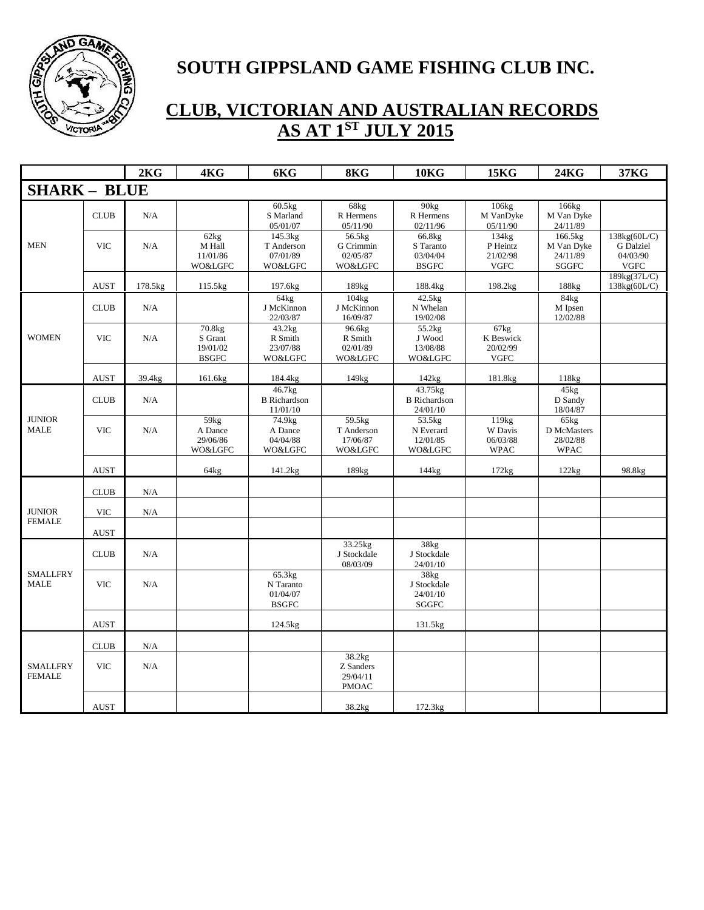

|                                  |             | 2KG     | 4KG                                           | 6KG                                                     | 8KG                                             | <b>10KG</b>                                     | <b>15KG</b>                                             | <b>24KG</b>                                       | 37KG                                                 |
|----------------------------------|-------------|---------|-----------------------------------------------|---------------------------------------------------------|-------------------------------------------------|-------------------------------------------------|---------------------------------------------------------|---------------------------------------------------|------------------------------------------------------|
| <b>SHARK - BLUE</b>              |             |         |                                               |                                                         |                                                 |                                                 |                                                         |                                                   |                                                      |
|                                  | <b>CLUB</b> | N/A     |                                               | 60.5kg<br>S Marland<br>05/01/07                         | 68kg<br>R Hermens<br>05/11/90                   | 90kg<br>R Hermens<br>02/11/96                   | 106kg<br>M VanDyke<br>05/11/90                          | 166kg<br>M Van Dyke<br>24/11/89                   |                                                      |
| <b>MEN</b>                       | <b>VIC</b>  | N/A     | 62kg<br>M Hall<br>11/01/86<br>WO&LGFC         | 145.3kg<br>T Anderson<br>07/01/89<br><b>WO&amp;LGFC</b> | 56.5kg<br>G Crimmin<br>02/05/87<br>WO&LGFC      | 66.8kg<br>S Taranto<br>03/04/04<br><b>BSGFC</b> | 134kg<br>P Heintz<br>21/02/98<br><b>VGFC</b>            | 166.5kg<br>M Van Dyke<br>24/11/89<br><b>SGGFC</b> | 138kg(60L/C)<br>G Dalziel<br>04/03/90<br><b>VGFC</b> |
|                                  | <b>AUST</b> | 178.5kg | 115.5kg                                       | 197.6kg                                                 | 189kg                                           | 188.4kg                                         | 198.2kg                                                 | 188kg                                             | 189kg(37L/C)<br>138kg(60L/C)                         |
|                                  | <b>CLUB</b> | N/A     |                                               | 64kg<br>J McKinnon<br>22/03/87                          | 104kg<br>J McKinnon<br>16/09/87                 | 42.5kg<br>N Whelan<br>19/02/08                  |                                                         | 84kg<br>M Ipsen<br>$12/\overline{02}/88$          |                                                      |
| <b>WOMEN</b>                     | <b>VIC</b>  | N/A     | 70.8kg<br>S Grant<br>19/01/02<br><b>BSGFC</b> | 43.2kg<br>R Smith<br>23/07/88<br>WO&LGFC                | 96.6kg<br>R Smith<br>02/01/89<br>WO&LGFC        | 55.2kg<br>J Wood<br>13/08/88<br>WO&LGFC         | 67kg<br>K Beswick<br>20/02/99<br><b>VGFC</b>            |                                                   |                                                      |
|                                  | <b>AUST</b> | 39.4kg  | 161.6kg                                       | 184.4kg                                                 | 149kg                                           | 142kg                                           | 181.8kg                                                 | 118kg                                             |                                                      |
|                                  | CLUB        | N/A     |                                               | 46.7kg<br><b>B</b> Richardson<br>11/01/10               |                                                 | 43.75kg<br><b>B</b> Richardson<br>24/01/10      |                                                         | 45kg<br>D Sandy<br>18/04/87                       |                                                      |
| <b>JUNIOR</b><br><b>MALE</b>     | <b>VIC</b>  | N/A     | 59kg<br>A Dance<br>29/06/86<br>WO&LGFC        | 74.9 <sub>kg</sub><br>A Dance<br>04/04/88<br>WO&LGFC    | 59.5kg<br>T Anderson<br>17/06/87<br>WO&LGFC     | 53.5kg<br>N Everard<br>12/01/85<br>WO&LGFC      | 119 <sub>kg</sub><br>W Davis<br>06/03/88<br><b>WPAC</b> | 65kg<br>D McMasters<br>28/02/88<br><b>WPAC</b>    |                                                      |
|                                  | <b>AUST</b> |         | 64kg                                          | 141.2kg                                                 | 189kg                                           | 144kg                                           | 172kg                                                   | 122kg                                             | 98.8kg                                               |
|                                  | <b>CLUB</b> | N/A     |                                               |                                                         |                                                 |                                                 |                                                         |                                                   |                                                      |
| <b>JUNIOR</b>                    | <b>VIC</b>  | N/A     |                                               |                                                         |                                                 |                                                 |                                                         |                                                   |                                                      |
| <b>FEMALE</b>                    | <b>AUST</b> |         |                                               |                                                         |                                                 |                                                 |                                                         |                                                   |                                                      |
|                                  | <b>CLUB</b> | N/A     |                                               |                                                         | 33.25kg<br>J Stockdale<br>08/03/09              | 38kg<br>J Stockdale<br>24/01/10                 |                                                         |                                                   |                                                      |
| <b>SMALLFRY</b><br><b>MALE</b>   | <b>VIC</b>  | N/A     |                                               | 65.3kg<br>N Taranto<br>01/04/07<br><b>BSGFC</b>         |                                                 | 38kg<br>J Stockdale<br>24/01/10<br><b>SGGFC</b> |                                                         |                                                   |                                                      |
|                                  | <b>AUST</b> |         |                                               | 124.5kg                                                 |                                                 | 131.5kg                                         |                                                         |                                                   |                                                      |
|                                  | <b>CLUB</b> | N/A     |                                               |                                                         |                                                 |                                                 |                                                         |                                                   |                                                      |
| <b>SMALLFRY</b><br><b>FEMALE</b> | <b>VIC</b>  | N/A     |                                               |                                                         | 38.2kg<br>Z Sanders<br>29/04/11<br><b>PMOAC</b> |                                                 |                                                         |                                                   |                                                      |
|                                  | <b>AUST</b> |         |                                               |                                                         | 38.2kg                                          | 172.3kg                                         |                                                         |                                                   |                                                      |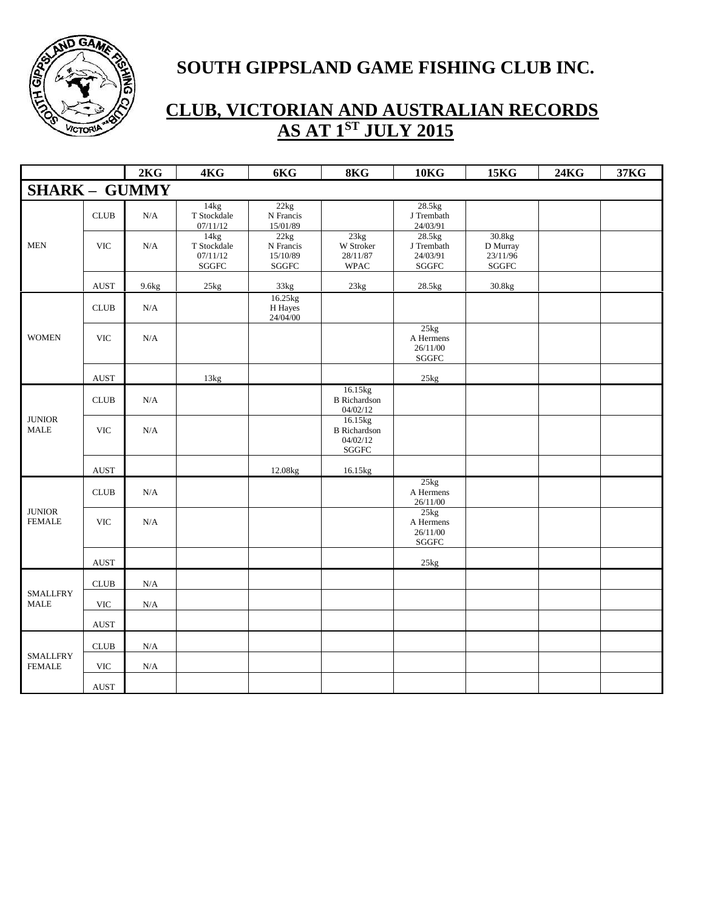

|                                          |                              | 2KG               | 4KG                                      | 6KG                                    | 8KG                                                         | <b>10KG</b>                                    | <b>15KG</b>                             | <b>24KG</b> | 37KG |
|------------------------------------------|------------------------------|-------------------|------------------------------------------|----------------------------------------|-------------------------------------------------------------|------------------------------------------------|-----------------------------------------|-------------|------|
| <b>SHARK - GUMMY</b>                     |                              |                   |                                          |                                        |                                                             |                                                |                                         |             |      |
|                                          | $\ensuremath{\mathsf{CLUB}}$ | $\rm N/A$         | 14kg<br>T Stockdale<br>07/11/12          | 22kg<br>N Francis<br>15/01/89          |                                                             | 28.5kg<br>J Trembath<br>24/03/91               |                                         |             |      |
| <b>MEN</b>                               | <b>VIC</b>                   | N/A               | 14kg<br>T Stockdale<br>07/11/12<br>SGGFC | 22kg<br>N Francis<br>15/10/89<br>SGGFC | 23kg<br>W Stroker<br>28/11/87<br><b>WPAC</b>                | 28.5kg<br>J Trembath<br>24/03/91<br>SGGFC      | 30.8kg<br>D Murray<br>23/11/96<br>SGGFC |             |      |
|                                          | <b>AUST</b>                  | 9.6 <sub>kg</sub> | 25kg                                     | 33kg                                   | $23\mathrm{kg}$                                             | $28.5\mathrm{kg}$                              | $30.8\mathrm{kg}$                       |             |      |
|                                          | $\ensuremath{\mathsf{CLUB}}$ | $\rm N/A$         |                                          | 16.25kg<br>H Hayes<br>24/04/00         |                                                             |                                                |                                         |             |      |
| <b>WOMEN</b>                             | <b>VIC</b>                   | N/A               |                                          |                                        |                                                             | 25kg<br>A Hermens<br>26/11/00<br>${\bf SGGFC}$ |                                         |             |      |
|                                          | <b>AUST</b>                  |                   | 13kg                                     |                                        |                                                             | 25kg                                           |                                         |             |      |
|                                          | <b>CLUB</b>                  | N/A               |                                          |                                        | 16.15kg<br><b>B</b> Richardson<br>04/02/12                  |                                                |                                         |             |      |
| <b>JUNIOR</b><br><b>MALE</b>             | <b>VIC</b>                   | N/A               |                                          |                                        | 16.15kg<br><b>B</b> Richardson<br>04/02/12<br>${\bf SGGFC}$ |                                                |                                         |             |      |
|                                          | <b>AUST</b>                  |                   |                                          | 12.08kg                                | 16.15kg                                                     |                                                |                                         |             |      |
|                                          | <b>CLUB</b>                  | N/A               |                                          |                                        |                                                             | 25kg<br>A Hermens<br>26/11/00                  |                                         |             |      |
| <b>JUNIOR</b><br><b>FEMALE</b>           | <b>VIC</b>                   | N/A               |                                          |                                        |                                                             | 25kg<br>A Hermens<br>26/11/00<br>${\bf SGGFC}$ |                                         |             |      |
|                                          | <b>AUST</b>                  |                   |                                          |                                        |                                                             | 25kg                                           |                                         |             |      |
|                                          | <b>CLUB</b>                  | N/A               |                                          |                                        |                                                             |                                                |                                         |             |      |
| <b>SMALLFRY</b><br>$\operatorname{MALE}$ | $\ensuremath{\text{VIC}}$    | $\rm N/A$         |                                          |                                        |                                                             |                                                |                                         |             |      |
|                                          | AUST                         |                   |                                          |                                        |                                                             |                                                |                                         |             |      |
|                                          | CLUB                         | $\rm N/A$         |                                          |                                        |                                                             |                                                |                                         |             |      |
| <b>SMALLFRY</b><br><b>FEMALE</b>         | <b>VIC</b>                   | N/A               |                                          |                                        |                                                             |                                                |                                         |             |      |
|                                          | $\operatorname{AUST}$        |                   |                                          |                                        |                                                             |                                                |                                         |             |      |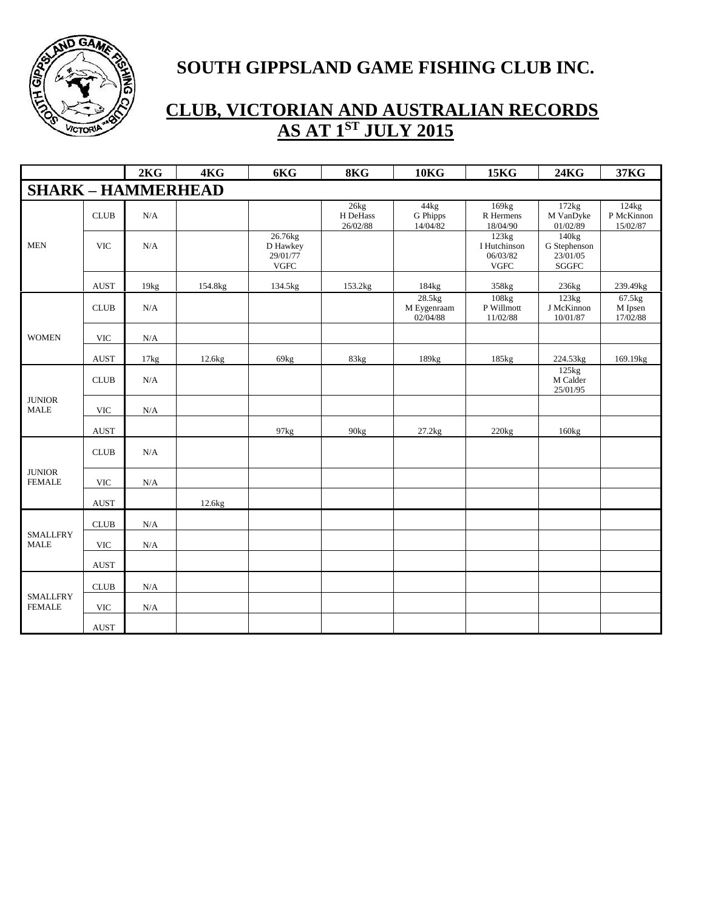

|                                  |             | 2KG       | 4KG     | 6KG                                             | 8KG                          | <b>10KG</b>                       | <b>15KG</b>                                       | <b>24KG</b>                                        | 37KG                            |
|----------------------------------|-------------|-----------|---------|-------------------------------------------------|------------------------------|-----------------------------------|---------------------------------------------------|----------------------------------------------------|---------------------------------|
| <b>SHARK - HAMMERHEAD</b>        |             |           |         |                                                 |                              |                                   |                                                   |                                                    |                                 |
|                                  | <b>CLUB</b> | N/A       |         |                                                 | 26kg<br>H DeHass<br>26/02/88 | 44kg<br>G Phipps<br>14/04/82      | 169kg<br>R Hermens<br>18/04/90                    | 172kg<br>M VanDyke<br>01/02/89                     | 124kg<br>P McKinnon<br>15/02/87 |
| <b>MEN</b>                       | <b>VIC</b>  | N/A       |         | 26.76kg<br>D Hawkey<br>29/01/77<br>${\rm VGFC}$ |                              |                                   | 123kg<br>I Hutchinson<br>06/03/82<br>${\rm VGFC}$ | 140kg<br>G Stephenson<br>23/01/05<br>${\bf SGGFC}$ |                                 |
|                                  | <b>AUST</b> | 19kg      | 154.8kg | 134.5kg                                         | 153.2kg                      | 184kg                             | 358kg                                             | 236kg                                              | 239.49kg                        |
|                                  | <b>CLUB</b> | N/A       |         |                                                 |                              | 28.5kg<br>M Eygenraam<br>02/04/88 | 108kg<br>P Willmott<br>11/02/88                   | 123kg<br>J McKinnon<br>10/01/87                    | 67.5kg<br>M Ipsen<br>17/02/88   |
| <b>WOMEN</b>                     | <b>VIC</b>  | N/A       |         |                                                 |                              |                                   |                                                   |                                                    |                                 |
|                                  | <b>AUST</b> | 17kg      | 12.6kg  | 69kg                                            | 83kg                         | 189 <sub>kg</sub>                 | 185kg                                             | 224.53kg                                           | 169.19kg                        |
|                                  | CLUB        | N/A       |         |                                                 |                              |                                   |                                                   | 125kg<br>M Calder<br>25/01/95                      |                                 |
| <b>JUNIOR</b><br><b>MALE</b>     | <b>VIC</b>  | $\rm N/A$ |         |                                                 |                              |                                   |                                                   |                                                    |                                 |
|                                  | <b>AUST</b> |           |         | 97kg                                            | 90 <sub>kg</sub>             | 27.2kg                            | 220kg                                             | 160kg                                              |                                 |
|                                  | <b>CLUB</b> | N/A       |         |                                                 |                              |                                   |                                                   |                                                    |                                 |
| <b>JUNIOR</b><br><b>FEMALE</b>   | <b>VIC</b>  | N/A       |         |                                                 |                              |                                   |                                                   |                                                    |                                 |
|                                  | <b>AUST</b> |           | 12.6kg  |                                                 |                              |                                   |                                                   |                                                    |                                 |
|                                  | CLUB        | $\rm N/A$ |         |                                                 |                              |                                   |                                                   |                                                    |                                 |
| <b>SMALLFRY</b><br><b>MALE</b>   | <b>VIC</b>  | $\rm N/A$ |         |                                                 |                              |                                   |                                                   |                                                    |                                 |
|                                  | <b>AUST</b> |           |         |                                                 |                              |                                   |                                                   |                                                    |                                 |
|                                  | CLUB        | N/A       |         |                                                 |                              |                                   |                                                   |                                                    |                                 |
| <b>SMALLFRY</b><br><b>FEMALE</b> | <b>VIC</b>  | $\rm N/A$ |         |                                                 |                              |                                   |                                                   |                                                    |                                 |
|                                  | <b>AUST</b> |           |         |                                                 |                              |                                   |                                                   |                                                    |                                 |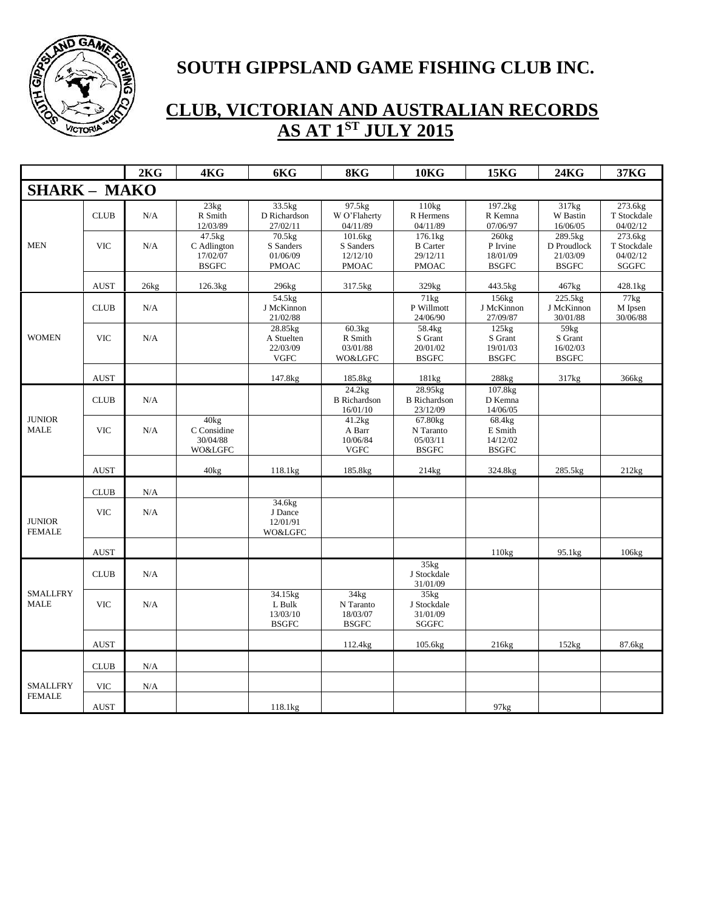

|                                |             | 2KG  | 4KG                                               | 6KG                                              | 8KG                                              | <b>10KG</b>                                            | <b>15KG</b>                                   | <b>24KG</b>                                        | 37KG                                               |
|--------------------------------|-------------|------|---------------------------------------------------|--------------------------------------------------|--------------------------------------------------|--------------------------------------------------------|-----------------------------------------------|----------------------------------------------------|----------------------------------------------------|
| <b>SHARK - MAKO</b>            |             |      |                                                   |                                                  |                                                  |                                                        |                                               |                                                    |                                                    |
|                                | <b>CLUB</b> | N/A  | 23kg<br>R Smith<br>12/03/89                       | 33.5kg<br>D Richardson<br>27/02/11               | 97.5kg<br>W O'Flaherty<br>04/11/89               | 110kg<br>R Hermens<br>04/11/89                         | 197.2kg<br>R Kemna<br>07/06/97                | 317kg<br>W Bastin<br>16/06/05                      | 273.6kg<br>T Stockdale<br>04/02/12                 |
| <b>MEN</b>                     | <b>VIC</b>  | N/A  | 47.5kg<br>C Adlington<br>17/02/07<br><b>BSGFC</b> | 70.5kg<br>S Sanders<br>01/06/09<br><b>PMOAC</b>  | 101.6kg<br>S Sanders<br>12/12/10<br><b>PMOAC</b> | 176.1kg<br><b>B</b> Carter<br>29/12/11<br><b>PMOAC</b> | 260kg<br>P Irvine<br>18/01/09<br><b>BSGFC</b> | 289.5kg<br>D Proudlock<br>21/03/09<br><b>BSGFC</b> | 273.6kg<br>T Stockdale<br>04/02/12<br><b>SGGFC</b> |
|                                | <b>AUST</b> | 26kg | 126.3kg                                           | 296kg                                            | 317.5kg                                          | 329kg                                                  | 443.5kg                                       | 467kg                                              | 428.1kg                                            |
|                                | <b>CLUB</b> | N/A  |                                                   | 54.5kg<br>J McKinnon<br>21/02/88                 |                                                  | 71kg<br>P Willmott<br>24/06/90                         | 156kg<br>J McKinnon<br>27/09/87               | 225.5kg<br>J McKinnon<br>30/01/88                  | 77kg<br>M Ipsen<br>30/06/88                        |
| <b>WOMEN</b>                   | <b>VIC</b>  | N/A  |                                                   | 28.85kg<br>A Stuelten<br>22/03/09<br><b>VGFC</b> | 60.3kg<br>R Smith<br>03/01/88<br>WO&LGFC         | 58.4kg<br>S Grant<br>20/01/02<br><b>BSGFC</b>          | 125kg<br>S Grant<br>19/01/03<br><b>BSGFC</b>  | 59kg<br>S Grant<br>16/02/03<br><b>BSGFC</b>        |                                                    |
|                                | <b>AUST</b> |      |                                                   | 147.8kg                                          | 185.8kg                                          | 181kg                                                  | 288kg                                         | 317kg                                              | 366kg                                              |
|                                | <b>CLUB</b> | N/A  |                                                   |                                                  | 24.2kg<br><b>B</b> Richardson<br>16/01/10        | 28.95kg<br><b>B</b> Richardson<br>23/12/09             | 107.8kg<br>D Kemna<br>14/06/05                |                                                    |                                                    |
| <b>JUNIOR</b><br><b>MALE</b>   | <b>VIC</b>  | N/A  | 40kg<br>C Considine<br>30/04/88<br>WO&LGFC        |                                                  | 41.2kg<br>A Barr<br>10/06/84<br><b>VGFC</b>      | 67.80kg<br>N Taranto<br>05/03/11<br><b>BSGFC</b>       | 68.4kg<br>E Smith<br>14/12/02<br><b>BSGFC</b> |                                                    |                                                    |
|                                | <b>AUST</b> |      | 40kg                                              | 118.1kg                                          | 185.8kg                                          | 214kg                                                  | 324.8kg                                       | 285.5kg                                            | 212kg                                              |
|                                | <b>CLUB</b> | N/A  |                                                   |                                                  |                                                  |                                                        |                                               |                                                    |                                                    |
| <b>JUNIOR</b><br><b>FEMALE</b> | <b>VIC</b>  | N/A  |                                                   | 34.6kg<br>J Dance<br>12/01/91<br>WO&LGFC         |                                                  |                                                        |                                               |                                                    |                                                    |
|                                | <b>AUST</b> |      |                                                   |                                                  |                                                  |                                                        | 110 <sub>kg</sub>                             | 95.1kg                                             | 106kg                                              |
|                                | <b>CLUB</b> | N/A  |                                                   |                                                  |                                                  | 35kg<br>J Stockdale<br>31/01/09                        |                                               |                                                    |                                                    |
| <b>SMALLFRY</b><br><b>MALE</b> | <b>VIC</b>  | N/A  |                                                   | 34.15kg<br>L Bulk<br>13/03/10<br><b>BSGFC</b>    | 34kg<br>N Taranto<br>18/03/07<br><b>BSGFC</b>    | 35kg<br>J Stockdale<br>31/01/09<br><b>SGGFC</b>        |                                               |                                                    |                                                    |
|                                | <b>AUST</b> |      |                                                   |                                                  | 112.4kg                                          | 105.6kg                                                | 216kg                                         | 152kg                                              | 87.6kg                                             |
|                                | <b>CLUB</b> | N/A  |                                                   |                                                  |                                                  |                                                        |                                               |                                                    |                                                    |
| <b>SMALLFRY</b>                | <b>VIC</b>  | N/A  |                                                   |                                                  |                                                  |                                                        |                                               |                                                    |                                                    |
| <b>FEMALE</b>                  | <b>AUST</b> |      |                                                   | 118.1kg                                          |                                                  |                                                        | 97kg                                          |                                                    |                                                    |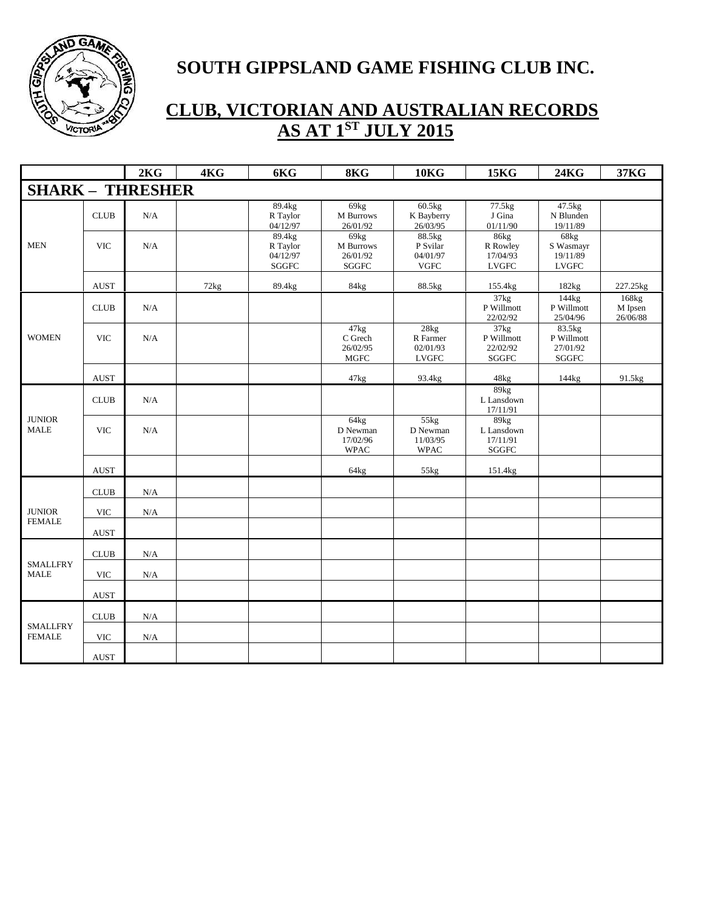

|                                  |                           | 2KG       | 4KG  | 6KG                                     | 8KG                                           | <b>10KG</b>                                   | <b>15KG</b>                                     | <b>24KG</b>                                   | <b>37KG</b>                  |
|----------------------------------|---------------------------|-----------|------|-----------------------------------------|-----------------------------------------------|-----------------------------------------------|-------------------------------------------------|-----------------------------------------------|------------------------------|
| <b>SHARK - THRESHER</b>          |                           |           |      |                                         |                                               |                                               |                                                 |                                               |                              |
|                                  | CLUB                      | N/A       |      | 89.4kg<br>R Taylor<br>04/12/97          | 69kg<br><b>M</b> Burrows<br>26/01/92          | $60.5$ kg<br>K Bayberry<br>26/03/95           | 77.5kg<br>J Gina<br>01/11/90                    | 47.5kg<br>N Blunden<br>19/11/89               |                              |
| <b>MEN</b>                       | <b>VIC</b>                | N/A       |      | 89.4kg<br>R Taylor<br>04/12/97<br>SGGFC | 69kg<br>M Burrows<br>26/01/92<br><b>SGGFC</b> | 88.5kg<br>P Svilar<br>04/01/97<br><b>VGFC</b> | 86kg<br>R Rowley<br>17/04/93<br><b>LVGFC</b>    | 68kg<br>S Wasmayr<br>19/11/89<br><b>LVGFC</b> |                              |
|                                  | <b>AUST</b>               |           | 72kg | 89.4kg                                  | 84kg                                          | 88.5kg                                        | 155.4kg                                         | 182kg                                         | 227.25kg                     |
|                                  | <b>CLUB</b>               | N/A       |      |                                         |                                               |                                               | 37kg<br>P Willmott<br>22/02/92                  | 144kg<br>P Willmott<br>25/04/96               | 168kg<br>M Ipsen<br>26/06/88 |
| <b>WOMEN</b>                     | <b>VIC</b>                | N/A       |      |                                         | 47kg<br>C Grech<br>26/02/95<br><b>MGFC</b>    | 28kg<br>R Farmer<br>02/01/93<br><b>LVGFC</b>  | 37kg<br>P Willmott<br>22/02/92<br>${\bf SGGFC}$ | 83.5kg<br>P Willmott<br>27/01/92<br>SGGFC     |                              |
|                                  | $\operatorname{AUST}$     |           |      |                                         | 47kg                                          | 93.4kg                                        | 48kg                                            | 144kg                                         | 91.5kg                       |
|                                  | <b>CLUB</b>               | N/A       |      |                                         |                                               |                                               | 89kg<br>L Lansdown<br>17/11/91                  |                                               |                              |
| <b>JUNIOR</b><br><b>MALE</b>     | <b>VIC</b>                | N/A       |      |                                         | 64kg<br>D Newman<br>17/02/96<br><b>WPAC</b>   | 55kg<br>D Newman<br>11/03/95<br><b>WPAC</b>   | 89kg<br>L Lansdown<br>17/11/91<br>${\bf SGGFC}$ |                                               |                              |
|                                  | <b>AUST</b>               |           |      |                                         | 64kg                                          | 55kg                                          | 151.4kg                                         |                                               |                              |
|                                  | CLUB                      | N/A       |      |                                         |                                               |                                               |                                                 |                                               |                              |
| <b>JUNIOR</b><br><b>FEMALE</b>   | <b>VIC</b>                | $\rm N/A$ |      |                                         |                                               |                                               |                                                 |                                               |                              |
|                                  | <b>AUST</b>               |           |      |                                         |                                               |                                               |                                                 |                                               |                              |
| <b>SMALLFRY</b>                  | CLUB                      | N/A       |      |                                         |                                               |                                               |                                                 |                                               |                              |
| <b>MALE</b>                      | $\ensuremath{\text{VIC}}$ | $\rm N/A$ |      |                                         |                                               |                                               |                                                 |                                               |                              |
|                                  | <b>AUST</b>               |           |      |                                         |                                               |                                               |                                                 |                                               |                              |
|                                  | CLUB                      | N/A       |      |                                         |                                               |                                               |                                                 |                                               |                              |
| <b>SMALLFRY</b><br><b>FEMALE</b> | <b>VIC</b>                | N/A       |      |                                         |                                               |                                               |                                                 |                                               |                              |
|                                  | $\operatorname{AUST}$     |           |      |                                         |                                               |                                               |                                                 |                                               |                              |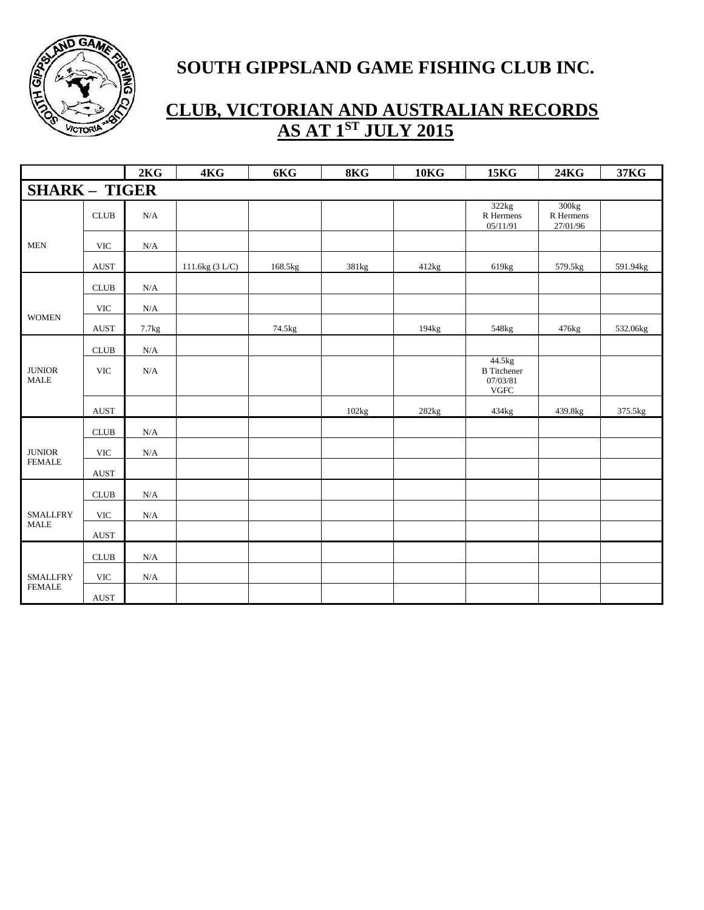

|                              |                              | 2KG                     | 4KG             | 6KG     | 8KG   | 10 <sub>K</sub> | <b>15KG</b>                                             | <b>24KG</b>                                | 37KG     |
|------------------------------|------------------------------|-------------------------|-----------------|---------|-------|-----------------|---------------------------------------------------------|--------------------------------------------|----------|
| <b>SHARK - TIGER</b>         |                              |                         |                 |         |       |                 |                                                         |                                            |          |
|                              | $\ensuremath{\mathsf{CLUB}}$ | N/A                     |                 |         |       |                 | 322kg<br>R Hermens<br>05/11/91                          | 300 <sub>kg</sub><br>R Hermens<br>27/01/96 |          |
| <b>MEN</b>                   | <b>VIC</b>                   | $\rm N/A$               |                 |         |       |                 |                                                         |                                            |          |
|                              | <b>AUST</b>                  |                         | 111.6kg (3 L/C) | 168.5kg | 381kg | 412kg           | 619kg                                                   | 579.5kg                                    | 591.94kg |
|                              | <b>CLUB</b>                  | $\mathbf{N}/\mathbf{A}$ |                 |         |       |                 |                                                         |                                            |          |
|                              | <b>VIC</b>                   | $\rm N/A$               |                 |         |       |                 |                                                         |                                            |          |
| <b>WOMEN</b>                 | $\operatorname{AUST}$        | 7.7kg                   |                 | 74.5kg  |       | 194kg           | 548kg                                                   | 476kg                                      | 532.06kg |
|                              | $\ensuremath{\mathsf{CLUB}}$ | $\rm N/A$               |                 |         |       |                 |                                                         |                                            |          |
| <b>JUNIOR</b><br><b>MALE</b> | <b>VIC</b>                   | $\rm N/A$               |                 |         |       |                 | 44.5kg<br><b>B</b> Titchener<br>07/03/81<br><b>VGFC</b> |                                            |          |
|                              | $\operatorname{AUST}$        |                         |                 |         | 102kg | 282kg           | 434kg                                                   | 439.8kg                                    | 375.5kg  |
|                              | $\ensuremath{\mathsf{CLUB}}$ | $\rm N/A$               |                 |         |       |                 |                                                         |                                            |          |
| <b>JUNIOR</b>                | <b>VIC</b>                   | $\rm N/A$               |                 |         |       |                 |                                                         |                                            |          |
| <b>FEMALE</b>                | <b>AUST</b>                  |                         |                 |         |       |                 |                                                         |                                            |          |
|                              | CLUB                         | $\rm N/A$               |                 |         |       |                 |                                                         |                                            |          |
| <b>SMALLFRY</b>              | <b>VIC</b>                   | N/A                     |                 |         |       |                 |                                                         |                                            |          |
| $\operatorname{MALE}$        | <b>AUST</b>                  |                         |                 |         |       |                 |                                                         |                                            |          |
|                              | $\ensuremath{\mathsf{CLUB}}$ | $\rm N/A$               |                 |         |       |                 |                                                         |                                            |          |
| <b>SMALLFRY</b>              | <b>VIC</b>                   | N/A                     |                 |         |       |                 |                                                         |                                            |          |
| <b>FEMALE</b>                | <b>AUST</b>                  |                         |                 |         |       |                 |                                                         |                                            |          |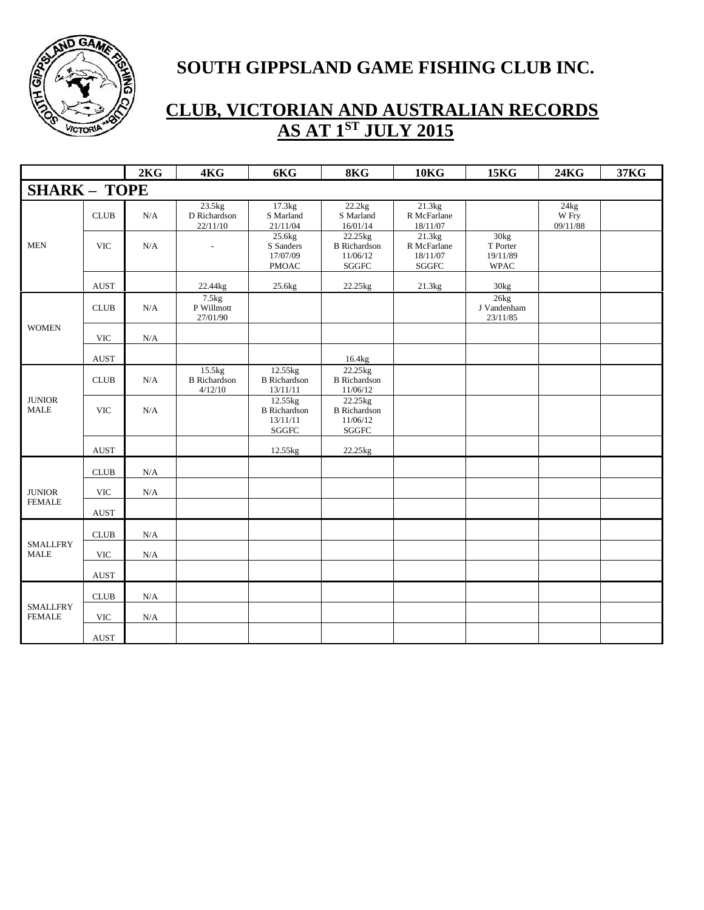

|                                  |             | 2KG       | 4KG                                      | 6KG                                                         | 8KG                                                         | <b>10KG</b>                                | <b>15KG</b>                                 | <b>24KG</b>               | 37KG |
|----------------------------------|-------------|-----------|------------------------------------------|-------------------------------------------------------------|-------------------------------------------------------------|--------------------------------------------|---------------------------------------------|---------------------------|------|
| <b>SHARK - TOPE</b>              |             |           |                                          |                                                             |                                                             |                                            |                                             |                           |      |
|                                  | <b>CLUB</b> | N/A       | 23.5kg<br>D Richardson<br>22/11/10       | 17.3kg<br>S Marland<br>21/11/04                             | 22.2kg<br>S Marland<br>16/01/14                             | 21.3kg<br>R McFarlane<br>18/11/07          |                                             | 24kg<br>W Fry<br>09/11/88 |      |
| <b>MEN</b>                       | <b>VIC</b>  | N/A       |                                          | 25.6kg<br>S Sanders<br>17/07/09<br><b>PMOAC</b>             | 22.25kg<br><b>B</b> Richardson<br>11/06/12<br>SGGFC         | 21.3kg<br>R McFarlane<br>18/11/07<br>SGGFC | 30kg<br>T Porter<br>19/11/89<br><b>WPAC</b> |                           |      |
|                                  | <b>AUST</b> |           | 22.44kg                                  | 25.6kg                                                      | 22.25kg                                                     | 21.3kg                                     | 30kg                                        |                           |      |
|                                  | CLUB        | N/A       | 7.5kg<br>P Willmott<br>27/01/90          |                                                             |                                                             |                                            | 26kg<br>J Vandenham<br>23/11/85             |                           |      |
| <b>WOMEN</b>                     | <b>VIC</b>  | N/A       |                                          |                                                             |                                                             |                                            |                                             |                           |      |
|                                  | <b>AUST</b> |           |                                          |                                                             | 16.4kg                                                      |                                            |                                             |                           |      |
|                                  | <b>CLUB</b> | N/A       | 15.5kg<br><b>B</b> Richardson<br>4/12/10 | 12.55kg<br><b>B</b> Richardson<br>13/11/11                  | 22.25kg<br><b>B</b> Richardson<br>11/06/12                  |                                            |                                             |                           |      |
| <b>JUNIOR</b><br><b>MALE</b>     | <b>VIC</b>  | N/A       |                                          | 12.55kg<br><b>B</b> Richardson<br>13/11/11<br>${\bf SGGFC}$ | 22.25kg<br><b>B</b> Richardson<br>11/06/12<br>${\bf SGGFC}$ |                                            |                                             |                           |      |
|                                  | <b>AUST</b> |           |                                          | 12.55kg                                                     | 22.25kg                                                     |                                            |                                             |                           |      |
|                                  | CLUB        | $\rm N/A$ |                                          |                                                             |                                                             |                                            |                                             |                           |      |
| <b>JUNIOR</b><br><b>FEMALE</b>   | <b>VIC</b>  | $\rm N/A$ |                                          |                                                             |                                                             |                                            |                                             |                           |      |
|                                  | <b>AUST</b> |           |                                          |                                                             |                                                             |                                            |                                             |                           |      |
|                                  | CLUB        | N/A       |                                          |                                                             |                                                             |                                            |                                             |                           |      |
| <b>SMALLFRY</b><br><b>MALE</b>   | <b>VIC</b>  | N/A       |                                          |                                                             |                                                             |                                            |                                             |                           |      |
|                                  | <b>AUST</b> |           |                                          |                                                             |                                                             |                                            |                                             |                           |      |
|                                  | <b>CLUB</b> | N/A       |                                          |                                                             |                                                             |                                            |                                             |                           |      |
| <b>SMALLFRY</b><br><b>FEMALE</b> | <b>VIC</b>  | N/A       |                                          |                                                             |                                                             |                                            |                                             |                           |      |
|                                  | <b>AUST</b> |           |                                          |                                                             |                                                             |                                            |                                             |                           |      |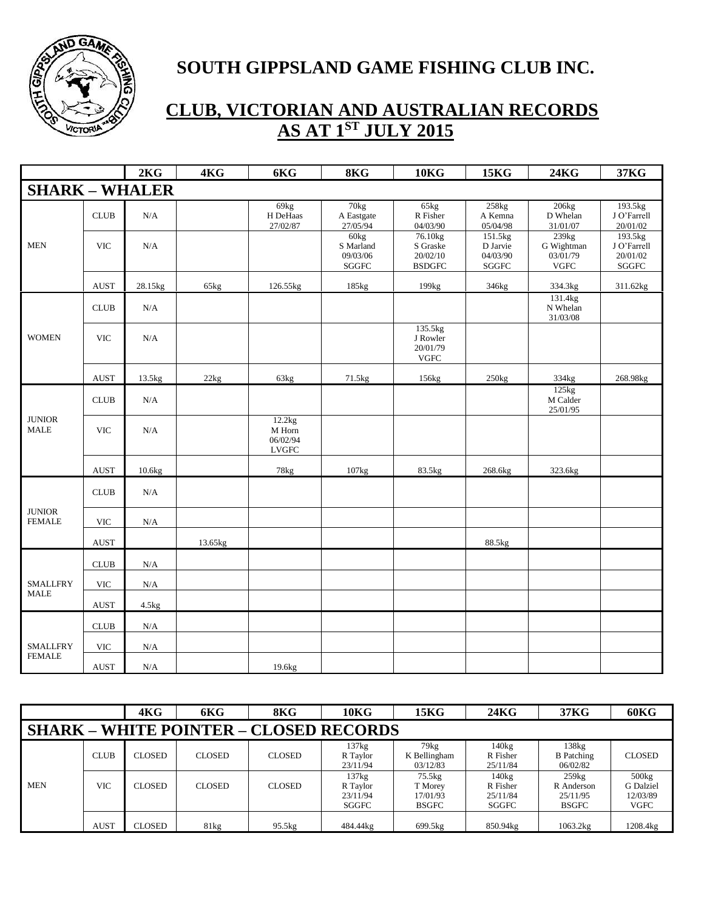

|                                |                              | 2KG       | 4KG     | 6KG                                          | 8KG                                                | <b>10KG</b>                                                  | <b>15KG</b>                              | <b>24KG</b>                                                | 37KG                                          |
|--------------------------------|------------------------------|-----------|---------|----------------------------------------------|----------------------------------------------------|--------------------------------------------------------------|------------------------------------------|------------------------------------------------------------|-----------------------------------------------|
| <b>SHARK - WHALER</b>          |                              |           |         |                                              |                                                    |                                                              |                                          |                                                            |                                               |
|                                | <b>CLUB</b>                  | N/A       |         | 69kg<br>H DeHaas<br>27/02/87                 | $70\text{kg}$<br>A Eastgate<br>27/05/94            | 65kg<br>R Fisher<br>04/03/90                                 | 258kg<br>A Kemna<br>05/04/98             | 206kg<br>D Whelan<br>31/01/07                              | 193.5kg<br>J O'Farrell<br>20/01/02            |
| <b>MEN</b>                     | <b>VIC</b>                   | N/A       |         |                                              | 60 <sub>kg</sub><br>S Marland<br>09/03/06<br>SGGFC | 76.10 <sub>kg</sub><br>S Graske<br>20/02/10<br><b>BSDGFC</b> | 151.5kg<br>D Jarvie<br>04/03/90<br>SGGFC | 239 <sub>kg</sub><br>G Wightman<br>03/01/79<br><b>VGFC</b> | 193.5kg<br>J O'Farrell<br>20/01/02<br>$SGGFC$ |
|                                | <b>AUST</b>                  | 28.15kg   | 65kg    | 126.55kg                                     | 185kg                                              | 199kg                                                        | 346kg                                    | 334.3kg                                                    | 311.62kg                                      |
|                                | CLUB                         | N/A       |         |                                              |                                                    |                                                              |                                          | 131.4kg<br>N Whelan<br>31/03/08                            |                                               |
| <b>WOMEN</b>                   | <b>VIC</b>                   | N/A       |         |                                              |                                                    | 135.5kg<br>J Rowler<br>20/01/79<br><b>VGFC</b>               |                                          |                                                            |                                               |
|                                | <b>AUST</b>                  | 13.5kg    | 22kg    | 63kg                                         | 71.5kg                                             | 156kg                                                        | 250kg                                    | 334kg                                                      | 268.98kg                                      |
|                                | CLUB                         | $\rm N/A$ |         |                                              |                                                    |                                                              |                                          | 125kg<br>M Calder<br>25/01/95                              |                                               |
| <b>JUNIOR</b><br><b>MALE</b>   | <b>VIC</b>                   | N/A       |         | 12.2kg<br>M Horn<br>06/02/94<br><b>LVGFC</b> |                                                    |                                                              |                                          |                                                            |                                               |
|                                | <b>AUST</b>                  | 10.6kg    |         | 78kg                                         | 107kg                                              | 83.5kg                                                       | 268.6kg                                  | 323.6kg                                                    |                                               |
|                                | $\ensuremath{\mathsf{CLUB}}$ | $\rm N/A$ |         |                                              |                                                    |                                                              |                                          |                                                            |                                               |
| <b>JUNIOR</b><br><b>FEMALE</b> | <b>VIC</b>                   | $\rm N/A$ |         |                                              |                                                    |                                                              |                                          |                                                            |                                               |
|                                | <b>AUST</b>                  |           | 13.65kg |                                              |                                                    |                                                              | 88.5kg                                   |                                                            |                                               |
|                                | $\ensuremath{\mathsf{CLUB}}$ | N/A       |         |                                              |                                                    |                                                              |                                          |                                                            |                                               |
| <b>SMALLFRY</b>                | <b>VIC</b>                   | $\rm N/A$ |         |                                              |                                                    |                                                              |                                          |                                                            |                                               |
| <b>MALE</b>                    | <b>AUST</b>                  | 4.5kg     |         |                                              |                                                    |                                                              |                                          |                                                            |                                               |
|                                | CLUB                         | $\rm N/A$ |         |                                              |                                                    |                                                              |                                          |                                                            |                                               |
| <b>SMALLFRY</b>                | <b>VIC</b>                   | $\rm N/A$ |         |                                              |                                                    |                                                              |                                          |                                                            |                                               |
| <b>FEMALE</b>                  | $\operatorname{AUST}$        | N/A       |         | 19.6kg                                       |                                                    |                                                              |                                          |                                                            |                                               |

|                                               |             | 4KG           | 6KG           | 8KG           | 10 <sub>K</sub> G                      | 15KG                                          | 24KG                                      | 37KG                                            | <b>60KG</b>                                        |  |  |  |
|-----------------------------------------------|-------------|---------------|---------------|---------------|----------------------------------------|-----------------------------------------------|-------------------------------------------|-------------------------------------------------|----------------------------------------------------|--|--|--|
| <b>SHARK - WHITE POINTER - CLOSED RECORDS</b> |             |               |               |               |                                        |                                               |                                           |                                                 |                                                    |  |  |  |
|                                               | <b>CLUB</b> | <b>CLOSED</b> | <b>CLOSED</b> | <b>CLOSED</b> | 137kg<br>R Taylor<br>23/11/94          | 79kg<br>K Bellingham<br>03/12/83              | 140kg<br>R Fisher<br>25/11/84             | 138kg<br><b>B</b> Patching<br>06/02/82          | <b>CLOSED</b>                                      |  |  |  |
| <b>MEN</b>                                    | VIC         | <b>CLOSED</b> | <b>CLOSED</b> | <b>CLOSED</b> | 137kg<br>R Taylor<br>23/11/94<br>SGGFC | 75.5kg<br>T Morey<br>17/01/93<br><b>BSGFC</b> | $140$ kg<br>R Fisher<br>25/11/84<br>SGGFC | 259kg<br>R Anderson<br>25/11/95<br><b>BSGFC</b> | $500$ $kg$<br>G Dalziel<br>12/03/89<br><b>VGFC</b> |  |  |  |
|                                               | <b>AUST</b> | <b>CLOSED</b> | 81kg          | 95.5kg        | 484.44kg                               | 699.5kg                                       | 850.94kg                                  | 1063.2kg                                        | 1208.4kg                                           |  |  |  |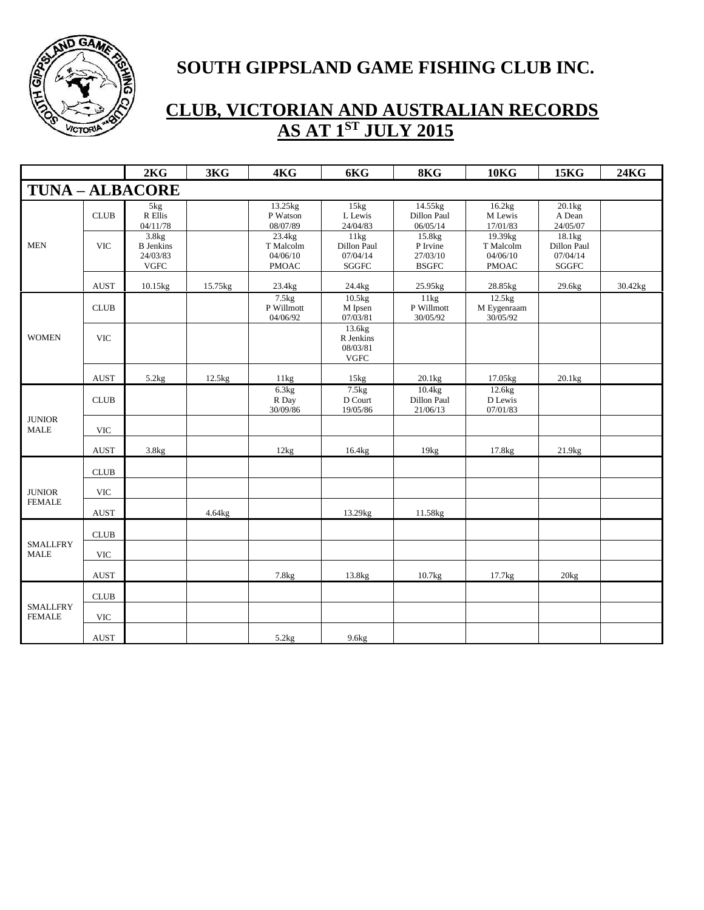

|                                  |                           | 2KG                                                  | 3KG     | 4KG                                             | 6KG                                             | 8KG                                            | <b>10KG</b>                                      | <b>15KG</b>                                       | <b>24KG</b> |
|----------------------------------|---------------------------|------------------------------------------------------|---------|-------------------------------------------------|-------------------------------------------------|------------------------------------------------|--------------------------------------------------|---------------------------------------------------|-------------|
| <b>TUNA - ALBACORE</b>           |                           |                                                      |         |                                                 |                                                 |                                                |                                                  |                                                   |             |
|                                  | <b>CLUB</b>               | 5kg<br>R Ellis<br>04/11/78                           |         | 13.25kg<br>P Watson<br>08/07/89                 | 15kg<br>L Lewis<br>24/04/83                     | 14.55kg<br>Dillon Paul<br>06/05/14             | 16.2kg<br>M Lewis<br>17/01/83                    | 20.1kg<br>A Dean<br>24/05/07                      |             |
| <b>MEN</b>                       | <b>VIC</b>                | 3.8kg<br><b>B</b> Jenkins<br>24/03/83<br><b>VGFC</b> |         | 23.4kg<br>T Malcolm<br>04/06/10<br><b>PMOAC</b> | 11kg<br>Dillon Paul<br>07/04/14<br><b>SGGFC</b> | 15.8kg<br>P Irvine<br>27/03/10<br><b>BSGFC</b> | 19.39kg<br>T Malcolm<br>04/06/10<br><b>PMOAC</b> | 18.1kg<br>Dillon Paul<br>07/04/14<br><b>SGGFC</b> |             |
|                                  | <b>AUST</b>               | 10.15kg                                              | 15.75kg | 23.4kg                                          | 24.4kg                                          | 25.95kg                                        | 28.85kg                                          | 29.6kg                                            | 30.42kg     |
|                                  | CLUB                      |                                                      |         | 7.5kg<br>P Willmott<br>04/06/92                 | $10.5$ kg<br>M Ipsen<br>07/03/81                | 11kg<br>P Willmott<br>30/05/92                 | $12.5$ kg<br>M Eygenraam<br>30/05/92             |                                                   |             |
| <b>WOMEN</b>                     | <b>VIC</b>                |                                                      |         |                                                 | 13.6kg<br>R Jenkins<br>08/03/81<br><b>VGFC</b>  |                                                |                                                  |                                                   |             |
|                                  | <b>AUST</b>               | 5.2kg                                                | 12.5kg  | 11kg                                            | 15kg                                            | 20.1kg                                         | 17.05kg                                          | 20.1kg                                            |             |
|                                  | <b>CLUB</b>               |                                                      |         | 6.3kg<br>R Day<br>30/09/86                      | 7.5kg<br>D Court<br>19/05/86                    | 10.4kg<br>Dillon Paul<br>21/06/13              | 12.6kg<br>D Lewis<br>07/01/83                    |                                                   |             |
| <b>JUNIOR</b><br><b>MALE</b>     | <b>VIC</b>                |                                                      |         |                                                 |                                                 |                                                |                                                  |                                                   |             |
|                                  | <b>AUST</b>               | 3.8kg                                                |         | 12kg                                            | 16.4kg                                          | 19kg                                           | 17.8kg                                           | 21.9kg                                            |             |
|                                  | CLUB                      |                                                      |         |                                                 |                                                 |                                                |                                                  |                                                   |             |
| <b>JUNIOR</b>                    | <b>VIC</b>                |                                                      |         |                                                 |                                                 |                                                |                                                  |                                                   |             |
| <b>FEMALE</b>                    | <b>AUST</b>               |                                                      | 4.64kg  |                                                 | 13.29kg                                         | 11.58kg                                        |                                                  |                                                   |             |
|                                  | <b>CLUB</b>               |                                                      |         |                                                 |                                                 |                                                |                                                  |                                                   |             |
| <b>SMALLFRY</b><br><b>MALE</b>   | <b>VIC</b>                |                                                      |         |                                                 |                                                 |                                                |                                                  |                                                   |             |
|                                  | <b>AUST</b>               |                                                      |         | 7.8kg                                           | 13.8kg                                          | 10.7kg                                         | 17.7kg                                           | 20kg                                              |             |
|                                  | <b>CLUB</b>               |                                                      |         |                                                 |                                                 |                                                |                                                  |                                                   |             |
| <b>SMALLFRY</b><br><b>FEMALE</b> | $\ensuremath{\text{VIC}}$ |                                                      |         |                                                 |                                                 |                                                |                                                  |                                                   |             |
|                                  | <b>AUST</b>               |                                                      |         | 5.2kg                                           | 9.6kg                                           |                                                |                                                  |                                                   |             |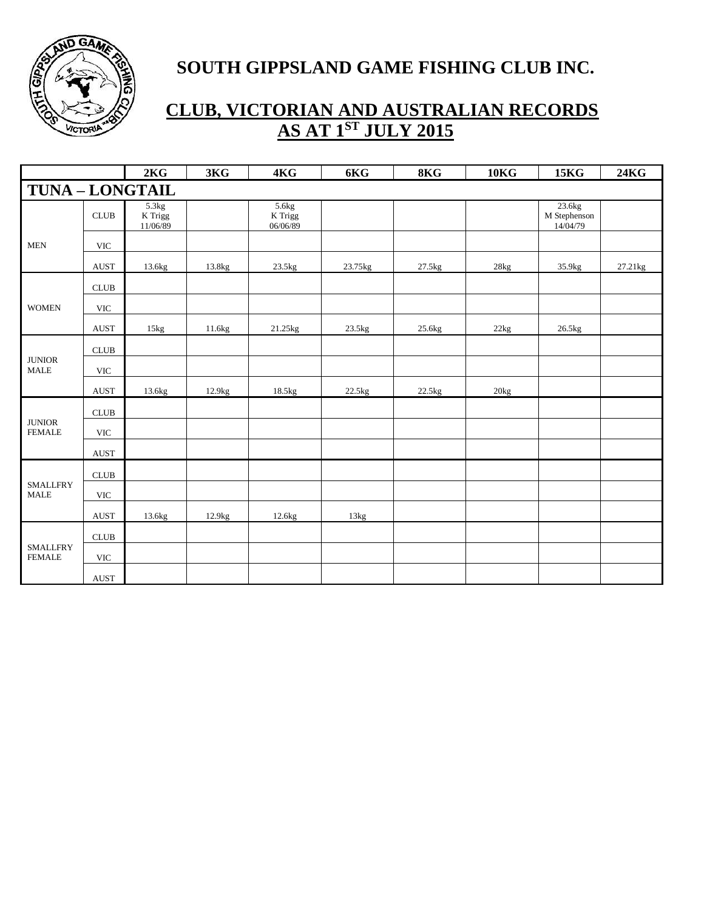

|                                  |                              | 2KG                          | 3KG    | 4KG                          | 6KG     | 8KG    | 10 <sub>K</sub>  | <b>15KG</b>                        | <b>24KG</b> |
|----------------------------------|------------------------------|------------------------------|--------|------------------------------|---------|--------|------------------|------------------------------------|-------------|
| <b>TUNA - LONGTAIL</b>           |                              |                              |        |                              |         |        |                  |                                    |             |
|                                  | <b>CLUB</b>                  | 5.3kg<br>K Trigg<br>11/06/89 |        | 5.6kg<br>K Trigg<br>06/06/89 |         |        |                  | 23.6kg<br>M Stephenson<br>14/04/79 |             |
| <b>MEN</b>                       | <b>VIC</b>                   |                              |        |                              |         |        |                  |                                    |             |
|                                  | <b>AUST</b>                  | 13.6kg                       | 13.8kg | 23.5kg                       | 23.75kg | 27.5kg | 28kg             | 35.9kg                             | 27.21kg     |
|                                  | $CLUB$                       |                              |        |                              |         |        |                  |                                    |             |
| <b>WOMEN</b>                     | $\ensuremath{\text{VIC}}$    |                              |        |                              |         |        |                  |                                    |             |
|                                  | <b>AUST</b>                  | 15kg                         | 11.6kg | 21.25kg                      | 23.5kg  | 25.6kg | 22kg             | 26.5kg                             |             |
|                                  | $\ensuremath{\mathsf{CLUB}}$ |                              |        |                              |         |        |                  |                                    |             |
| <b>JUNIOR</b><br><b>MALE</b>     | $\ensuremath{\text{VIC}}$    |                              |        |                              |         |        |                  |                                    |             |
|                                  | <b>AUST</b>                  | 13.6kg                       | 12.9kg | 18.5kg                       | 22.5kg  | 22.5kg | 20 <sub>kg</sub> |                                    |             |
|                                  | CLUB                         |                              |        |                              |         |        |                  |                                    |             |
| <b>JUNIOR</b><br><b>FEMALE</b>   | <b>VIC</b>                   |                              |        |                              |         |        |                  |                                    |             |
|                                  | $\operatorname{AUST}$        |                              |        |                              |         |        |                  |                                    |             |
|                                  | CLUB                         |                              |        |                              |         |        |                  |                                    |             |
| <b>SMALLFRY</b><br><b>MALE</b>   | <b>VIC</b>                   |                              |        |                              |         |        |                  |                                    |             |
|                                  | <b>AUST</b>                  | 13.6kg                       | 12.9kg | 12.6kg                       | 13kg    |        |                  |                                    |             |
|                                  | $\ensuremath{\mathsf{CLUB}}$ |                              |        |                              |         |        |                  |                                    |             |
| <b>SMALLFRY</b><br><b>FEMALE</b> | <b>VIC</b>                   |                              |        |                              |         |        |                  |                                    |             |
|                                  | $\operatorname{AUST}$        |                              |        |                              |         |        |                  |                                    |             |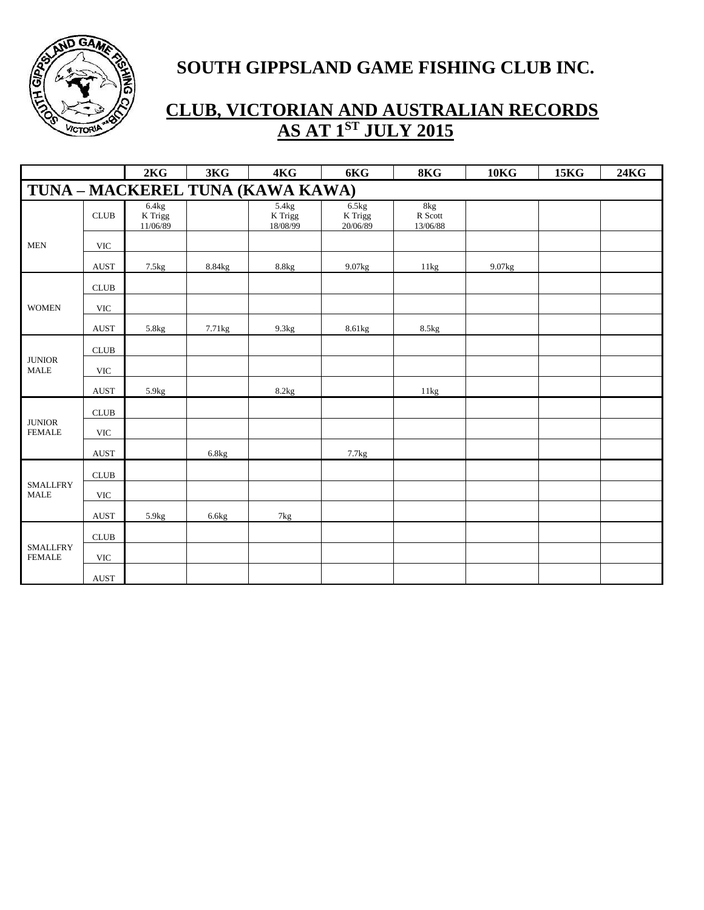

|                                  |                              | 2KG                          | 3KG                | 4KG                              | 6KG                            | 8KG                        | <b>10KG</b> | <b>15KG</b> | <b>24KG</b> |
|----------------------------------|------------------------------|------------------------------|--------------------|----------------------------------|--------------------------------|----------------------------|-------------|-------------|-------------|
|                                  |                              |                              |                    | TUNA - MACKEREL TUNA (KAWA KAWA) |                                |                            |             |             |             |
|                                  | CLUB                         | 6.4kg<br>K Trigg<br>11/06/89 |                    | 5.4kg<br>$K$ Trigg<br>18/08/99   | 6.5kg<br>$K$ Trigg<br>20/06/89 | 8kg<br>R Scott<br>13/06/88 |             |             |             |
| <b>MEN</b>                       | <b>VIC</b>                   |                              |                    |                                  |                                |                            |             |             |             |
|                                  | <b>AUST</b>                  | 7.5kg                        | 8.84kg             | 8.8kg                            | 9.07kg                         | 11kg                       | 9.07kg      |             |             |
|                                  | $\ensuremath{\mathsf{CLUB}}$ |                              |                    |                                  |                                |                            |             |             |             |
| <b>WOMEN</b>                     | <b>VIC</b>                   |                              |                    |                                  |                                |                            |             |             |             |
|                                  | <b>AUST</b>                  | 5.8kg                        | 7.71 <sub>kg</sub> | 9.3kg                            | 8.61kg                         | 8.5kg                      |             |             |             |
|                                  | CLUB                         |                              |                    |                                  |                                |                            |             |             |             |
| <b>JUNIOR</b><br><b>MALE</b>     | <b>VIC</b>                   |                              |                    |                                  |                                |                            |             |             |             |
|                                  | <b>AUST</b>                  | 5.9 <sub>kg</sub>            |                    | 8.2kg                            |                                | 11kg                       |             |             |             |
|                                  | $\ensuremath{\mathsf{CLUB}}$ |                              |                    |                                  |                                |                            |             |             |             |
| <b>JUNIOR</b><br><b>FEMALE</b>   | <b>VIC</b>                   |                              |                    |                                  |                                |                            |             |             |             |
|                                  | <b>AUST</b>                  |                              | 6.8kg              |                                  | 7.7kg                          |                            |             |             |             |
|                                  | CLUB                         |                              |                    |                                  |                                |                            |             |             |             |
| <b>SMALLFRY</b><br><b>MALE</b>   | <b>VIC</b>                   |                              |                    |                                  |                                |                            |             |             |             |
|                                  | <b>AUST</b>                  | 5.9 <sub>kg</sub>            | 6.6kg              | 7kg                              |                                |                            |             |             |             |
|                                  | CLUB                         |                              |                    |                                  |                                |                            |             |             |             |
| <b>SMALLFRY</b><br><b>FEMALE</b> | <b>VIC</b>                   |                              |                    |                                  |                                |                            |             |             |             |
|                                  | <b>AUST</b>                  |                              |                    |                                  |                                |                            |             |             |             |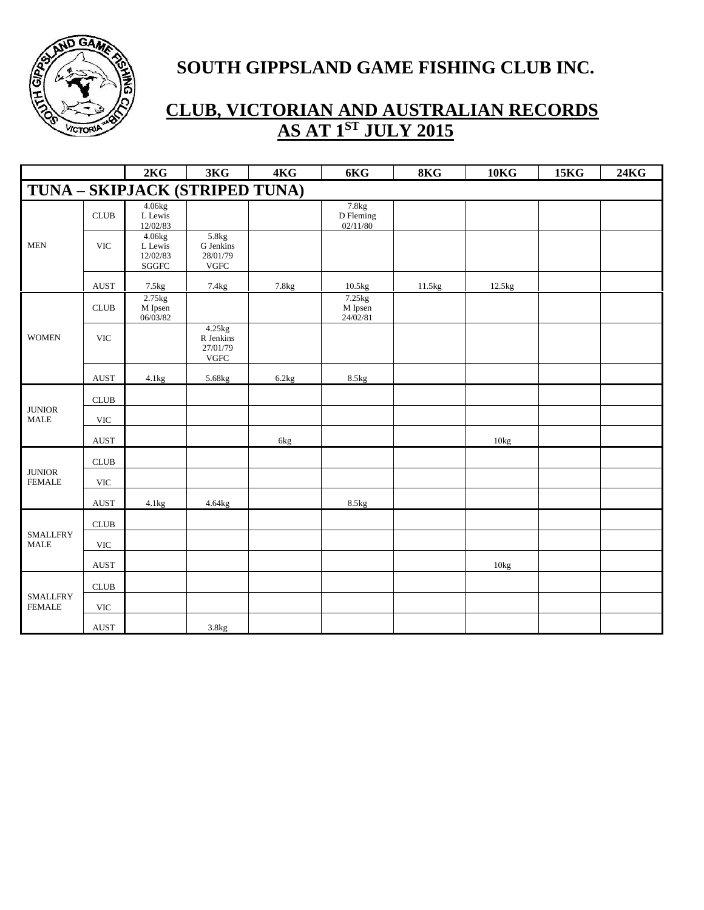

|                                          |                              | 2KG                                            | 3KG                                            | 4KG   | 6KG                                        | 8KG               | <b>10KG</b> | <b>15KG</b> | <b>24KG</b> |
|------------------------------------------|------------------------------|------------------------------------------------|------------------------------------------------|-------|--------------------------------------------|-------------------|-------------|-------------|-------------|
|                                          |                              | TUNA - SKIPJACK (STRIPED TUNA)                 |                                                |       |                                            |                   |             |             |             |
|                                          | CLUB                         | 4.06kg<br>L Lewis<br>12/02/83                  |                                                |       | 7.8 <sub>kg</sub><br>D Fleming<br>02/11/80 |                   |             |             |             |
| $\operatorname{\mathsf{MEN}}$            | $\ensuremath{\text{VIC}}$    | 4.06kg<br>L Lewis<br>12/02/83<br>${\bf SGGFC}$ | 5.8kg<br>G Jenkins<br>28/01/79<br>${\rm VGFC}$ |       |                                            |                   |             |             |             |
|                                          | <b>AUST</b>                  | $7.5\mathrm{kg}$                               | 7.4kg                                          | 7.8kg | 10.5kg                                     | $11.5\mathrm{kg}$ | 12.5kg      |             |             |
|                                          | $\ensuremath{\mathsf{CLUB}}$ | $2.75$ kg<br>M Ipsen<br>$06/\overline{03}/82$  |                                                |       | 7.25kg<br>M Ipsen<br>24/02/81              |                   |             |             |             |
| <b>WOMEN</b>                             | <b>VIC</b>                   |                                                | 4.25kg<br>R Jenkins<br>27/01/79<br><b>VGFC</b> |       |                                            |                   |             |             |             |
|                                          | AUST                         | 4.1kg                                          | 5.68kg                                         | 6.2kg | 8.5kg                                      |                   |             |             |             |
|                                          | <b>CLUB</b>                  |                                                |                                                |       |                                            |                   |             |             |             |
| <b>JUNIOR</b><br>$\operatorname{MALE}$   | $\ensuremath{\text{VIC}}$    |                                                |                                                |       |                                            |                   |             |             |             |
|                                          | <b>AUST</b>                  |                                                |                                                | 6kg   |                                            |                   | 10kg        |             |             |
|                                          | CLUB                         |                                                |                                                |       |                                            |                   |             |             |             |
| <b>JUNIOR</b><br><b>FEMALE</b>           | <b>VIC</b>                   |                                                |                                                |       |                                            |                   |             |             |             |
|                                          | <b>AUST</b>                  | 4.1kg                                          | 4.64kg                                         |       | 8.5kg                                      |                   |             |             |             |
|                                          | $\ensuremath{\mathsf{CLUB}}$ |                                                |                                                |       |                                            |                   |             |             |             |
| <b>SMALLFRY</b><br>$\operatorname{MALE}$ | $\ensuremath{\text{VIC}}$    |                                                |                                                |       |                                            |                   |             |             |             |
|                                          | <b>AUST</b>                  |                                                |                                                |       |                                            |                   | 10kg        |             |             |
| <b>SMALLFRY</b><br><b>FEMALE</b>         | <b>CLUB</b>                  |                                                |                                                |       |                                            |                   |             |             |             |
|                                          | <b>VIC</b>                   |                                                |                                                |       |                                            |                   |             |             |             |
|                                          | <b>AUST</b>                  |                                                | 3.8kg                                          |       |                                            |                   |             |             |             |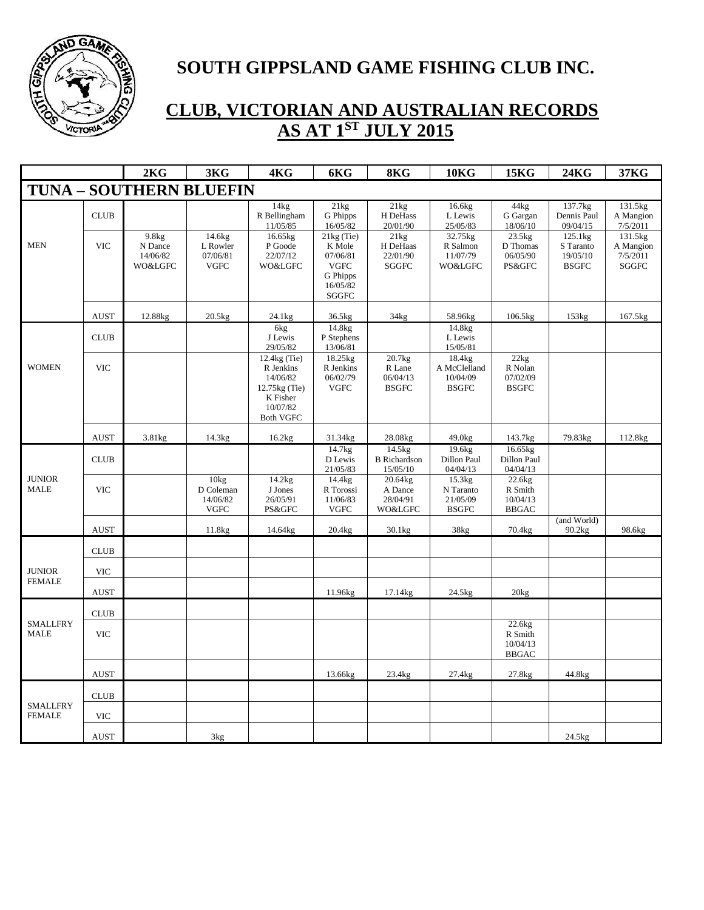

|                                  |             | 2KG                                     | 3KG                                           | 4KG                                                                                                | 6KG                                                                                       | 8KG                                          | 10 <sub>K</sub>                                    | 15KG                                          | 24KG                                             | 37KG                                             |
|----------------------------------|-------------|-----------------------------------------|-----------------------------------------------|----------------------------------------------------------------------------------------------------|-------------------------------------------------------------------------------------------|----------------------------------------------|----------------------------------------------------|-----------------------------------------------|--------------------------------------------------|--------------------------------------------------|
|                                  |             | <b>TUNA - SOUTHERN BLUEFIN</b>          |                                               |                                                                                                    |                                                                                           |                                              |                                                    |                                               |                                                  |                                                  |
|                                  | <b>CLUB</b> |                                         |                                               | 14kg<br>R Bellingham<br>11/05/85                                                                   | 21kg<br>G Phipps<br>16/05/82                                                              | 21kg<br>H DeHass<br>20/01/90                 | 16.6kg<br>L Lewis<br>25/05/83                      | 44kg<br>G Gargan<br>18/06/10                  | 137.7kg<br>Dennis Paul<br>09/04/15               | 131.5kg<br>A Mangion<br>7/5/2011                 |
| <b>MEN</b>                       | <b>VIC</b>  | 9.8kg<br>N Dance<br>14/06/82<br>WO&LGFC | 14.6kg<br>L Rowler<br>07/06/81<br><b>VGFC</b> | 16.65kg<br>P Goode<br>22/07/12<br>WO&LGFC                                                          | $21kg$ (Tie)<br>K Mole<br>07/06/81<br><b>VGFC</b><br>G Phipps<br>16/05/82<br><b>SGGFC</b> | 21kg<br>H DeHaas<br>22/01/90<br><b>SGGFC</b> | 32.75kg<br>R Salmon<br>11/07/79<br>WO&LGFC         | 23.5kg<br>D Thomas<br>06/05/90<br>PS&GFC      | 125.1kg<br>S Taranto<br>19/05/10<br><b>BSGFC</b> | 131.5kg<br>A Mangion<br>7/5/2011<br><b>SGGFC</b> |
|                                  | <b>AUST</b> | 12.88kg                                 | 20.5kg                                        | 24.1kg                                                                                             | 36.5kg                                                                                    | 34kg                                         | 58.96kg                                            | 106.5kg                                       | 153kg                                            | 167.5kg                                          |
|                                  | <b>CLUB</b> |                                         |                                               | 6kg<br>J Lewis<br>29/05/82                                                                         | 14.8kg<br>P Stephens<br>13/06/81                                                          |                                              | 14.8kg<br>L Lewis<br>15/05/81                      |                                               |                                                  |                                                  |
| <b>WOMEN</b>                     | <b>VIC</b>  |                                         |                                               | 12.4kg (Tie)<br>R Jenkins<br>14/06/82<br>12.75kg (Tie)<br>K Fisher<br>10/07/82<br><b>Both VGFC</b> | 18.25kg<br>R Jenkins<br>06/02/79<br><b>VGFC</b>                                           | 20.7kg<br>R Lane<br>06/04/13<br><b>BSGFC</b> | 18.4kg<br>A McClelland<br>10/04/09<br><b>BSGFC</b> | 22kg<br>R Nolan<br>07/02/09<br><b>BSGFC</b>   |                                                  |                                                  |
|                                  | <b>AUST</b> | 3.81kg                                  | 14.3kg                                        | 16.2kg                                                                                             | 31.34kg                                                                                   | 28.08kg                                      | 49.0kg                                             | 143.7kg                                       | 79.83kg                                          | 112.8kg                                          |
|                                  | <b>CLUB</b> |                                         |                                               |                                                                                                    | 14.7kg<br>D Lewis<br>21/05/83                                                             | 14.5kg<br><b>B</b> Richardson<br>15/05/10    | 19.6kg<br>Dillon Paul<br>04/04/13                  | 16.65kg<br>Dillon Paul<br>04/04/13            |                                                  |                                                  |
| <b>JUNIOR</b><br><b>MALE</b>     | <b>VIC</b>  |                                         | 10kg<br>D Coleman<br>14/06/82<br><b>VGFC</b>  | 14.2kg<br>J Jones<br>26/05/91<br>PS&GFC                                                            | 14.4kg<br>R Torossi<br>11/06/83<br><b>VGFC</b>                                            | 20.64kg<br>A Dance<br>28/04/91<br>WO&LGFC    | 15.3kg<br>N Taranto<br>21/05/09<br><b>BSGFC</b>    | 22.6kg<br>R Smith<br>10/04/13<br><b>BBGAC</b> |                                                  |                                                  |
|                                  | <b>AUST</b> |                                         | 11.8kg                                        | 14.64kg                                                                                            | 20.4kg                                                                                    | 30.1kg                                       | 38kg                                               | 70.4kg                                        | (and World)<br>90.2kg                            | 98.6kg                                           |
|                                  | <b>CLUB</b> |                                         |                                               |                                                                                                    |                                                                                           |                                              |                                                    |                                               |                                                  |                                                  |
| <b>JUNIOR</b>                    | <b>VIC</b>  |                                         |                                               |                                                                                                    |                                                                                           |                                              |                                                    |                                               |                                                  |                                                  |
| <b>FEMALE</b>                    | <b>AUST</b> |                                         |                                               |                                                                                                    | 11.96kg                                                                                   | 17.14kg                                      | 24.5kg                                             | 20kg                                          |                                                  |                                                  |
|                                  | <b>CLUB</b> |                                         |                                               |                                                                                                    |                                                                                           |                                              |                                                    |                                               |                                                  |                                                  |
| <b>SMALLFRY</b><br><b>MALE</b>   | <b>VIC</b>  |                                         |                                               |                                                                                                    |                                                                                           |                                              |                                                    | 22.6kg<br>R Smith<br>10/04/13<br><b>BBGAC</b> |                                                  |                                                  |
|                                  | <b>AUST</b> |                                         |                                               |                                                                                                    | 13.66kg                                                                                   | 23.4kg                                       | 27.4kg                                             | 27.8kg                                        | 44.8kg                                           |                                                  |
|                                  | <b>CLUB</b> |                                         |                                               |                                                                                                    |                                                                                           |                                              |                                                    |                                               |                                                  |                                                  |
| <b>SMALLFRY</b><br><b>FEMALE</b> | <b>VIC</b>  |                                         |                                               |                                                                                                    |                                                                                           |                                              |                                                    |                                               |                                                  |                                                  |
|                                  | <b>AUST</b> |                                         | 3kg                                           |                                                                                                    |                                                                                           |                                              |                                                    |                                               | $24.5$ kg                                        |                                                  |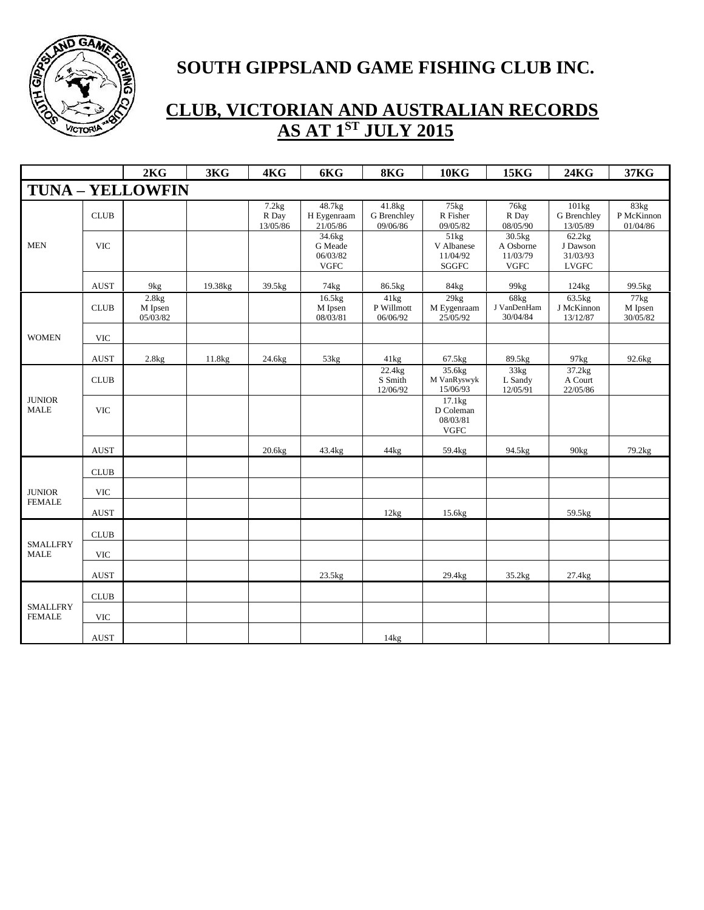

|                                  |             | 2KG                                       | 3KG     | 4KG                        | 6KG                                          | 8KG                               | <b>10KG</b>                                     | <b>15KG</b>                                       | <b>24KG</b>                                    | 37KG                           |
|----------------------------------|-------------|-------------------------------------------|---------|----------------------------|----------------------------------------------|-----------------------------------|-------------------------------------------------|---------------------------------------------------|------------------------------------------------|--------------------------------|
|                                  |             | <b>TUNA - YELLOWFIN</b>                   |         |                            |                                              |                                   |                                                 |                                                   |                                                |                                |
|                                  | <b>CLUB</b> |                                           |         | 7.2kg<br>R Day<br>13/05/86 | 48.7kg<br>H Eygenraam<br>21/05/86            | 41.8kg<br>G Brenchley<br>09/06/86 | 75kg<br>R Fisher<br>09/05/82                    | 76kg<br>R Day<br>08/05/90                         | 101kg<br>G Brenchley<br>13/05/89               | 83kg<br>P McKinnon<br>01/04/86 |
| <b>MEN</b>                       | <b>VIC</b>  |                                           |         |                            | 34.6kg<br>G Meade<br>06/03/82<br><b>VGFC</b> |                                   | 51kg<br>V Albanese<br>11/04/92<br><b>SGGFC</b>  | $30.5$ kg<br>A Osborne<br>11/03/79<br><b>VGFC</b> | 62.2kg<br>J Dawson<br>31/03/93<br><b>LVGFC</b> |                                |
|                                  | <b>AUST</b> | 9kg                                       | 19.38kg | 39.5kg                     | 74kg                                         | 86.5kg                            | 84kg                                            | 99kg                                              | 124kg                                          | 99.5kg                         |
|                                  | <b>CLUB</b> | 2.8kg<br>M Ipsen<br>$05/\overline{03}/82$ |         |                            | 16.5kg<br>M Ipsen<br>08/03/81                | 41kg<br>P Willmott<br>06/06/92    | 29kg<br>M Eygenraam<br>25/05/92                 | 68kg<br>J VanDenHam<br>30/04/84                   | 63.5kg<br>J McKinnon<br>13/12/87               | 77kg<br>M Ipsen<br>30/05/82    |
| <b>WOMEN</b>                     | <b>VIC</b>  |                                           |         |                            |                                              |                                   |                                                 |                                                   |                                                |                                |
|                                  | <b>AUST</b> | 2.8kg                                     | 11.8kg  | 24.6kg                     | 53kg                                         | 41kg                              | 67.5kg                                          | 89.5kg                                            | 97kg                                           | 92.6kg                         |
|                                  | <b>CLUB</b> |                                           |         |                            |                                              | 22.4kg<br>S Smith<br>12/06/92     | 35.6kg<br>M VanRyswyk<br>15/06/93               | 33kg<br>L Sandy<br>12/05/91                       | 37.2kg<br>A Court<br>22/05/86                  |                                |
| $\qquad$ JUNIOR<br><b>MALE</b>   | <b>VIC</b>  |                                           |         |                            |                                              |                                   | 17.1kg<br>D Coleman<br>08/03/81<br>${\rm VGFC}$ |                                                   |                                                |                                |
|                                  | <b>AUST</b> |                                           |         | 20.6kg                     | 43.4kg                                       | 44kg                              | 59.4kg                                          | 94.5kg                                            | 90kg                                           | 79.2kg                         |
|                                  | <b>CLUB</b> |                                           |         |                            |                                              |                                   |                                                 |                                                   |                                                |                                |
| <b>JUNIOR</b>                    | <b>VIC</b>  |                                           |         |                            |                                              |                                   |                                                 |                                                   |                                                |                                |
| <b>FEMALE</b>                    | <b>AUST</b> |                                           |         |                            |                                              | 12kg                              | 15.6kg                                          |                                                   | 59.5kg                                         |                                |
|                                  | <b>CLUB</b> |                                           |         |                            |                                              |                                   |                                                 |                                                   |                                                |                                |
| <b>SMALLFRY</b><br><b>MALE</b>   | <b>VIC</b>  |                                           |         |                            |                                              |                                   |                                                 |                                                   |                                                |                                |
|                                  | <b>AUST</b> |                                           |         |                            | 23.5kg                                       |                                   | 29.4kg                                          | 35.2kg                                            | 27.4kg                                         |                                |
|                                  | <b>CLUB</b> |                                           |         |                            |                                              |                                   |                                                 |                                                   |                                                |                                |
| <b>SMALLFRY</b><br><b>FEMALE</b> | <b>VIC</b>  |                                           |         |                            |                                              |                                   |                                                 |                                                   |                                                |                                |
|                                  | <b>AUST</b> |                                           |         |                            |                                              | 14kg                              |                                                 |                                                   |                                                |                                |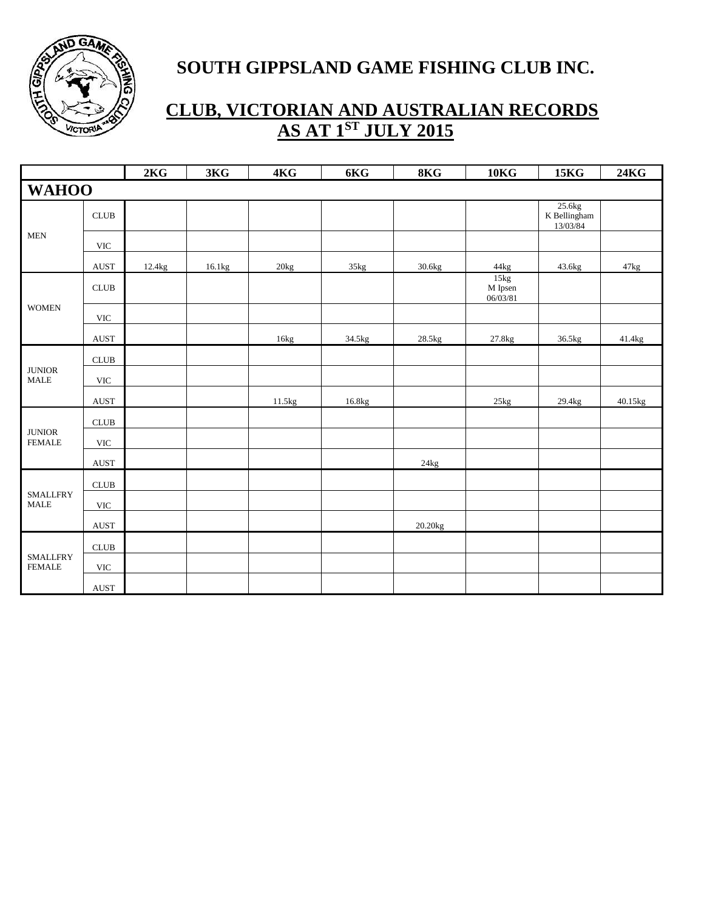

|                                          |                              | 2KG    | 3KG    | 4KG    | 6KG    | 8KG     | 10 <sub>K</sub>               | <b>15KG</b>                          | <b>24KG</b> |
|------------------------------------------|------------------------------|--------|--------|--------|--------|---------|-------------------------------|--------------------------------------|-------------|
| <b>WAHOO</b>                             |                              |        |        |        |        |         |                               |                                      |             |
|                                          | CLUB                         |        |        |        |        |         |                               | 25.6kg<br>K Bellingham<br>$13/03/84$ |             |
| $\operatorname{\mathsf{MEN}}$            | <b>VIC</b>                   |        |        |        |        |         |                               |                                      |             |
|                                          | <b>AUST</b>                  | 12.4kg | 16.1kg | 20kg   | 35kg   | 30.6kg  | 44kg                          | 43.6kg                               | 47kg        |
|                                          | $\ensuremath{\mathsf{CLUB}}$ |        |        |        |        |         | 15kg<br>$M$ Ipsen<br>06/03/81 |                                      |             |
| <b>WOMEN</b>                             | $\ensuremath{\text{VIC}}$    |        |        |        |        |         |                               |                                      |             |
|                                          | AUST                         |        |        | 16kg   | 34.5kg | 28.5kg  | 27.8kg                        | 36.5kg                               | 41.4kg      |
|                                          | $\ensuremath{\mathsf{CLUB}}$ |        |        |        |        |         |                               |                                      |             |
| <b>JUNIOR</b><br><b>MALE</b>             | <b>VIC</b>                   |        |        |        |        |         |                               |                                      |             |
|                                          | AUST                         |        |        | 11.5kg | 16.8kg |         | 25kg                          | 29.4kg                               | 40.15kg     |
|                                          | $CLUB$                       |        |        |        |        |         |                               |                                      |             |
| <b>JUNIOR</b><br><b>FEMALE</b>           | $\ensuremath{\text{VIC}}$    |        |        |        |        |         |                               |                                      |             |
|                                          | $\operatorname{AUST}$        |        |        |        |        | 24kg    |                               |                                      |             |
|                                          | $\ensuremath{\mathsf{CLUB}}$ |        |        |        |        |         |                               |                                      |             |
| <b>SMALLFRY</b><br>$\operatorname{MALE}$ | $\ensuremath{\text{VIC}}$    |        |        |        |        |         |                               |                                      |             |
|                                          | AUST                         |        |        |        |        | 20.20kg |                               |                                      |             |
|                                          | ${\rm CLUB}$                 |        |        |        |        |         |                               |                                      |             |
| <b>SMALLFRY</b><br><b>FEMALE</b>         | $\ensuremath{\text{VIC}}$    |        |        |        |        |         |                               |                                      |             |
|                                          | <b>AUST</b>                  |        |        |        |        |         |                               |                                      |             |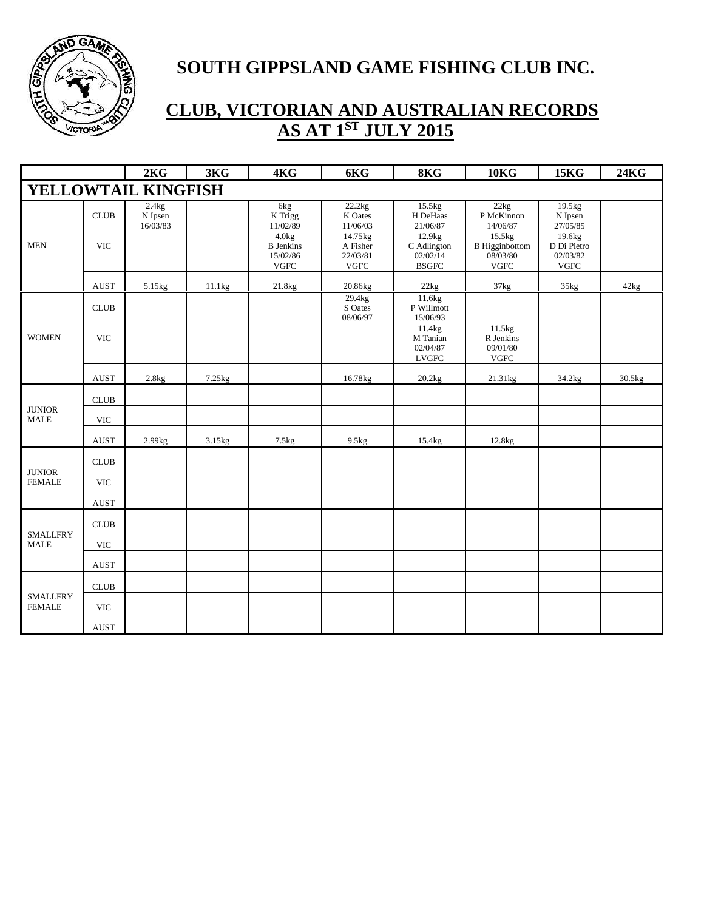

|                                  |                       | 2KG                          | 3KG    | 4KG                                                  | 6KG                                             | 8KG                                                           | <b>10KG</b>                                                 | <b>15KG</b>                                       | <b>24KG</b> |
|----------------------------------|-----------------------|------------------------------|--------|------------------------------------------------------|-------------------------------------------------|---------------------------------------------------------------|-------------------------------------------------------------|---------------------------------------------------|-------------|
|                                  |                       | YELLOWTAIL KINGFISH          |        |                                                      |                                                 |                                                               |                                                             |                                                   |             |
|                                  | <b>CLUB</b>           | 2.4kg<br>N Ipsen<br>16/03/83 |        | 6kg<br>K Trigg<br>11/02/89                           | 22.2kg<br>K Oates<br>11/06/03                   | 15.5kg<br>H DeHaas<br>21/06/87                                | 22kg<br>P McKinnon<br>14/06/87                              | 19.5kg<br>N Ipsen<br>27/05/85                     |             |
| <b>MEN</b>                       | <b>VIC</b>            |                              |        | 4.0kg<br><b>B</b> Jenkins<br>15/02/86<br><b>VGFC</b> | 14.75kg<br>A Fisher<br>22/03/81<br>${\rm VGFC}$ | 12.9 <sub>kg</sub><br>C Adlington<br>02/02/14<br><b>BSGFC</b> | 15.5kg<br><b>B</b> Higginbottom<br>08/03/80<br>${\rm VGFC}$ | 19.6kg<br>D Di Pietro<br>02/03/82<br>${\rm VGFC}$ |             |
|                                  | <b>AUST</b>           | 5.15kg                       | 11.1kg | $21.8\mathrm{kg}$                                    | 20.86kg                                         | 22kg                                                          | $37\mathrm{kg}$                                             | 35kg                                              | 42kg        |
|                                  | <b>CLUB</b>           |                              |        |                                                      | 29.4kg<br>S Oates<br>08/06/97                   | 11.6 <sub>kg</sub><br>P Willmott<br>15/06/93                  |                                                             |                                                   |             |
| <b>WOMEN</b>                     | <b>VIC</b>            |                              |        |                                                      |                                                 | 11.4kg<br>M Tanian<br>02/04/87<br><b>LVGFC</b>                | 11.5kg<br>R Jenkins<br>09/01/80<br><b>VGFC</b>              |                                                   |             |
|                                  | AUST                  | 2.8kg                        | 7.25kg |                                                      | 16.78kg                                         | 20.2kg                                                        | 21.31kg                                                     | 34.2kg                                            | 30.5kg      |
|                                  | <b>CLUB</b>           |                              |        |                                                      |                                                 |                                                               |                                                             |                                                   |             |
| <b>JUNIOR</b><br><b>MALE</b>     | <b>VIC</b>            |                              |        |                                                      |                                                 |                                                               |                                                             |                                                   |             |
|                                  | $\operatorname{AUST}$ | 2.99kg                       | 3.15kg | 7.5kg                                                | 9.5kg                                           | 15.4kg                                                        | 12.8kg                                                      |                                                   |             |
|                                  | <b>CLUB</b>           |                              |        |                                                      |                                                 |                                                               |                                                             |                                                   |             |
| <b>JUNIOR</b><br><b>FEMALE</b>   | <b>VIC</b>            |                              |        |                                                      |                                                 |                                                               |                                                             |                                                   |             |
|                                  | <b>AUST</b>           |                              |        |                                                      |                                                 |                                                               |                                                             |                                                   |             |
|                                  | CLUB                  |                              |        |                                                      |                                                 |                                                               |                                                             |                                                   |             |
| <b>SMALLFRY</b><br><b>MALE</b>   | <b>VIC</b>            |                              |        |                                                      |                                                 |                                                               |                                                             |                                                   |             |
|                                  | <b>AUST</b>           |                              |        |                                                      |                                                 |                                                               |                                                             |                                                   |             |
|                                  | <b>CLUB</b>           |                              |        |                                                      |                                                 |                                                               |                                                             |                                                   |             |
| <b>SMALLFRY</b><br><b>FEMALE</b> | <b>VIC</b>            |                              |        |                                                      |                                                 |                                                               |                                                             |                                                   |             |
|                                  | <b>AUST</b>           |                              |        |                                                      |                                                 |                                                               |                                                             |                                                   |             |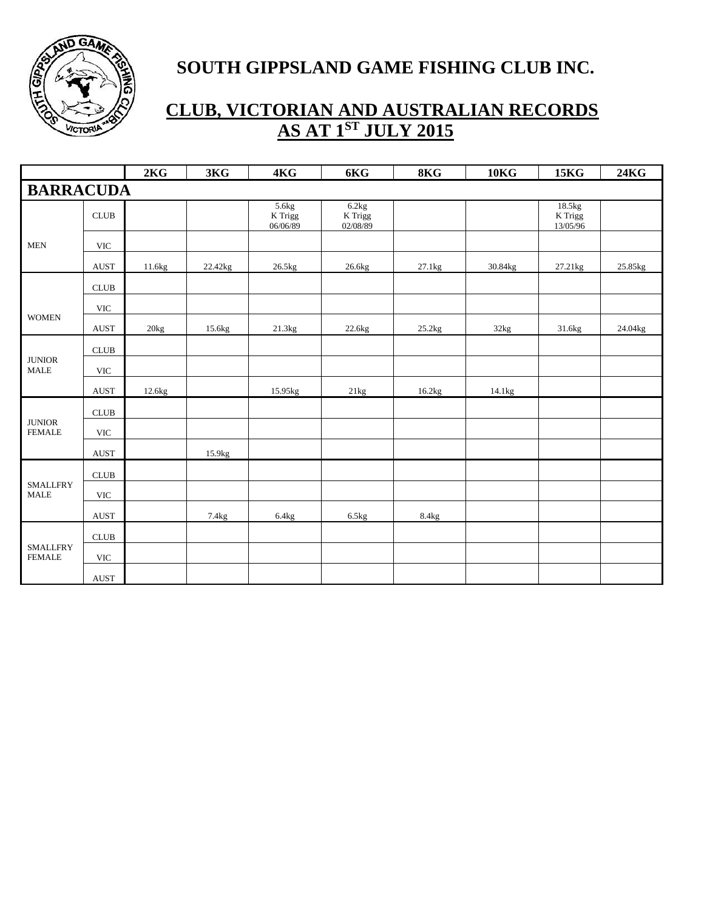

|                                        |                              | 2KG    | 3KG     | 4KG                                    | 6KG                                    | 8KG    | <b>10KG</b> | <b>15KG</b>                     | <b>24KG</b> |
|----------------------------------------|------------------------------|--------|---------|----------------------------------------|----------------------------------------|--------|-------------|---------------------------------|-------------|
| <b>BARRACUDA</b>                       |                              |        |         |                                        |                                        |        |             |                                 |             |
|                                        | CLUB                         |        |         | 5.6kg<br>$\mathbf K$ Trigg<br>06/06/89 | 6.2kg<br>$\mathbf K$ Trigg<br>02/08/89 |        |             | 18.5kg<br>$K$ Trigg<br>13/05/96 |             |
| <b>MEN</b>                             | <b>VIC</b>                   |        |         |                                        |                                        |        |             |                                 |             |
|                                        | <b>AUST</b>                  | 11.6kg | 22.42kg | 26.5kg                                 | 26.6kg                                 | 27.1kg | 30.84kg     | 27.21kg                         | 25.85kg     |
|                                        | CLUB                         |        |         |                                        |                                        |        |             |                                 |             |
|                                        | $\ensuremath{\text{VIC}}$    |        |         |                                        |                                        |        |             |                                 |             |
| <b>WOMEN</b>                           | <b>AUST</b>                  | 20kg   | 15.6kg  | 21.3kg                                 | 22.6kg                                 | 25.2kg | 32kg        | 31.6kg                          | 24.04kg     |
|                                        | CLUB                         |        |         |                                        |                                        |        |             |                                 |             |
| <b>JUNIOR</b><br>$\operatorname{MALE}$ | $\ensuremath{\text{VIC}}$    |        |         |                                        |                                        |        |             |                                 |             |
|                                        | <b>AUST</b>                  | 12.6kg |         | 15.95kg                                | 21kg                                   | 16.2kg | 14.1kg      |                                 |             |
|                                        | CLUB                         |        |         |                                        |                                        |        |             |                                 |             |
| <b>JUNIOR</b><br><b>FEMALE</b>         | <b>VIC</b>                   |        |         |                                        |                                        |        |             |                                 |             |
|                                        | <b>AUST</b>                  |        | 15.9kg  |                                        |                                        |        |             |                                 |             |
|                                        | $\ensuremath{\mathsf{CLUB}}$ |        |         |                                        |                                        |        |             |                                 |             |
| <b>SMALLFRY</b><br><b>MALE</b>         | <b>VIC</b>                   |        |         |                                        |                                        |        |             |                                 |             |
|                                        | AUST                         |        | 7.4kg   | 6.4kg                                  | 6.5kg                                  | 8.4kg  |             |                                 |             |
|                                        | $\ensuremath{\mathsf{CLUB}}$ |        |         |                                        |                                        |        |             |                                 |             |
| <b>SMALLFRY</b><br><b>FEMALE</b>       | <b>VIC</b>                   |        |         |                                        |                                        |        |             |                                 |             |
|                                        | $\operatorname{AUST}$        |        |         |                                        |                                        |        |             |                                 |             |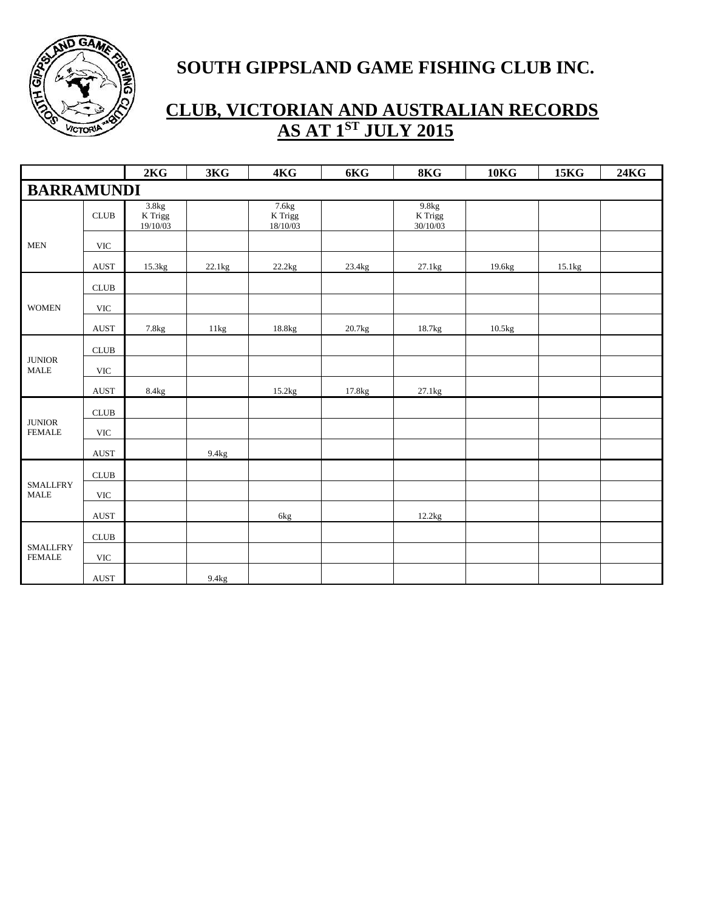

|                                          |                              | 2KG                          | 3KG    | 4KG                          | 6KG    | 8KG                          | <b>10KG</b> | <b>15KG</b> | <b>24KG</b> |
|------------------------------------------|------------------------------|------------------------------|--------|------------------------------|--------|------------------------------|-------------|-------------|-------------|
| <b>BARRAMUNDI</b>                        |                              |                              |        |                              |        |                              |             |             |             |
|                                          | <b>CLUB</b>                  | 3.8kg<br>K Trigg<br>19/10/03 |        | 7.6kg<br>K Trigg<br>18/10/03 |        | 9.8kg<br>K Trigg<br>30/10/03 |             |             |             |
| <b>MEN</b>                               | $\ensuremath{\text{VIC}}$    |                              |        |                              |        |                              |             |             |             |
|                                          | <b>AUST</b>                  | 15.3kg                       | 22.1kg | 22.2kg                       | 23.4kg | 27.1kg                       | 19.6kg      | 15.1kg      |             |
|                                          | $\ensuremath{\mathsf{CLUB}}$ |                              |        |                              |        |                              |             |             |             |
| <b>WOMEN</b>                             | $\ensuremath{\text{VIC}}$    |                              |        |                              |        |                              |             |             |             |
|                                          | <b>AUST</b>                  | 7.8kg                        | 11kg   | 18.8kg                       | 20.7kg | 18.7kg                       | 10.5kg      |             |             |
|                                          | $\ensuremath{\mathsf{CLUB}}$ |                              |        |                              |        |                              |             |             |             |
| $\qquad$ JUNIOR<br>$\operatorname{MALE}$ | $\ensuremath{\text{VIC}}$    |                              |        |                              |        |                              |             |             |             |
|                                          | <b>AUST</b>                  | 8.4kg                        |        | 15.2kg                       | 17.8kg | 27.1kg                       |             |             |             |
|                                          | CLUB                         |                              |        |                              |        |                              |             |             |             |
| <b>JUNIOR</b><br><b>FEMALE</b>           | <b>VIC</b>                   |                              |        |                              |        |                              |             |             |             |
|                                          | $\operatorname{AUST}$        |                              | 9.4kg  |                              |        |                              |             |             |             |
|                                          | CLUB                         |                              |        |                              |        |                              |             |             |             |
| <b>SMALLFRY</b><br><b>MALE</b>           | $\ensuremath{\text{VIC}}$    |                              |        |                              |        |                              |             |             |             |
|                                          | <b>AUST</b>                  |                              |        | 6kg                          |        | 12.2kg                       |             |             |             |
|                                          | ${\rm CLUB}$                 |                              |        |                              |        |                              |             |             |             |
| <b>SMALLFRY</b><br><b>FEMALE</b>         | <b>VIC</b>                   |                              |        |                              |        |                              |             |             |             |
|                                          | $\operatorname{AUST}$        |                              | 9.4kg  |                              |        |                              |             |             |             |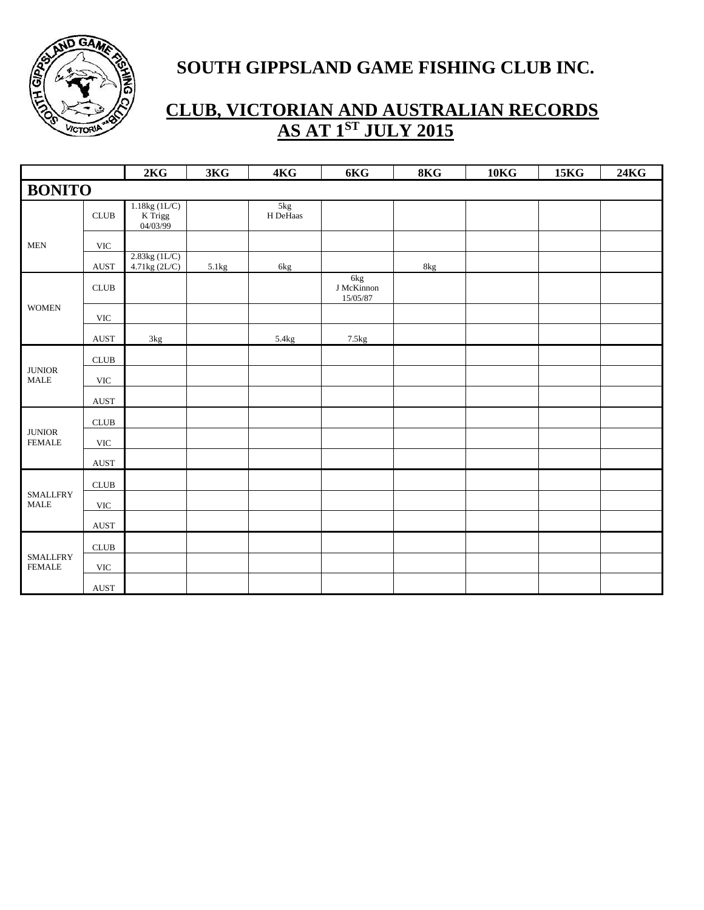

|                                  |                              | 2KG                                   | 3KG   | 4KG             | 6KG                                      | 8KG | 10 <sub>K</sub> | <b>15KG</b> | 24KG |
|----------------------------------|------------------------------|---------------------------------------|-------|-----------------|------------------------------------------|-----|-----------------|-------------|------|
| <b>BONITO</b>                    |                              |                                       |       |                 |                                          |     |                 |             |      |
|                                  | CLUB                         | $1.18kg(1L/C)$<br>K Trigg<br>04/03/99 |       | 5kg<br>H DeHaas |                                          |     |                 |             |      |
| <b>MEN</b>                       | <b>VIC</b>                   |                                       |       |                 |                                          |     |                 |             |      |
|                                  | <b>AUST</b>                  | 2.83kg (1L/C)<br>4.71kg (2L/C)        | 5.1kg | 6kg             |                                          | 8kg |                 |             |      |
|                                  | CLUB                         |                                       |       |                 | $6\mathrm{kg}$<br>J McKinnon<br>15/05/87 |     |                 |             |      |
| <b>WOMEN</b>                     | <b>VIC</b>                   |                                       |       |                 |                                          |     |                 |             |      |
|                                  | $\operatorname{AUST}$        | $3\mathrm{kg}$                        |       | 5.4kg           | 7.5kg                                    |     |                 |             |      |
|                                  | $\ensuremath{\mathsf{CLUB}}$ |                                       |       |                 |                                          |     |                 |             |      |
| $\qquad$ JUNIOR<br><b>MALE</b>   | $\ensuremath{\text{VIC}}$    |                                       |       |                 |                                          |     |                 |             |      |
|                                  | $\operatorname{AUST}$        |                                       |       |                 |                                          |     |                 |             |      |
|                                  | $\ensuremath{\mathsf{CLUB}}$ |                                       |       |                 |                                          |     |                 |             |      |
| $\qquad$ JUNIOR<br><b>FEMALE</b> | <b>VIC</b>                   |                                       |       |                 |                                          |     |                 |             |      |
|                                  | $\operatorname{AUST}$        |                                       |       |                 |                                          |     |                 |             |      |
|                                  | $\ensuremath{\mathsf{CLUB}}$ |                                       |       |                 |                                          |     |                 |             |      |
| <b>SMALLFRY</b><br><b>MALE</b>   | $\ensuremath{\text{VIC}}$    |                                       |       |                 |                                          |     |                 |             |      |
|                                  | <b>AUST</b>                  |                                       |       |                 |                                          |     |                 |             |      |
|                                  | $CLUB$                       |                                       |       |                 |                                          |     |                 |             |      |
| <b>SMALLFRY</b><br><b>FEMALE</b> | $\ensuremath{\text{VIC}}$    |                                       |       |                 |                                          |     |                 |             |      |
|                                  | $\operatorname{AUST}$        |                                       |       |                 |                                          |     |                 |             |      |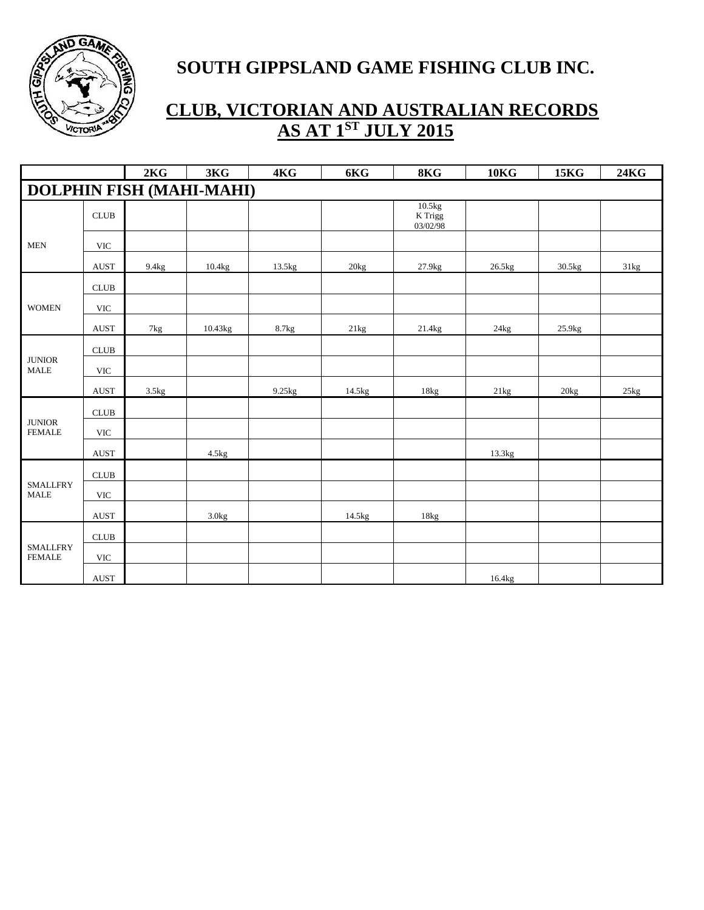

|                                  |                              | 2KG            | 3KG                             | 4KG    | 6KG    | 8KG                           | 10 <sub>K</sub> G | <b>15KG</b> | <b>24KG</b> |
|----------------------------------|------------------------------|----------------|---------------------------------|--------|--------|-------------------------------|-------------------|-------------|-------------|
|                                  |                              |                | <b>DOLPHIN FISH (MAHI-MAHI)</b> |        |        |                               |                   |             |             |
|                                  | CLUB                         |                |                                 |        |        | 10.5kg<br>K Trigg<br>03/02/98 |                   |             |             |
| <b>MEN</b>                       | <b>VIC</b>                   |                |                                 |        |        |                               |                   |             |             |
|                                  | <b>AUST</b>                  | 9.4kg          | 10.4kg                          | 13.5kg | 20kg   | 27.9kg                        | 26.5kg            | 30.5kg      | 31kg        |
|                                  | ${\rm CLUB}$                 |                |                                 |        |        |                               |                   |             |             |
| <b>WOMEN</b>                     | <b>VIC</b>                   |                |                                 |        |        |                               |                   |             |             |
|                                  | <b>AUST</b>                  | $7\mathrm{kg}$ | 10.43kg                         | 8.7kg  | 21kg   | 21.4kg                        | 24kg              | 25.9kg      |             |
| $\qquad$ JUNIOR<br><b>MALE</b>   | ${\rm CLUB}$                 |                |                                 |        |        |                               |                   |             |             |
|                                  | <b>VIC</b>                   |                |                                 |        |        |                               |                   |             |             |
|                                  | <b>AUST</b>                  | 3.5kg          |                                 | 9.25kg | 14.5kg | 18kg                          | 21kg              | 20kg        | 25kg        |
|                                  | CLUB                         |                |                                 |        |        |                               |                   |             |             |
| <b>JUNIOR</b><br><b>FEMALE</b>   | <b>VIC</b>                   |                |                                 |        |        |                               |                   |             |             |
|                                  | <b>AUST</b>                  |                | 4.5kg                           |        |        |                               | 13.3kg            |             |             |
|                                  | CLUB                         |                |                                 |        |        |                               |                   |             |             |
| <b>SMALLFRY</b><br><b>MALE</b>   | <b>VIC</b>                   |                |                                 |        |        |                               |                   |             |             |
|                                  | <b>AUST</b>                  |                | 3.0kg                           |        | 14.5kg | 18kg                          |                   |             |             |
| <b>SMALLFRY</b><br><b>FEMALE</b> | $\ensuremath{\mathsf{CLUB}}$ |                |                                 |        |        |                               |                   |             |             |
|                                  | $\ensuremath{\text{VIC}}$    |                |                                 |        |        |                               |                   |             |             |
|                                  | <b>AUST</b>                  |                |                                 |        |        |                               | 16.4kg            |             |             |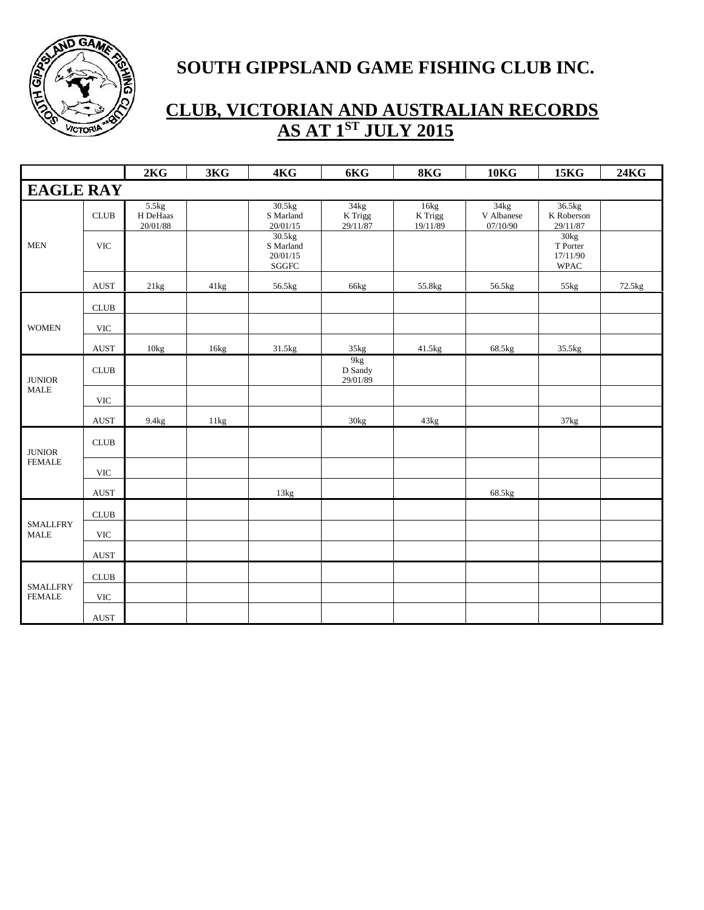

|                                  |                           | 2KG                           | 3KG  | 4KG                                      | 6KG                                    | 8KG                         | <b>10KG</b>                    | <b>15KG</b>                                 | <b>24KG</b> |
|----------------------------------|---------------------------|-------------------------------|------|------------------------------------------|----------------------------------------|-----------------------------|--------------------------------|---------------------------------------------|-------------|
| <b>EAGLE RAY</b>                 |                           |                               |      |                                          |                                        |                             |                                |                                             |             |
|                                  | <b>CLUB</b>               | 5.5kg<br>H DeHaas<br>20/01/88 |      | 30.5kg<br>S Marland<br>20/01/15          | 34kg<br>K Trigg<br>29/11/87            | 16kg<br>K Trigg<br>19/11/89 | 34kg<br>V Albanese<br>07/10/90 | 36.5kg<br>K Roberson<br>29/11/87            |             |
| <b>MEN</b>                       | <b>VIC</b>                |                               |      | 30.5kg<br>S Marland<br>20/01/15<br>SGGFC |                                        |                             |                                | 30kg<br>T Porter<br>17/11/90<br><b>WPAC</b> |             |
|                                  | <b>AUST</b>               | 21kg                          | 41kg | 56.5kg                                   | 66kg                                   | 55.8kg                      | 56.5kg                         | 55kg                                        | 72.5kg      |
|                                  | <b>CLUB</b>               |                               |      |                                          |                                        |                             |                                |                                             |             |
| <b>WOMEN</b>                     | <b>VIC</b>                |                               |      |                                          |                                        |                             |                                |                                             |             |
|                                  | <b>AUST</b>               | $10\text{kg}$                 | 16kg | 31.5kg                                   | 35kg                                   | 41.5kg                      | 68.5kg                         | 35.5kg                                      |             |
| $\qquad$ JUNIOR                  | <b>CLUB</b>               |                               |      |                                          | 9 <sub>kg</sub><br>D Sandy<br>29/01/89 |                             |                                |                                             |             |
| <b>MALE</b>                      | <b>VIC</b>                |                               |      |                                          |                                        |                             |                                |                                             |             |
|                                  | <b>AUST</b>               | 9.4kg                         | 11kg |                                          | 30kg                                   | 43kg                        |                                | 37kg                                        |             |
| <b>JUNIOR</b>                    | <b>CLUB</b>               |                               |      |                                          |                                        |                             |                                |                                             |             |
| <b>FEMALE</b>                    | <b>VIC</b>                |                               |      |                                          |                                        |                             |                                |                                             |             |
|                                  | <b>AUST</b>               |                               |      | 13kg                                     |                                        |                             | 68.5kg                         |                                             |             |
|                                  | CLUB                      |                               |      |                                          |                                        |                             |                                |                                             |             |
| <b>SMALLFRY</b><br><b>MALE</b>   | $\ensuremath{\text{VIC}}$ |                               |      |                                          |                                        |                             |                                |                                             |             |
|                                  | <b>AUST</b>               |                               |      |                                          |                                        |                             |                                |                                             |             |
| <b>SMALLFRY</b><br><b>FEMALE</b> | CLUB                      |                               |      |                                          |                                        |                             |                                |                                             |             |
|                                  | <b>VIC</b>                |                               |      |                                          |                                        |                             |                                |                                             |             |
|                                  | <b>AUST</b>               |                               |      |                                          |                                        |                             |                                |                                             |             |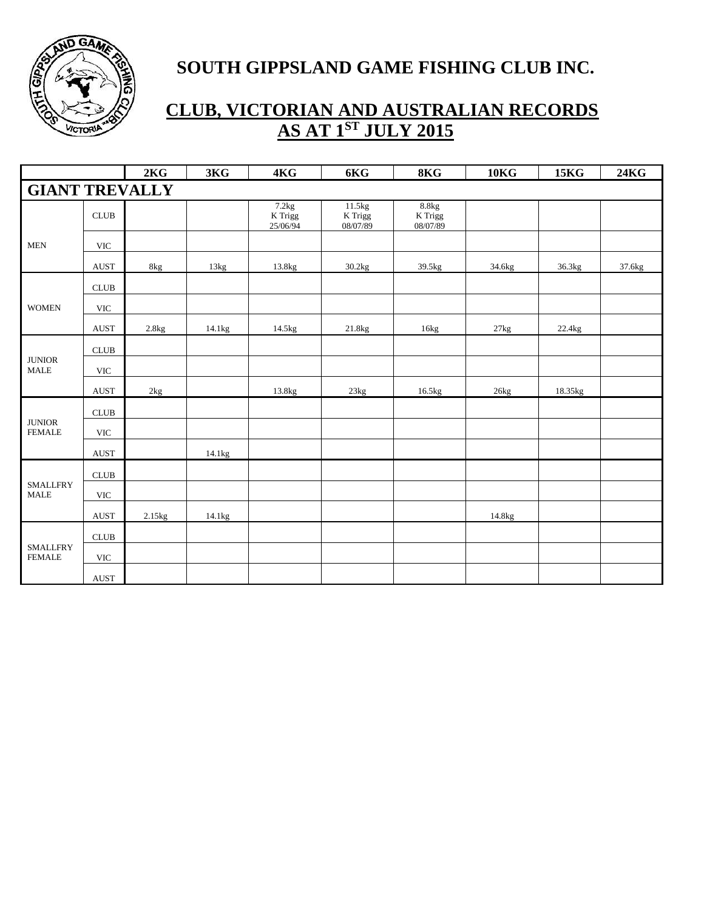

|                                          |                              | 2KG    | 3KG    | 4KG                          | 6KG                           | 8KG                          | 10 <sub>K</sub> | <b>15KG</b> | <b>24KG</b> |
|------------------------------------------|------------------------------|--------|--------|------------------------------|-------------------------------|------------------------------|-----------------|-------------|-------------|
| <b>GIANT TREVALLY</b>                    |                              |        |        |                              |                               |                              |                 |             |             |
|                                          | <b>CLUB</b>                  |        |        | 7.2kg<br>K Trigg<br>25/06/94 | 11.5kg<br>K Trigg<br>08/07/89 | 8.8kg<br>K Trigg<br>08/07/89 |                 |             |             |
| <b>MEN</b>                               | <b>VIC</b>                   |        |        |                              |                               |                              |                 |             |             |
|                                          | <b>AUST</b>                  | 8kg    | 13kg   | 13.8kg                       | 30.2kg                        | 39.5kg                       | 34.6kg          | 36.3kg      | 37.6kg      |
|                                          | $\ensuremath{\mathsf{CLUB}}$ |        |        |                              |                               |                              |                 |             |             |
| <b>WOMEN</b>                             | <b>VIC</b>                   |        |        |                              |                               |                              |                 |             |             |
|                                          | <b>AUST</b>                  | 2.8kg  | 14.1kg | 14.5kg                       | 21.8kg                        | 16kg                         | 27kg            | 22.4kg      |             |
| <b>JUNIOR</b><br>$\operatorname{MALE}$   | $\ensuremath{\mathsf{CLUB}}$ |        |        |                              |                               |                              |                 |             |             |
|                                          | $\ensuremath{\text{VIC}}$    |        |        |                              |                               |                              |                 |             |             |
|                                          | <b>AUST</b>                  | 2kg    |        | 13.8kg                       | 23kg                          | 16.5kg                       | 26kg            | 18.35kg     |             |
|                                          | $\ensuremath{\mathsf{CLUB}}$ |        |        |                              |                               |                              |                 |             |             |
| <b>JUNIOR</b><br><b>FEMALE</b>           | $\ensuremath{\text{VIC}}$    |        |        |                              |                               |                              |                 |             |             |
|                                          | <b>AUST</b>                  |        | 14.1kg |                              |                               |                              |                 |             |             |
|                                          | $\ensuremath{\mathsf{CLUB}}$ |        |        |                              |                               |                              |                 |             |             |
| <b>SMALLFRY</b><br>$\operatorname{MALE}$ | $\ensuremath{\text{VIC}}$    |        |        |                              |                               |                              |                 |             |             |
|                                          | $\operatorname{AUST}$        | 2.15kg | 14.1kg |                              |                               |                              | 14.8kg          |             |             |
| <b>SMALLFRY</b><br><b>FEMALE</b>         | $\ensuremath{\mathsf{CLUB}}$ |        |        |                              |                               |                              |                 |             |             |
|                                          | $\ensuremath{\text{VIC}}$    |        |        |                              |                               |                              |                 |             |             |
|                                          | $\operatorname{AUST}$        |        |        |                              |                               |                              |                 |             |             |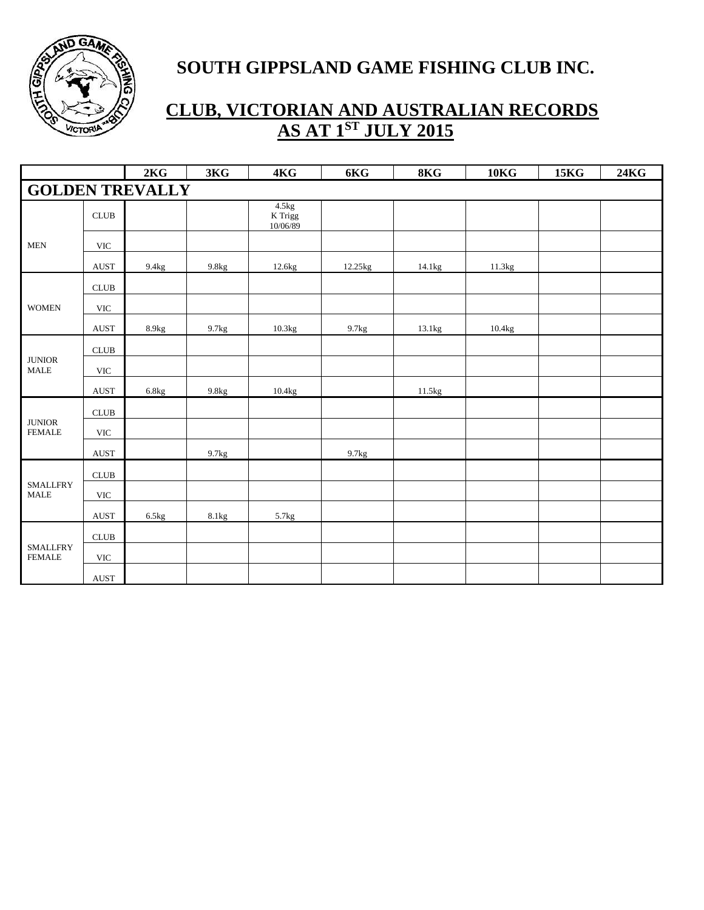

|                                  |                              | 2KG                    | 3KG   | 4KG                            | 6KG     | 8KG    | 10 <sub>K</sub> G | <b>15KG</b> | <b>24KG</b> |
|----------------------------------|------------------------------|------------------------|-------|--------------------------------|---------|--------|-------------------|-------------|-------------|
|                                  |                              | <b>GOLDEN TREVALLY</b> |       |                                |         |        |                   |             |             |
|                                  | <b>CLUB</b>                  |                        |       | 4.5kg<br>$K$ Trigg<br>10/06/89 |         |        |                   |             |             |
| <b>MEN</b>                       | <b>VIC</b>                   |                        |       |                                |         |        |                   |             |             |
|                                  | <b>AUST</b>                  | 9.4kg                  | 9.8kg | 12.6kg                         | 12.25kg | 14.1kg | 11.3kg            |             |             |
|                                  | CLUB                         |                        |       |                                |         |        |                   |             |             |
| <b>WOMEN</b>                     | <b>VIC</b>                   |                        |       |                                |         |        |                   |             |             |
|                                  | <b>AUST</b>                  | 8.9kg                  | 9.7kg | 10.3kg                         | 9.7kg   | 13.1kg | 10.4kg            |             |             |
| $\qquad$ JUNIOR<br><b>MALE</b>   | $\ensuremath{\mathsf{CLUB}}$ |                        |       |                                |         |        |                   |             |             |
|                                  | <b>VIC</b>                   |                        |       |                                |         |        |                   |             |             |
|                                  | <b>AUST</b>                  | $6.8\mathrm{kg}$       | 9.8kg | 10.4kg                         |         | 11.5kg |                   |             |             |
|                                  | $\ensuremath{\mathsf{CLUB}}$ |                        |       |                                |         |        |                   |             |             |
| <b>JUNIOR</b><br><b>FEMALE</b>   | <b>VIC</b>                   |                        |       |                                |         |        |                   |             |             |
|                                  | <b>AUST</b>                  |                        | 9.7kg |                                | 9.7kg   |        |                   |             |             |
|                                  | $\ensuremath{\mathsf{CLUB}}$ |                        |       |                                |         |        |                   |             |             |
| <b>SMALLFRY</b><br><b>MALE</b>   | <b>VIC</b>                   |                        |       |                                |         |        |                   |             |             |
|                                  | $\boldsymbol{\mathrm{AUST}}$ | 6.5kg                  | 8.1kg | 5.7kg                          |         |        |                   |             |             |
| <b>SMALLFRY</b><br><b>FEMALE</b> | ${\rm CLUB}$                 |                        |       |                                |         |        |                   |             |             |
|                                  | $\ensuremath{\text{VIC}}$    |                        |       |                                |         |        |                   |             |             |
|                                  | <b>AUST</b>                  |                        |       |                                |         |        |                   |             |             |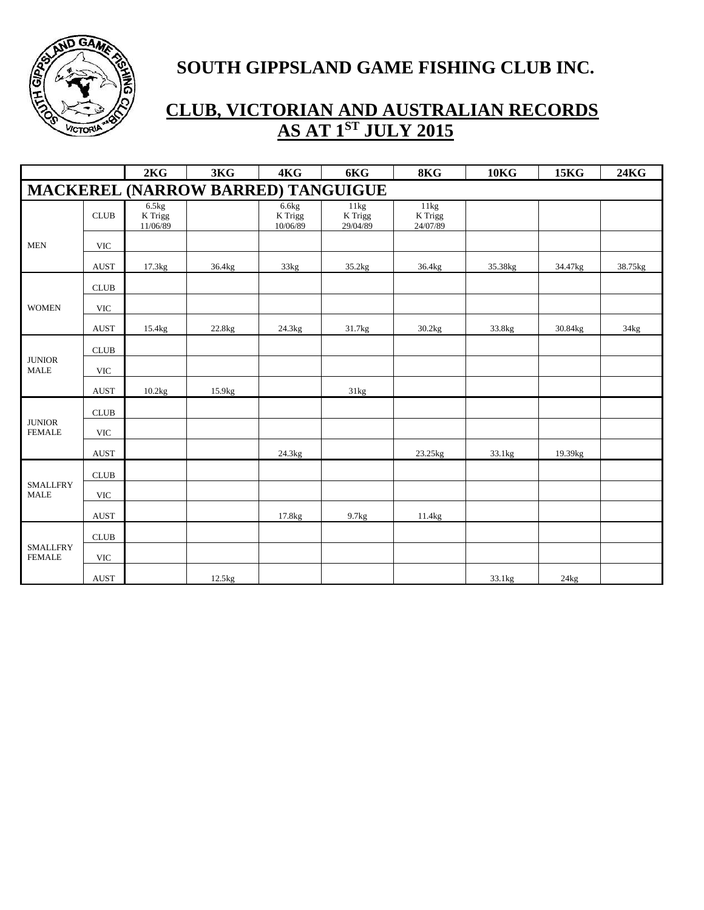

|                                  |                           | 2KG                          | 3KG                                | 4KG                          | 6KG                         | 8KG                         | <b>10KG</b> | <b>15KG</b> | <b>24KG</b> |
|----------------------------------|---------------------------|------------------------------|------------------------------------|------------------------------|-----------------------------|-----------------------------|-------------|-------------|-------------|
|                                  |                           |                              | MACKEREL (NARROW BARRED) TANGUIGUE |                              |                             |                             |             |             |             |
|                                  | <b>CLUB</b>               | 6.5kg<br>K Trigg<br>11/06/89 |                                    | 6.6kg<br>K Trigg<br>10/06/89 | 11kg<br>K Trigg<br>29/04/89 | 11kg<br>K Trigg<br>24/07/89 |             |             |             |
| <b>MEN</b>                       | <b>VIC</b>                |                              |                                    |                              |                             |                             |             |             |             |
|                                  | <b>AUST</b>               | 17.3kg                       | 36.4kg                             | 33kg                         | 35.2kg                      | 36.4kg                      | 35.38kg     | 34.47kg     | 38.75kg     |
|                                  | CLUB                      |                              |                                    |                              |                             |                             |             |             |             |
| <b>WOMEN</b>                     | <b>VIC</b>                |                              |                                    |                              |                             |                             |             |             |             |
|                                  | <b>AUST</b>               | 15.4kg                       | 22.8kg                             | 24.3kg                       | 31.7kg                      | 30.2kg                      | 33.8kg      | 30.84kg     | 34kg        |
| <b>JUNIOR</b><br><b>MALE</b>     | <b>CLUB</b>               |                              |                                    |                              |                             |                             |             |             |             |
|                                  | $\ensuremath{\text{VIC}}$ |                              |                                    |                              |                             |                             |             |             |             |
|                                  | <b>AUST</b>               | 10.2kg                       | 15.9kg                             |                              | 31kg                        |                             |             |             |             |
|                                  | CLUB                      |                              |                                    |                              |                             |                             |             |             |             |
| <b>JUNIOR</b><br><b>FEMALE</b>   | <b>VIC</b>                |                              |                                    |                              |                             |                             |             |             |             |
|                                  | <b>AUST</b>               |                              |                                    | 24.3kg                       |                             | 23.25kg                     | 33.1kg      | 19.39kg     |             |
|                                  | <b>CLUB</b>               |                              |                                    |                              |                             |                             |             |             |             |
| <b>SMALLFRY</b><br><b>MALE</b>   | <b>VIC</b>                |                              |                                    |                              |                             |                             |             |             |             |
|                                  | <b>AUST</b>               |                              |                                    | 17.8kg                       | 9.7kg                       | 11.4kg                      |             |             |             |
| <b>SMALLFRY</b><br><b>FEMALE</b> | <b>CLUB</b>               |                              |                                    |                              |                             |                             |             |             |             |
|                                  | <b>VIC</b>                |                              |                                    |                              |                             |                             |             |             |             |
|                                  | <b>AUST</b>               |                              | 12.5kg                             |                              |                             |                             | 33.1kg      | 24kg        |             |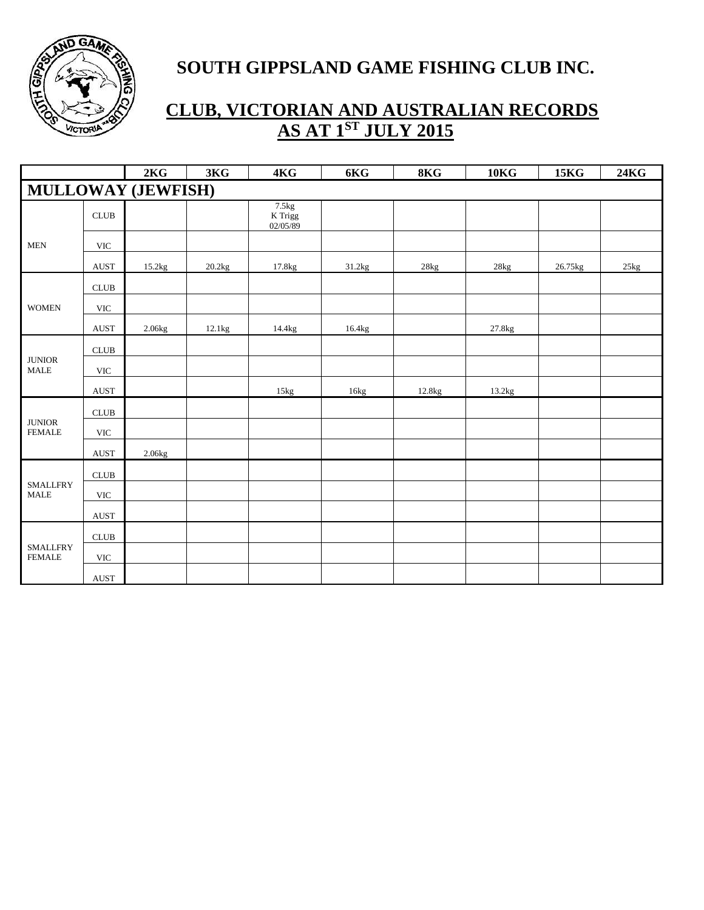

|                                  |                              | 2KG                       | 3KG               | 4KG                            | 6KG    | 8KG    | 10 <sub>K</sub> | <b>15KG</b> | 24KG |
|----------------------------------|------------------------------|---------------------------|-------------------|--------------------------------|--------|--------|-----------------|-------------|------|
|                                  |                              | <b>MULLOWAY (JEWFISH)</b> |                   |                                |        |        |                 |             |      |
|                                  | <b>CLUB</b>                  |                           |                   | 7.5kg<br>$K$ Trigg<br>02/05/89 |        |        |                 |             |      |
| <b>MEN</b>                       | <b>VIC</b>                   |                           |                   |                                |        |        |                 |             |      |
|                                  | <b>AUST</b>                  | 15.2kg                    | $20.2\mathrm{kg}$ | 17.8kg                         | 31.2kg | 28kg   | $28kg$          | 26.75kg     | 25kg |
|                                  | $\ensuremath{\mathsf{CLUB}}$ |                           |                   |                                |        |        |                 |             |      |
| <b>WOMEN</b>                     | <b>VIC</b>                   |                           |                   |                                |        |        |                 |             |      |
|                                  | <b>AUST</b>                  | 2.06kg                    | 12.1kg            | 14.4kg                         | 16.4kg |        | 27.8kg          |             |      |
| $\qquad$ JUNIOR<br><b>MALE</b>   | $\ensuremath{\mathsf{CLUB}}$ |                           |                   |                                |        |        |                 |             |      |
|                                  | <b>VIC</b>                   |                           |                   |                                |        |        |                 |             |      |
|                                  | <b>AUST</b>                  |                           |                   | 15kg                           | 16kg   | 12.8kg | 13.2kg          |             |      |
|                                  | CLUB                         |                           |                   |                                |        |        |                 |             |      |
| $\qquad$ JUNIOR<br><b>FEMALE</b> | <b>VIC</b>                   |                           |                   |                                |        |        |                 |             |      |
|                                  | <b>AUST</b>                  | 2.06kg                    |                   |                                |        |        |                 |             |      |
|                                  | $\ensuremath{\mathsf{CLUB}}$ |                           |                   |                                |        |        |                 |             |      |
| <b>SMALLFRY</b><br><b>MALE</b>   | <b>VIC</b>                   |                           |                   |                                |        |        |                 |             |      |
|                                  | <b>AUST</b>                  |                           |                   |                                |        |        |                 |             |      |
| <b>SMALLFRY</b><br><b>FEMALE</b> | $\ensuremath{\mathsf{CLUB}}$ |                           |                   |                                |        |        |                 |             |      |
|                                  | $\ensuremath{\text{VIC}}$    |                           |                   |                                |        |        |                 |             |      |
|                                  | <b>AUST</b>                  |                           |                   |                                |        |        |                 |             |      |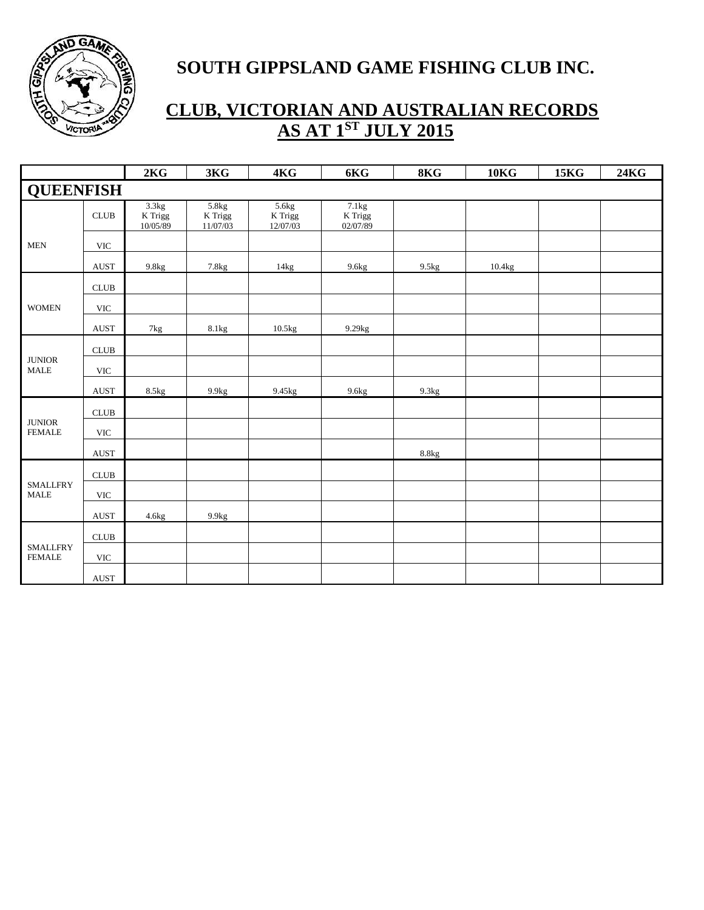

|                                  |                              | 2KG                          | 3KG                          | 4KG                                    | 6KG                          | 8KG   | 10 <sub>K</sub> | <b>15KG</b> | <b>24KG</b> |
|----------------------------------|------------------------------|------------------------------|------------------------------|----------------------------------------|------------------------------|-------|-----------------|-------------|-------------|
| <b>QUEENFISH</b>                 |                              |                              |                              |                                        |                              |       |                 |             |             |
|                                  | <b>CLUB</b>                  | 3.3kg<br>K Trigg<br>10/05/89 | 5.8kg<br>K Trigg<br>11/07/03 | 5.6kg<br>$\mathbf K$ Trigg<br>12/07/03 | 7.1kg<br>K Trigg<br>02/07/89 |       |                 |             |             |
| <b>MEN</b>                       | $\ensuremath{\text{VIC}}$    |                              |                              |                                        |                              |       |                 |             |             |
|                                  | <b>AUST</b>                  | 9.8kg                        | 7.8kg                        | 14kg                                   | 9.6kg                        | 9.5kg | 10.4kg          |             |             |
|                                  | $\ensuremath{\mathsf{CLUB}}$ |                              |                              |                                        |                              |       |                 |             |             |
| <b>WOMEN</b>                     | $\ensuremath{\text{VIC}}$    |                              |                              |                                        |                              |       |                 |             |             |
|                                  | AUST                         | $7\mathrm{kg}$               | 8.1kg                        | 10.5kg                                 | 9.29kg                       |       |                 |             |             |
| <b>JUNIOR</b><br><b>MALE</b>     | $\ensuremath{\mathsf{CLUB}}$ |                              |                              |                                        |                              |       |                 |             |             |
|                                  | $\ensuremath{\text{VIC}}$    |                              |                              |                                        |                              |       |                 |             |             |
|                                  | <b>AUST</b>                  | 8.5kg                        | 9.9kg                        | 9.45kg                                 | 9.6kg                        | 9.3kg |                 |             |             |
|                                  | CLUB                         |                              |                              |                                        |                              |       |                 |             |             |
| <b>JUNIOR</b><br><b>FEMALE</b>   | $\ensuremath{\text{VIC}}$    |                              |                              |                                        |                              |       |                 |             |             |
|                                  | AUST                         |                              |                              |                                        |                              | 8.8kg |                 |             |             |
|                                  | CLUB                         |                              |                              |                                        |                              |       |                 |             |             |
| <b>SMALLFRY</b><br><b>MALE</b>   | $\ensuremath{\text{VIC}}$    |                              |                              |                                        |                              |       |                 |             |             |
|                                  | <b>AUST</b>                  | 4.6kg                        | 9.9kg                        |                                        |                              |       |                 |             |             |
| <b>SMALLFRY</b><br><b>FEMALE</b> | CLUB                         |                              |                              |                                        |                              |       |                 |             |             |
|                                  | $\ensuremath{\text{VIC}}$    |                              |                              |                                        |                              |       |                 |             |             |
|                                  | AUST                         |                              |                              |                                        |                              |       |                 |             |             |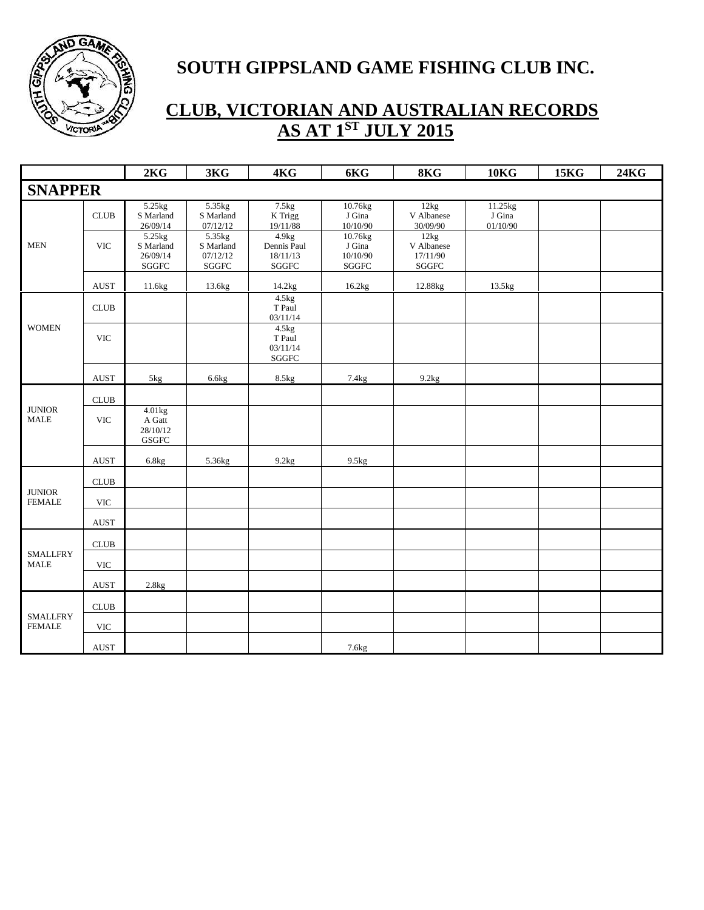

|                                  |                           | 2KG                                              | 3KG                                              | 4KG                                               | 6KG                                            | 8KG                                             | <b>10KG</b>                   | <b>15KG</b> | <b>24KG</b> |
|----------------------------------|---------------------------|--------------------------------------------------|--------------------------------------------------|---------------------------------------------------|------------------------------------------------|-------------------------------------------------|-------------------------------|-------------|-------------|
| <b>SNAPPER</b>                   |                           |                                                  |                                                  |                                                   |                                                |                                                 |                               |             |             |
|                                  | <b>CLUB</b>               | 5.25kg<br>S Marland<br>26/09/14                  | 5.35kg<br>S Marland<br>07/12/12                  | 7.5kg<br>K Trigg<br>19/11/88                      | 10.76kg<br>J Gina<br>10/10/90                  | 12kg<br>V Albanese<br>30/09/90                  | 11.25kg<br>J Gina<br>01/10/90 |             |             |
| <b>MEN</b>                       | <b>VIC</b>                | 5.25kg<br>S Marland<br>26/09/14<br>${\bf SGGFC}$ | 5.35kg<br>S Marland<br>07/12/12<br>${\bf SGGFC}$ | 4.9kg<br>Dennis Paul<br>18/11/13<br>${\bf SGGFC}$ | 10.76kg<br>J Gina<br>10/10/90<br>${\bf SGGFC}$ | 12kg<br>V Albanese<br>17/11/90<br>${\bf SGGFC}$ |                               |             |             |
|                                  | <b>AUST</b>               | 11.6kg                                           | 13.6kg                                           | 14.2kg                                            | 16.2kg                                         | 12.88kg                                         | 13.5kg                        |             |             |
| <b>WOMEN</b>                     | CLUB                      |                                                  |                                                  | 4.5kg<br>T Paul<br>03/11/14                       |                                                |                                                 |                               |             |             |
|                                  | <b>VIC</b>                |                                                  |                                                  | 4.5kg<br>T Paul<br>03/11/14<br>${\bf SGGFC}$      |                                                |                                                 |                               |             |             |
|                                  | $\operatorname{AUST}$     | 5kg                                              | 6.6kg                                            | 8.5kg                                             | 7.4kg                                          | 9.2kg                                           |                               |             |             |
|                                  | <b>CLUB</b>               |                                                  |                                                  |                                                   |                                                |                                                 |                               |             |             |
| <b>JUNIOR</b><br><b>MALE</b>     | <b>VIC</b>                | 4.01kg<br>A Gatt<br>28/10/12<br>GSGFC            |                                                  |                                                   |                                                |                                                 |                               |             |             |
|                                  | <b>AUST</b>               | 6.8kg                                            | 5.36kg                                           | 9.2kg                                             | 9.5kg                                          |                                                 |                               |             |             |
|                                  | CLUB                      |                                                  |                                                  |                                                   |                                                |                                                 |                               |             |             |
| <b>JUNIOR</b><br><b>FEMALE</b>   | <b>VIC</b>                |                                                  |                                                  |                                                   |                                                |                                                 |                               |             |             |
|                                  | $\operatorname{AUST}$     |                                                  |                                                  |                                                   |                                                |                                                 |                               |             |             |
|                                  | CLUB                      |                                                  |                                                  |                                                   |                                                |                                                 |                               |             |             |
| <b>SMALLFRY</b><br><b>MALE</b>   | $\ensuremath{\text{VIC}}$ |                                                  |                                                  |                                                   |                                                |                                                 |                               |             |             |
|                                  | <b>AUST</b>               | 2.8kg                                            |                                                  |                                                   |                                                |                                                 |                               |             |             |
| <b>SMALLFRY</b><br><b>FEMALE</b> | CLUB                      |                                                  |                                                  |                                                   |                                                |                                                 |                               |             |             |
|                                  | <b>VIC</b>                |                                                  |                                                  |                                                   |                                                |                                                 |                               |             |             |
|                                  | $\operatorname{AUST}$     |                                                  |                                                  |                                                   | 7.6 <sub>kg</sub>                              |                                                 |                               |             |             |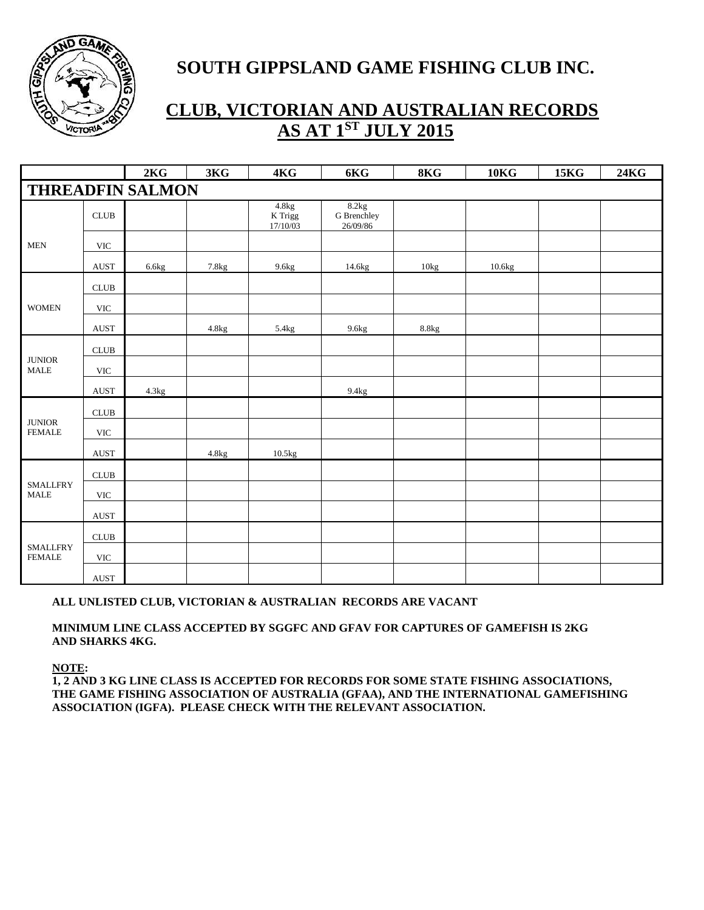

# **CLUB, VICTORIAN AND AUSTRALIAN RECORDS AS AT 1<sup>ST</sup> JULY 2015**

|                                          |                              | 2KG                     | 3KG   | 4KG                            | $6{\rm KG}$                      | 8KG   | 10 <sub>K</sub> | <b>15KG</b> | <b>24KG</b> |
|------------------------------------------|------------------------------|-------------------------|-------|--------------------------------|----------------------------------|-------|-----------------|-------------|-------------|
|                                          |                              | <b>THREADFIN SALMON</b> |       |                                |                                  |       |                 |             |             |
|                                          | CLUB                         |                         |       | 4.8kg<br>$K$ Trigg<br>17/10/03 | 8.2kg<br>G Brenchley<br>26/09/86 |       |                 |             |             |
| <b>MEN</b>                               | <b>VIC</b>                   |                         |       |                                |                                  |       |                 |             |             |
|                                          | <b>AUST</b>                  | 6.6kg                   | 7.8kg | 9.6kg                          | 14.6kg                           | 10kg  | 10.6kg          |             |             |
|                                          | CLUB                         |                         |       |                                |                                  |       |                 |             |             |
| <b>WOMEN</b>                             | $\ensuremath{\text{VIC}}$    |                         |       |                                |                                  |       |                 |             |             |
|                                          | AUST                         |                         | 4.8kg | 5.4kg                          | 9.6kg                            | 8.8kg |                 |             |             |
| $\qquad$ JUNIOR<br><b>MALE</b>           | CLUB                         |                         |       |                                |                                  |       |                 |             |             |
|                                          | $\ensuremath{\text{VIC}}$    |                         |       |                                |                                  |       |                 |             |             |
|                                          | <b>AUST</b>                  | 4.3kg                   |       |                                | 9.4kg                            |       |                 |             |             |
|                                          | $\ensuremath{\mathsf{CLUB}}$ |                         |       |                                |                                  |       |                 |             |             |
| $\qquad$ JUNIOR<br><b>FEMALE</b>         | <b>VIC</b>                   |                         |       |                                |                                  |       |                 |             |             |
|                                          | $\operatorname{AUST}$        |                         | 4.8kg | 10.5kg                         |                                  |       |                 |             |             |
|                                          | CLUB                         |                         |       |                                |                                  |       |                 |             |             |
| <b>SMALLFRY</b><br>$\operatorname{MALE}$ | $\ensuremath{\text{VIC}}$    |                         |       |                                |                                  |       |                 |             |             |
|                                          | $\operatorname{AUST}$        |                         |       |                                |                                  |       |                 |             |             |
| <b>SMALLFRY</b><br><b>FEMALE</b>         | $\ensuremath{\mathsf{CLUB}}$ |                         |       |                                |                                  |       |                 |             |             |
|                                          | <b>VIC</b>                   |                         |       |                                |                                  |       |                 |             |             |
|                                          | <b>AUST</b>                  |                         |       |                                |                                  |       |                 |             |             |

#### **ALL UNLISTED CLUB, VICTORIAN & AUSTRALIAN RECORDS ARE VACANT**

#### **MINIMUM LINE CLASS ACCEPTED BY SGGFC AND GFAV FOR CAPTURES OF GAMEFISH IS 2KG AND SHARKS 4KG.**

**NOTE:** 

**1, 2 AND 3 KG LINE CLASS IS ACCEPTED FOR RECORDS FOR SOME STATE FISHING ASSOCIATIONS, THE GAME FISHING ASSOCIATION OF AUSTRALIA (GFAA), AND THE INTERNATIONAL GAMEFISHING ASSOCIATION (IGFA). PLEASE CHECK WITH THE RELEVANT ASSOCIATION.**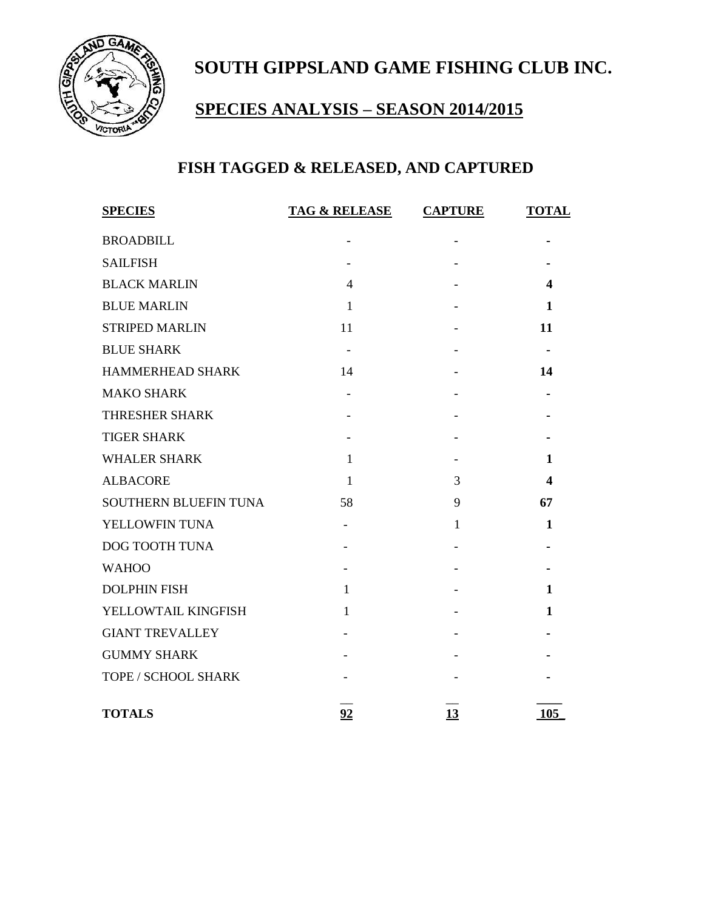

# **SPECIES ANALYSIS – SEASON 2014/2015**

# **FISH TAGGED & RELEASED, AND CAPTURED**

| <b>SPECIES</b>         | <b>TAG &amp; RELEASE</b> | <b>CAPTURE</b>           | <b>TOTAL</b>     |
|------------------------|--------------------------|--------------------------|------------------|
| <b>BROADBILL</b>       |                          |                          |                  |
| <b>SAILFISH</b>        |                          |                          |                  |
| <b>BLACK MARLIN</b>    | $\overline{\mathcal{L}}$ |                          | 4                |
| <b>BLUE MARLIN</b>     | $\mathbf{1}$             |                          | $\mathbf{1}$     |
| <b>STRIPED MARLIN</b>  | 11                       |                          | 11               |
| <b>BLUE SHARK</b>      | $\overline{\phantom{a}}$ |                          |                  |
| HAMMERHEAD SHARK       | 14                       | $\overline{\phantom{a}}$ | 14               |
| <b>MAKO SHARK</b>      |                          |                          |                  |
| THRESHER SHARK         |                          |                          |                  |
| <b>TIGER SHARK</b>     |                          |                          |                  |
| <b>WHALER SHARK</b>    | $\mathbf{1}$             |                          | 1                |
| <b>ALBACORE</b>        | $\mathbf{1}$             | 3                        | $\boldsymbol{4}$ |
| SOUTHERN BLUEFIN TUNA  | 58                       | 9                        | 67               |
| YELLOWFIN TUNA         | $\overline{\phantom{0}}$ | $\mathbf{1}$             | 1                |
| DOG TOOTH TUNA         |                          |                          |                  |
| <b>WAHOO</b>           |                          |                          |                  |
| <b>DOLPHIN FISH</b>    | $\mathbf{1}$             |                          | $\mathbf{1}$     |
| YELLOWTAIL KINGFISH    | $\mathbf{1}$             |                          | $\mathbf{1}$     |
| <b>GIANT TREVALLEY</b> |                          |                          |                  |
| <b>GUMMY SHARK</b>     |                          |                          |                  |
| TOPE / SCHOOL SHARK    |                          |                          |                  |
| <b>TOTALS</b>          | 92                       | 13                       | 105              |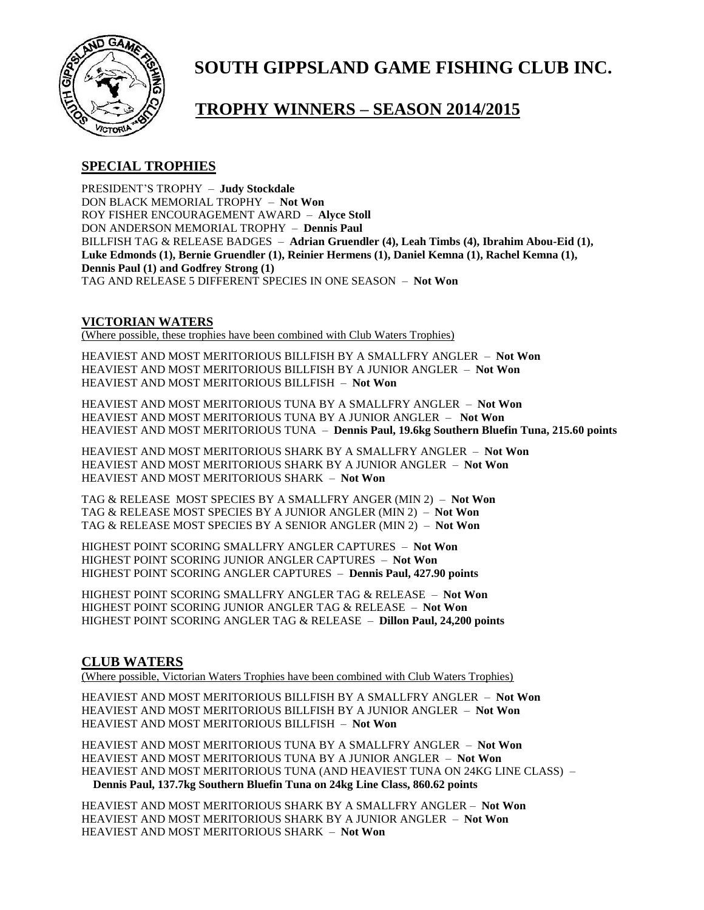

### **TROPHY WINNERS – SEASON 2014/2015**

#### **SPECIAL TROPHIES**

PRESIDENT'S TROPHY – **Judy Stockdale** DON BLACK MEMORIAL TROPHY – **Not Won**  ROY FISHER ENCOURAGEMENT AWARD – **Alyce Stoll** DON ANDERSON MEMORIAL TROPHY – **Dennis Paul** BILLFISH TAG & RELEASE BADGES – **Adrian Gruendler (4), Leah Timbs (4), Ibrahim Abou-Eid (1), Luke Edmonds (1), Bernie Gruendler (1), Reinier Hermens (1), Daniel Kemna (1), Rachel Kemna (1), Dennis Paul (1) and Godfrey Strong (1)** TAG AND RELEASE 5 DIFFERENT SPECIES IN ONE SEASON – **Not Won**

#### **VICTORIAN WATERS**

(Where possible, these trophies have been combined with Club Waters Trophies)

HEAVIEST AND MOST MERITORIOUS BILLFISH BY A SMALLFRY ANGLER – **Not Won** HEAVIEST AND MOST MERITORIOUS BILLFISH BY A JUNIOR ANGLER – **Not Won** HEAVIEST AND MOST MERITORIOUS BILLFISH – **Not Won**

HEAVIEST AND MOST MERITORIOUS TUNA BY A SMALLFRY ANGLER – **Not Won** HEAVIEST AND MOST MERITORIOUS TUNA BY A JUNIOR ANGLER – **Not Won** HEAVIEST AND MOST MERITORIOUS TUNA – **Dennis Paul, 19.6kg Southern Bluefin Tuna, 215.60 points**

HEAVIEST AND MOST MERITORIOUS SHARK BY A SMALLFRY ANGLER – **Not Won** HEAVIEST AND MOST MERITORIOUS SHARK BY A JUNIOR ANGLER – **Not Won** HEAVIEST AND MOST MERITORIOUS SHARK – **Not Won**

TAG & RELEASE MOST SPECIES BY A SMALLFRY ANGER (MIN 2) – **Not Won** TAG & RELEASE MOST SPECIES BY A JUNIOR ANGLER (MIN 2) – **Not Won** TAG & RELEASE MOST SPECIES BY A SENIOR ANGLER (MIN 2) – **Not Won**

HIGHEST POINT SCORING SMALLFRY ANGLER CAPTURES – **Not Won** HIGHEST POINT SCORING JUNIOR ANGLER CAPTURES – **Not Won** HIGHEST POINT SCORING ANGLER CAPTURES – **Dennis Paul, 427.90 points**

HIGHEST POINT SCORING SMALLFRY ANGLER TAG & RELEASE – **Not Won** HIGHEST POINT SCORING JUNIOR ANGLER TAG & RELEASE – **Not Won** HIGHEST POINT SCORING ANGLER TAG & RELEASE – **Dillon Paul, 24,200 points**

#### **CLUB WATERS**

(Where possible, Victorian Waters Trophies have been combined with Club Waters Trophies)

HEAVIEST AND MOST MERITORIOUS BILLFISH BY A SMALLFRY ANGLER – **Not Won** HEAVIEST AND MOST MERITORIOUS BILLFISH BY A JUNIOR ANGLER – **Not Won** HEAVIEST AND MOST MERITORIOUS BILLFISH – **Not Won**

HEAVIEST AND MOST MERITORIOUS TUNA BY A SMALLFRY ANGLER – **Not Won** HEAVIEST AND MOST MERITORIOUS TUNA BY A JUNIOR ANGLER – **Not Won** HEAVIEST AND MOST MERITORIOUS TUNA (AND HEAVIEST TUNA ON 24KG LINE CLASS) – **Dennis Paul, 137.7kg Southern Bluefin Tuna on 24kg Line Class, 860.62 points**

HEAVIEST AND MOST MERITORIOUS SHARK BY A SMALLFRY ANGLER – **Not Won** HEAVIEST AND MOST MERITORIOUS SHARK BY A JUNIOR ANGLER – **Not Won** HEAVIEST AND MOST MERITORIOUS SHARK – **Not Won**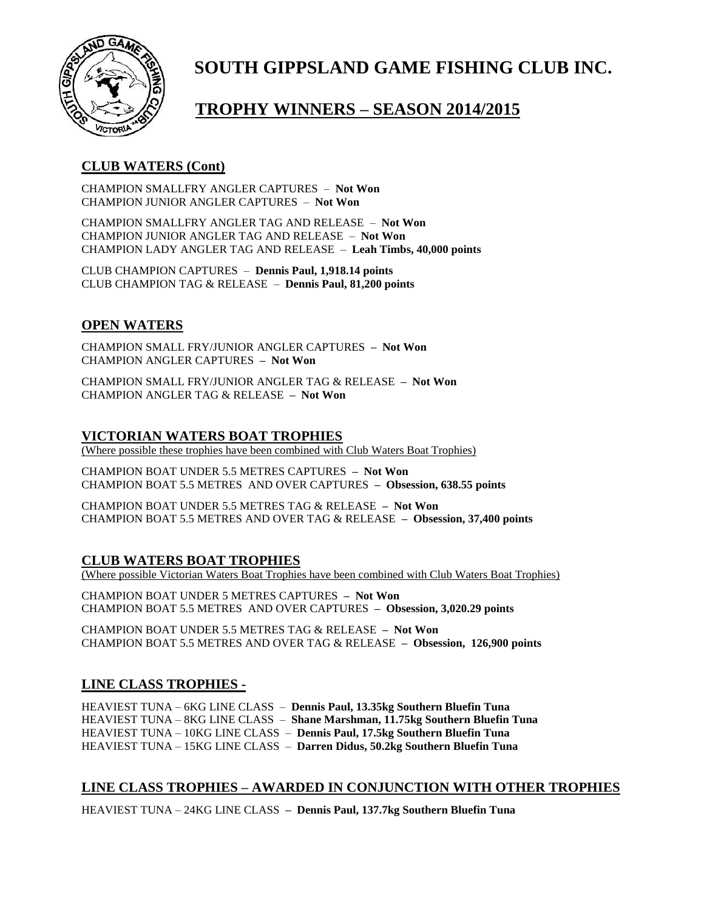

# **TROPHY WINNERS – SEASON 2014/2015**

#### **CLUB WATERS (Cont)**

CHAMPION SMALLFRY ANGLER CAPTURES – **Not Won** CHAMPION JUNIOR ANGLER CAPTURES – **Not Won**

CHAMPION SMALLFRY ANGLER TAG AND RELEASE – **Not Won** CHAMPION JUNIOR ANGLER TAG AND RELEASE – **Not Won** CHAMPION LADY ANGLER TAG AND RELEASE – **Leah Timbs, 40,000 points**

CLUB CHAMPION CAPTURES – **Dennis Paul, 1,918.14 points** CLUB CHAMPION TAG & RELEASE – **Dennis Paul, 81,200 points**

#### **OPEN WATERS**

CHAMPION SMALL FRY/JUNIOR ANGLER CAPTURES **– Not Won** CHAMPION ANGLER CAPTURES **– Not Won**

CHAMPION SMALL FRY/JUNIOR ANGLER TAG & RELEASE **– Not Won** CHAMPION ANGLER TAG & RELEASE **– Not Won**

#### **VICTORIAN WATERS BOAT TROPHIES**

(Where possible these trophies have been combined with Club Waters Boat Trophies)

CHAMPION BOAT UNDER 5.5 METRES CAPTURES **– Not Won** CHAMPION BOAT 5.5 METRES AND OVER CAPTURES **– Obsession, 638.55 points**

CHAMPION BOAT UNDER 5.5 METRES TAG & RELEASE **– Not Won** CHAMPION BOAT 5.5 METRES AND OVER TAG & RELEASE **– Obsession, 37,400 points**

#### **CLUB WATERS BOAT TROPHIES**

(Where possible Victorian Waters Boat Trophies have been combined with Club Waters Boat Trophies)

CHAMPION BOAT UNDER 5 METRES CAPTURES **– Not Won** CHAMPION BOAT 5.5 METRES AND OVER CAPTURES **– Obsession, 3,020.29 points**

CHAMPION BOAT UNDER 5.5 METRES TAG & RELEASE **– Not Won** CHAMPION BOAT 5.5 METRES AND OVER TAG & RELEASE **– Obsession, 126,900 points**

#### **LINE CLASS TROPHIES -**

HEAVIEST TUNA – 6KG LINE CLASS – **Dennis Paul, 13.35kg Southern Bluefin Tuna** HEAVIEST TUNA – 8KG LINE CLASS – **Shane Marshman, 11.75kg Southern Bluefin Tuna** HEAVIEST TUNA – 10KG LINE CLASS – **Dennis Paul, 17.5kg Southern Bluefin Tuna** HEAVIEST TUNA – 15KG LINE CLASS – **Darren Didus, 50.2kg Southern Bluefin Tuna**

#### **LINE CLASS TROPHIES – AWARDED IN CONJUNCTION WITH OTHER TROPHIES**

HEAVIEST TUNA – 24KG LINE CLASS **– Dennis Paul, 137.7kg Southern Bluefin Tuna**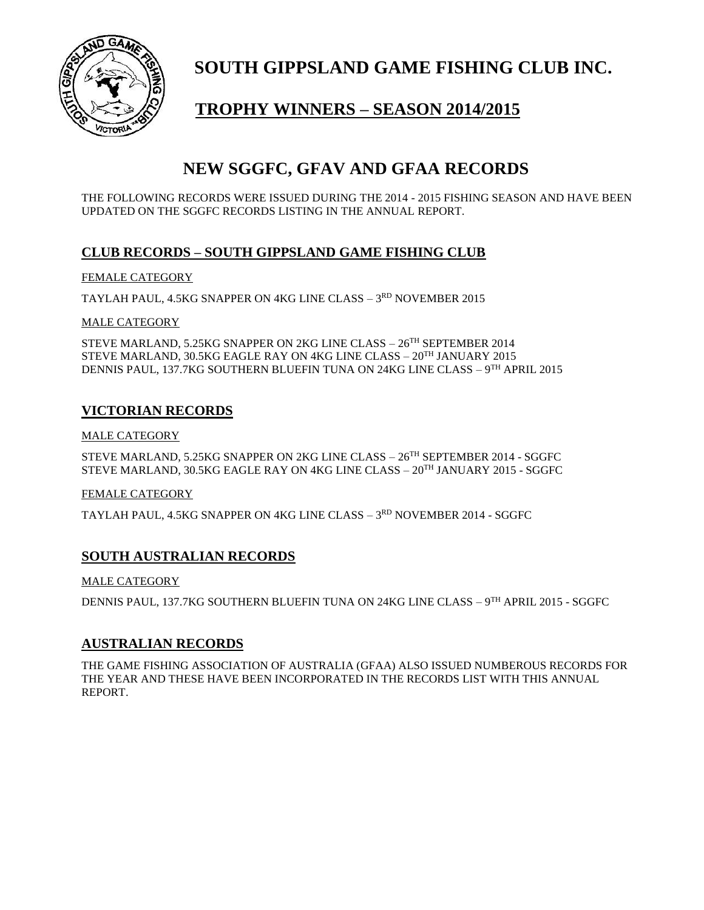

# **TROPHY WINNERS – SEASON 2014/2015**

## **NEW SGGFC, GFAV AND GFAA RECORDS**

THE FOLLOWING RECORDS WERE ISSUED DURING THE 2014 - 2015 FISHING SEASON AND HAVE BEEN UPDATED ON THE SGGFC RECORDS LISTING IN THE ANNUAL REPORT.

#### **CLUB RECORDS – SOUTH GIPPSLAND GAME FISHING CLUB**

#### FEMALE CATEGORY

TAYLAH PAUL, 4.5KG SNAPPER ON 4KG LINE CLASS – 3<sup>rd</sup> NOVEMBER 2015

#### MALE CATEGORY

STEVE MARLAND, 5.25KG SNAPPER ON 2KG LINE CLASS – 26TH SEPTEMBER 2014 STEVE MARLAND, 30.5KG EAGLE RAY ON 4KG LINE CLASS – 20TH JANUARY 2015 DENNIS PAUL, 137.7KG SOUTHERN BLUEFIN TUNA ON 24KG LINE CLASS – 9 TH APRIL 2015

#### **VICTORIAN RECORDS**

#### MALE CATEGORY

STEVE MARLAND, 5.25KG SNAPPER ON 2KG LINE CLASS – 26TH SEPTEMBER 2014 - SGGFC STEVE MARLAND, 30.5KG EAGLE RAY ON 4KG LINE CLASS – 20TH JANUARY 2015 - SGGFC

#### FEMALE CATEGORY

TAYLAH PAUL, 4.5KG SNAPPER ON 4KG LINE CLASS – 3<sup>rd</sup> NOVEMBER 2014 - SGGFC

#### **SOUTH AUSTRALIAN RECORDS**

#### MALE CATEGORY

DENNIS PAUL, 137.7KG SOUTHERN BLUEFIN TUNA ON 24KG LINE CLASS – 9<sup>th</sup> APRIL 2015 - SGGFC

#### **AUSTRALIAN RECORDS**

THE GAME FISHING ASSOCIATION OF AUSTRALIA (GFAA) ALSO ISSUED NUMBEROUS RECORDS FOR THE YEAR AND THESE HAVE BEEN INCORPORATED IN THE RECORDS LIST WITH THIS ANNUAL REPORT.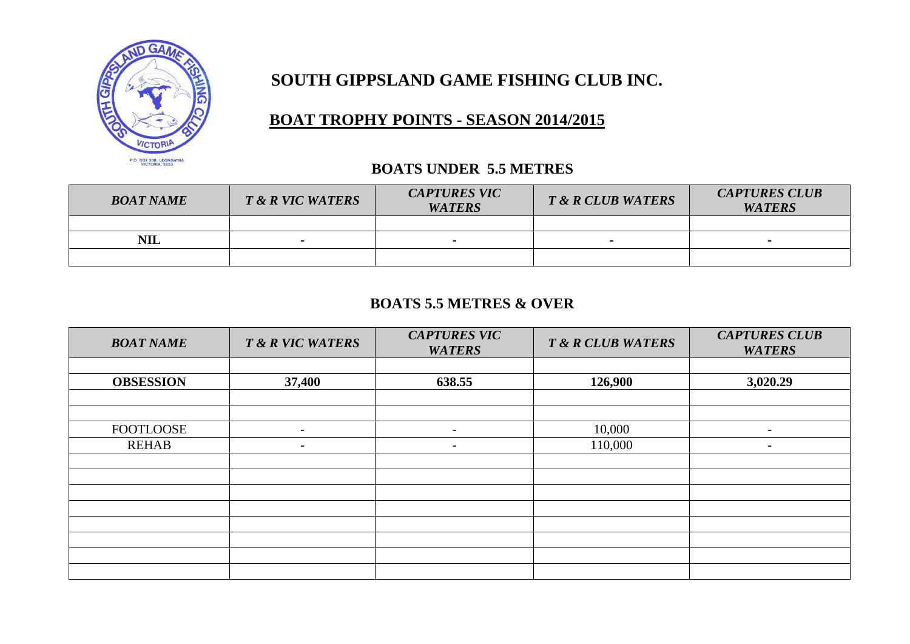

# **BOAT TROPHY POINTS - SEASON 2014/2015**

#### **BOATS UNDER 5.5 METRES**

| <b>BOAT NAME</b> | T & R VIC WATERS | <b>CAPTURES VIC</b><br><b>WATERS</b> | T & R CLUB WATERS | <b>CAPTURES CLUB</b><br><b>WATERS</b> |
|------------------|------------------|--------------------------------------|-------------------|---------------------------------------|
|                  |                  |                                      |                   |                                       |
| <b>NIL</b>       | $\blacksquare$   |                                      |                   |                                       |
|                  |                  |                                      |                   |                                       |

#### **BOATS 5.5 METRES & OVER**

| <b>BOAT NAME</b> | T & R VIC WATERS         | <b>CAPTURES VIC</b><br><b>WATERS</b> | <b>T &amp; R CLUB WATERS</b> | <b>CAPTURES CLUB</b><br><b>WATERS</b> |
|------------------|--------------------------|--------------------------------------|------------------------------|---------------------------------------|
|                  |                          |                                      |                              |                                       |
| <b>OBSESSION</b> | 37,400                   | 638.55                               | 126,900                      | 3,020.29                              |
|                  |                          |                                      |                              |                                       |
|                  |                          |                                      |                              |                                       |
| <b>FOOTLOOSE</b> | $\overline{\phantom{a}}$ | $\overline{\phantom{a}}$             | 10,000                       | $\overline{\phantom{0}}$              |
| <b>REHAB</b>     | $\overline{\phantom{a}}$ | -                                    | 110,000                      | $\overline{\phantom{a}}$              |
|                  |                          |                                      |                              |                                       |
|                  |                          |                                      |                              |                                       |
|                  |                          |                                      |                              |                                       |
|                  |                          |                                      |                              |                                       |
|                  |                          |                                      |                              |                                       |
|                  |                          |                                      |                              |                                       |
|                  |                          |                                      |                              |                                       |
|                  |                          |                                      |                              |                                       |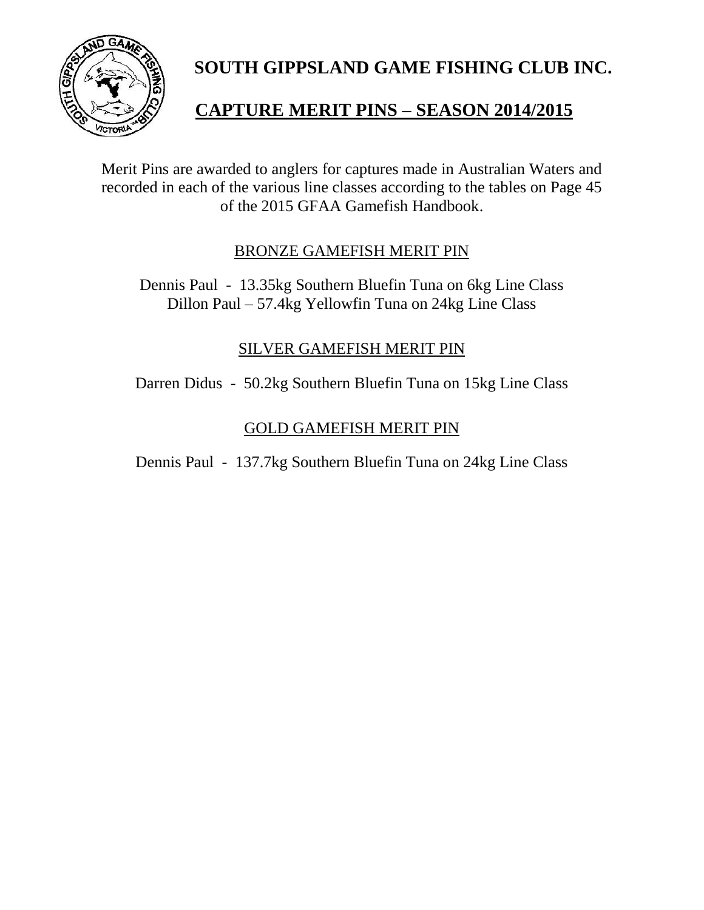

# **CAPTURE MERIT PINS – SEASON 2014/2015**

Merit Pins are awarded to anglers for captures made in Australian Waters and recorded in each of the various line classes according to the tables on Page 45 of the 2015 GFAA Gamefish Handbook.

#### BRONZE GAMEFISH MERIT PIN

Dennis Paul - 13.35kg Southern Bluefin Tuna on 6kg Line Class Dillon Paul – 57.4kg Yellowfin Tuna on 24kg Line Class

#### SILVER GAMEFISH MERIT PIN

Darren Didus - 50.2kg Southern Bluefin Tuna on 15kg Line Class

#### GOLD GAMEFISH MERIT PIN

Dennis Paul - 137.7kg Southern Bluefin Tuna on 24kg Line Class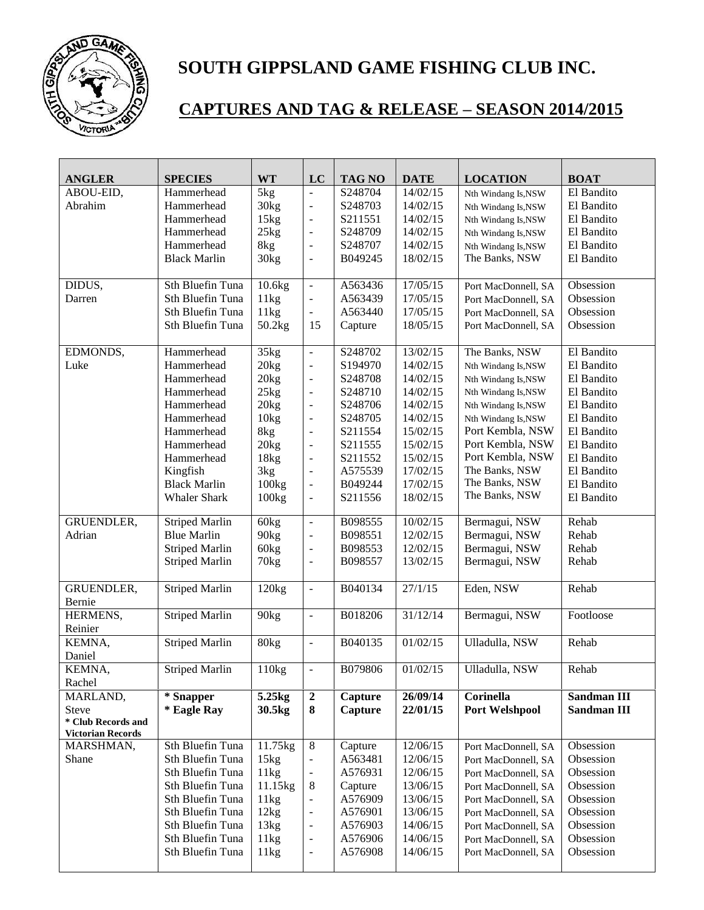

# **CAPTURES AND TAG & RELEASE – SEASON 2014/2015**

| <b>ANGLER</b>                                  | <b>SPECIES</b>        | <b>WT</b>        | LC                           | <b>TAG NO</b> | <b>DATE</b> | <b>LOCATION</b>     | <b>BOAT</b> |
|------------------------------------------------|-----------------------|------------------|------------------------------|---------------|-------------|---------------------|-------------|
| ABOU-EID,                                      | Hammerhead            | 5kg              | $\overline{a}$               | S248704       | 14/02/15    | Nth Windang Is,NSW  | El Bandito  |
| Abrahim                                        | Hammerhead            | 30 <sub>kg</sub> | $\overline{a}$               | S248703       | 14/02/15    | Nth Windang Is,NSW  | El Bandito  |
|                                                | Hammerhead            | 15kg             | $\overline{a}$               | S211551       | 14/02/15    | Nth Windang Is,NSW  | El Bandito  |
|                                                | Hammerhead            | 25kg             | $\frac{1}{2}$                | S248709       | 14/02/15    | Nth Windang Is,NSW  | El Bandito  |
|                                                | Hammerhead            | 8kg              | $\Box$                       | S248707       | 14/02/15    | Nth Windang Is,NSW  | El Bandito  |
|                                                | <b>Black Marlin</b>   | 30 <sub>kg</sub> | $\frac{1}{2}$                | B049245       | 18/02/15    | The Banks, NSW      | El Bandito  |
|                                                |                       |                  |                              |               |             |                     |             |
| DIDUS,                                         | Sth Bluefin Tuna      | 10.6kg           | $\overline{a}$               | A563436       | 17/05/15    | Port MacDonnell, SA | Obsession   |
| Darren                                         | Sth Bluefin Tuna      | 11kg             | ÷,                           | A563439       | 17/05/15    | Port MacDonnell, SA | Obsession   |
|                                                | Sth Bluefin Tuna      | 11kg             | ÷,                           | A563440       | 17/05/15    | Port MacDonnell, SA | Obsession   |
|                                                | Sth Bluefin Tuna      | 50.2kg           | 15                           | Capture       | 18/05/15    | Port MacDonnell, SA | Obsession   |
| EDMONDS,                                       | Hammerhead            | 35kg             | $\frac{1}{2}$                | S248702       | 13/02/15    | The Banks, NSW      | El Bandito  |
| Luke                                           | Hammerhead            | 20kg             | Ĭ.                           | S194970       | 14/02/15    | Nth Windang Is,NSW  | El Bandito  |
|                                                | Hammerhead            | 20 <sub>kg</sub> | $\frac{1}{2}$                | S248708       | 14/02/15    | Nth Windang Is,NSW  | El Bandito  |
|                                                | Hammerhead            | 25kg             | $\frac{1}{2}$                | S248710       | 14/02/15    | Nth Windang Is,NSW  | El Bandito  |
|                                                | Hammerhead            | 20kg             | $\overline{a}$               | S248706       | 14/02/15    | Nth Windang Is,NSW  | El Bandito  |
|                                                | Hammerhead            | 10 <sub>kg</sub> | $\overline{\phantom{a}}$     | S248705       | 14/02/15    | Nth Windang Is,NSW  | El Bandito  |
|                                                | Hammerhead            | 8kg              | $\overline{\phantom{a}}$     | S211554       | 15/02/15    | Port Kembla, NSW    | El Bandito  |
|                                                | Hammerhead            | 20kg             | $\overline{a}$               | S211555       | 15/02/15    | Port Kembla, NSW    | El Bandito  |
|                                                | Hammerhead            | 18kg             | $\frac{1}{2}$                | S211552       | 15/02/15    | Port Kembla, NSW    | El Bandito  |
|                                                | Kingfish              | 3kg              | $\frac{1}{2}$                | A575539       | 17/02/15    | The Banks, NSW      | El Bandito  |
|                                                | <b>Black Marlin</b>   | 100kg            | $\overline{a}$               | B049244       | 17/02/15    | The Banks, NSW      | El Bandito  |
|                                                | <b>Whaler Shark</b>   | 100kg            | $\frac{1}{2}$                | S211556       | 18/02/15    | The Banks, NSW      | El Bandito  |
| GRUENDLER,                                     | <b>Striped Marlin</b> | 60 <sub>kg</sub> | ÷,                           | B098555       | 10/02/15    | Bermagui, NSW       | Rehab       |
| Adrian                                         | <b>Blue Marlin</b>    | 90 <sub>kg</sub> | $\overline{a}$               | B098551       | 12/02/15    | Bermagui, NSW       | Rehab       |
|                                                | <b>Striped Marlin</b> | 60 <sub>kg</sub> | ÷,                           | B098553       | 12/02/15    | Bermagui, NSW       | Rehab       |
|                                                | <b>Striped Marlin</b> | 70 <sub>kg</sub> | $\frac{1}{2}$                | B098557       | 13/02/15    | Bermagui, NSW       | Rehab       |
|                                                |                       |                  |                              |               |             |                     |             |
| GRUENDLER,<br>Bernie                           | <b>Striped Marlin</b> | 120kg            | $\overline{a}$               | B040134       | 27/1/15     | Eden, NSW           | Rehab       |
| HERMENS,                                       | <b>Striped Marlin</b> | 90 <sub>kg</sub> | $\overline{\phantom{a}}$     | B018206       | 31/12/14    | Bermagui, NSW       | Footloose   |
| Reinier                                        |                       |                  |                              |               |             |                     |             |
| KEMNA,                                         | <b>Striped Marlin</b> | 80 <sub>kg</sub> | ÷,                           | B040135       | 01/02/15    | Ulladulla, NSW      | Rehab       |
| Daniel                                         |                       |                  |                              |               |             |                     |             |
| KEMNA.                                         | <b>Striped Marlin</b> | 110kg            | $\overline{a}$               | B079806       | 01/02/15    | Ulladulla, NSW      | Rehab       |
| Rachel                                         |                       |                  |                              |               |             |                     |             |
| MARLAND,                                       | * Snapper             | 5.25kg           | $\boldsymbol{2}$             | Capture       | 26/09/14    | Corinella           | Sandman III |
| <b>Steve</b>                                   | * Eagle Ray           | 30.5kg           | 8                            | Capture       | 22/01/15    | Port Welshpool      | Sandman III |
| * Club Records and<br><b>Victorian Records</b> |                       |                  |                              |               |             |                     |             |
| MARSHMAN,                                      | Sth Bluefin Tuna      | 11.75kg          | $\overline{8}$               | Capture       | 12/06/15    | Port MacDonnell, SA | Obsession   |
| Shane                                          | Sth Bluefin Tuna      | 15kg             | $\qquad \qquad \blacksquare$ | A563481       | 12/06/15    | Port MacDonnell, SA | Obsession   |
|                                                | Sth Bluefin Tuna      | 11kg             | $\overline{a}$               | A576931       | 12/06/15    | Port MacDonnell, SA | Obsession   |
|                                                | Sth Bluefin Tuna      | 11.15kg          | $8\,$                        | Capture       | 13/06/15    | Port MacDonnell, SA | Obsession   |
|                                                | Sth Bluefin Tuna      | 11kg             | $\blacksquare$               | A576909       | 13/06/15    | Port MacDonnell, SA | Obsession   |
|                                                | Sth Bluefin Tuna      | 12kg             | $\overline{\phantom{a}}$     | A576901       | 13/06/15    | Port MacDonnell, SA | Obsession   |
|                                                | Sth Bluefin Tuna      | 13kg             | $\frac{1}{2}$                | A576903       | 14/06/15    | Port MacDonnell, SA | Obsession   |
|                                                | Sth Bluefin Tuna      | 11kg             | $\frac{1}{2}$                | A576906       | 14/06/15    | Port MacDonnell, SA | Obsession   |
|                                                | Sth Bluefin Tuna      | 11kg             | $\blacksquare$               | A576908       | 14/06/15    | Port MacDonnell, SA | Obsession   |
|                                                |                       |                  |                              |               |             |                     |             |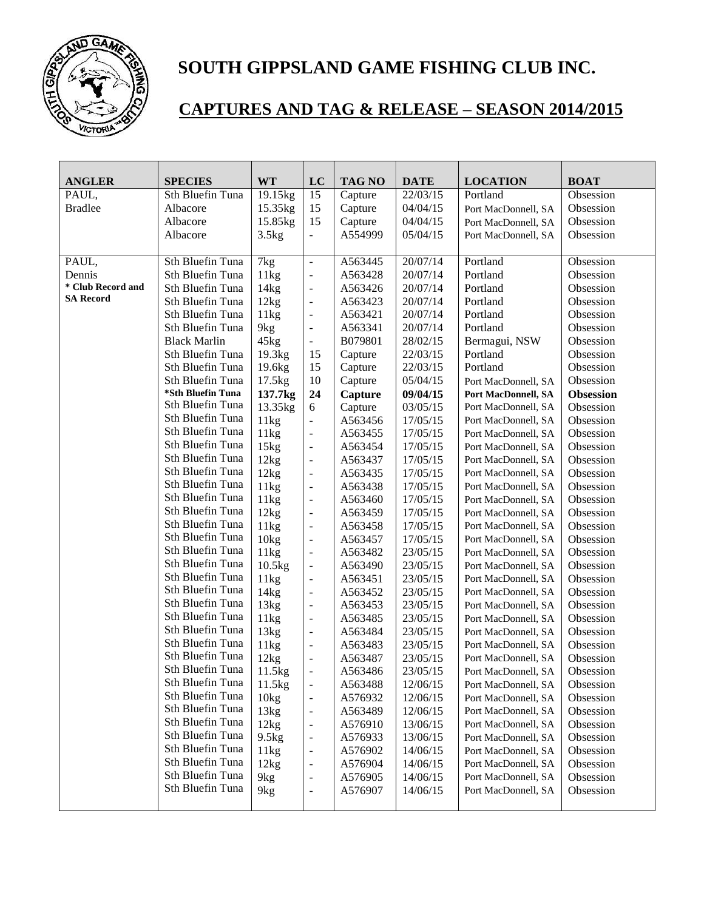

# **CAPTURES AND TAG & RELEASE – SEASON 2014/2015**

| <b>ANGLER</b>     | <b>SPECIES</b>          | <b>WT</b>        | LC                       | <b>TAG NO</b> | <b>DATE</b> | <b>LOCATION</b>            | <b>BOAT</b>      |
|-------------------|-------------------------|------------------|--------------------------|---------------|-------------|----------------------------|------------------|
| PAUL,             | Sth Bluefin Tuna        | 19.15kg          | 15                       | Capture       | 22/03/15    | Portland                   | Obsession        |
| <b>Bradlee</b>    | Albacore                | 15.35kg          | 15                       | Capture       | 04/04/15    | Port MacDonnell, SA        | Obsession        |
|                   | Albacore                | 15.85kg          | 15                       | Capture       | 04/04/15    | Port MacDonnell, SA        | Obsession        |
|                   | Albacore                | 3.5kg            | $\overline{a}$           | A554999       | 05/04/15    | Port MacDonnell, SA        | Obsession        |
|                   |                         |                  |                          |               |             |                            |                  |
| PAUL,             | <b>Sth Bluefin Tuna</b> | 7kg              | $\Box$                   | A563445       | 20/07/14    | Portland                   | Obsession        |
| Dennis            | Sth Bluefin Tuna        | 11kg             | $\blacksquare$           | A563428       | 20/07/14    | Portland                   | Obsession        |
| * Club Record and | Sth Bluefin Tuna        | 14kg             | $\blacksquare$           | A563426       | 20/07/14    | Portland                   | Obsession        |
| <b>SA Record</b>  | Sth Bluefin Tuna        | 12kg             | $\overline{\phantom{0}}$ | A563423       | 20/07/14    | Portland                   | Obsession        |
|                   | Sth Bluefin Tuna        | 11kg             | $\blacksquare$           | A563421       | 20/07/14    | Portland                   | Obsession        |
|                   | Sth Bluefin Tuna        | 9kg              | $\overline{\phantom{a}}$ | A563341       | 20/07/14    | Portland                   | Obsession        |
|                   | <b>Black Marlin</b>     | 45kg             | $\overline{a}$           | B079801       | 28/02/15    | Bermagui, NSW              | Obsession        |
|                   | Sth Bluefin Tuna        | 19.3kg           | 15                       | Capture       | 22/03/15    | Portland                   | Obsession        |
|                   | Sth Bluefin Tuna        | 19.6kg           | 15                       | Capture       | 22/03/15    | Portland                   | Obsession        |
|                   | Sth Bluefin Tuna        | 17.5kg           | 10                       | Capture       | 05/04/15    | Port MacDonnell, SA        | Obsession        |
|                   | *Sth Bluefin Tuna       | 137.7kg          | 24                       | Capture       | 09/04/15    | <b>Port MacDonnell, SA</b> | <b>Obsession</b> |
|                   | Sth Bluefin Tuna        | 13.35kg          | 6                        | Capture       | 03/05/15    | Port MacDonnell, SA        | Obsession        |
|                   | Sth Bluefin Tuna        | 11kg             | $\overline{a}$           | A563456       | 17/05/15    | Port MacDonnell, SA        | Obsession        |
|                   | Sth Bluefin Tuna        | 11kg             | $\blacksquare$           | A563455       | 17/05/15    | Port MacDonnell, SA        | Obsession        |
|                   | Sth Bluefin Tuna        | 15kg             | $\blacksquare$           | A563454       | 17/05/15    | Port MacDonnell, SA        | Obsession        |
|                   | Sth Bluefin Tuna        | 12kg             | $\blacksquare$           | A563437       | 17/05/15    | Port MacDonnell, SA        | Obsession        |
|                   | Sth Bluefin Tuna        | 12kg             | $\blacksquare$           | A563435       | 17/05/15    | Port MacDonnell, SA        | Obsession        |
|                   | Sth Bluefin Tuna        | 11kg             | $\blacksquare$           | A563438       | 17/05/15    | Port MacDonnell, SA        | Obsession        |
|                   | Sth Bluefin Tuna        | 11kg             | $\overline{\phantom{a}}$ | A563460       | 17/05/15    | Port MacDonnell, SA        | Obsession        |
|                   | Sth Bluefin Tuna        | 12kg             | $\overline{\phantom{a}}$ | A563459       | 17/05/15    | Port MacDonnell, SA        | Obsession        |
|                   | Sth Bluefin Tuna        | 11kg             | $\overline{\phantom{a}}$ | A563458       | 17/05/15    | Port MacDonnell, SA        | Obsession        |
|                   | Sth Bluefin Tuna        | 10 <sub>kg</sub> | $\overline{\phantom{a}}$ | A563457       | 17/05/15    | Port MacDonnell, SA        | Obsession        |
|                   | Sth Bluefin Tuna        | 11kg             | $\blacksquare$           | A563482       | 23/05/15    | Port MacDonnell, SA        | Obsession        |
|                   | Sth Bluefin Tuna        | $10.5$ kg        | $\overline{a}$           | A563490       | 23/05/15    | Port MacDonnell, SA        | Obsession        |
|                   | Sth Bluefin Tuna        | 11kg             | $\overline{\phantom{0}}$ | A563451       | 23/05/15    | Port MacDonnell, SA        | Obsession        |
|                   | Sth Bluefin Tuna        | 14kg             | $\blacksquare$           | A563452       | 23/05/15    | Port MacDonnell, SA        | Obsession        |
|                   | Sth Bluefin Tuna        | 13kg             | $\blacksquare$           | A563453       | 23/05/15    | Port MacDonnell, SA        | Obsession        |
|                   | Sth Bluefin Tuna        | 11kg             | $\overline{\phantom{0}}$ | A563485       | 23/05/15    | Port MacDonnell, SA        | Obsession        |
|                   | Sth Bluefin Tuna        | 13kg             | $\overline{\phantom{0}}$ | A563484       | 23/05/15    | Port MacDonnell, SA        | Obsession        |
|                   | Sth Bluefin Tuna        | 11kg             | $\overline{\phantom{0}}$ | A563483       | 23/05/15    | Port MacDonnell, SA        | Obsession        |
|                   | Sth Bluefin Tuna        | 12kg             | $\overline{\phantom{0}}$ | A563487       | 23/05/15    | Port MacDonnell, SA        | Obsession        |
|                   | Sth Bluefin Tuna        | 11.5kg           | $\overline{a}$           | A563486       | 23/05/15    | Port MacDonnell, SA        | Obsession        |
|                   | Sth Bluefin Tuna        | 11.5kg           | $\overline{\phantom{a}}$ | A563488       | 12/06/15    | Port MacDonnell, SA        | Obsession        |
|                   | Sth Bluefin Tuna        | 10kg             | $\overline{\phantom{0}}$ | A576932       | 12/06/15    | Port MacDonnell, SA        | Obsession        |
|                   | Sth Bluefin Tuna        | 13kg             | $\overline{\phantom{0}}$ | A563489       | 12/06/15    | Port MacDonnell, SA        | Obsession        |
|                   | Sth Bluefin Tuna        | 12kg             | $\overline{\phantom{0}}$ | A576910       | 13/06/15    | Port MacDonnell, SA        | Obsession        |
|                   | Sth Bluefin Tuna        | 9.5kg            | ÷                        | A576933       | 13/06/15    | Port MacDonnell, SA        | Obsession        |
|                   | Sth Bluefin Tuna        | 11kg             | $\Box$                   | A576902       | 14/06/15    | Port MacDonnell, SA        | Obsession        |
|                   | Sth Bluefin Tuna        | 12kg             | $\overline{\phantom{0}}$ | A576904       | 14/06/15    | Port MacDonnell, SA        | Obsession        |
|                   | Sth Bluefin Tuna        | 9kg              | $\overline{\phantom{0}}$ | A576905       | 14/06/15    | Port MacDonnell, SA        | Obsession        |
|                   | Sth Bluefin Tuna        | 9kg              | $\overline{\phantom{0}}$ | A576907       | 14/06/15    | Port MacDonnell, SA        | Obsession        |
|                   |                         |                  |                          |               |             |                            |                  |